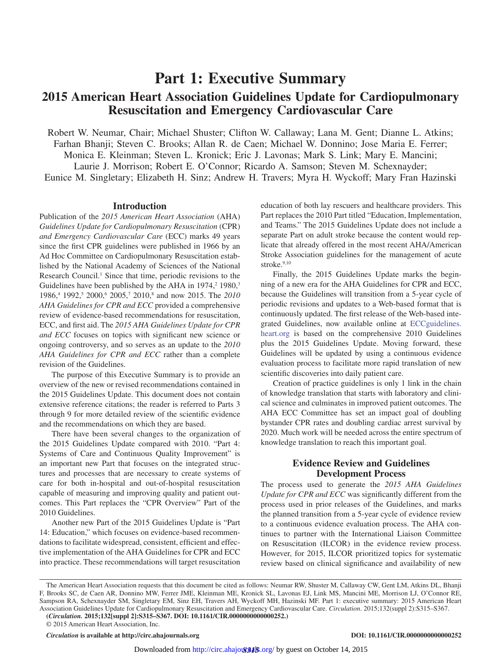# **Part 1: Executive Summary**

# **2015 American Heart Association Guidelines Update for Cardiopulmonary Resuscitation and Emergency Cardiovascular Care**

Robert W. Neumar, Chair; Michael Shuster; Clifton W. Callaway; Lana M. Gent; Dianne L. Atkins; Farhan Bhanji; Steven C. Brooks; Allan R. de Caen; Michael W. Donnino; Jose Maria E. Ferrer; Monica E. Kleinman; Steven L. Kronick; Eric J. Lavonas; Mark S. Link; Mary E. Mancini; Laurie J. Morrison; Robert E. O'Connor; Ricardo A. Samson; Steven M. Schexnayder; Eunice M. Singletary; Elizabeth H. Sinz; Andrew H. Travers; Myra H. Wyckoff; Mary Fran Hazinski

#### **Introduction**

Publication of the *2015 American Heart Association* (AHA) *Guidelines Update for Cardiopulmonary Resuscitation* (CPR) *and Emergency Cardiovascular Care* (ECC) marks 49 years since the first CPR guidelines were published in 1966 by an Ad Hoc Committee on Cardiopulmonary Resuscitation established by the National Academy of Sciences of the National Research Council.<sup>1</sup> Since that time, periodic revisions to the Guidelines have been published by the AHA in  $1974$ ,<sup>2</sup>  $1980$ ,<sup>3</sup> 1986,<sup>4</sup> 1992,<sup>5</sup> 2000,<sup>6</sup> 2005,<sup>7</sup> 2010,<sup>8</sup> and now 2015. The 2010 *AHA Guidelines for CPR and ECC* provided a comprehensive review of evidence-based recommendations for resuscitation, ECC, and first aid. The *2015 AHA Guidelines Update for CPR and ECC* focuses on topics with significant new science or ongoing controversy, and so serves as an update to the *2010 AHA Guidelines for CPR and ECC* rather than a complete revision of the Guidelines.

The purpose of this Executive Summary is to provide an overview of the new or revised recommendations contained in the 2015 Guidelines Update. This document does not contain extensive reference citations; the reader is referred to Parts 3 through 9 for more detailed review of the scientific evidence and the recommendations on which they are based.

There have been several changes to the organization of the 2015 Guidelines Update compared with 2010. "Part 4: Systems of Care and Continuous Quality Improvement" is an important new Part that focuses on the integrated structures and processes that are necessary to create systems of care for both in-hospital and out-of-hospital resuscitation capable of measuring and improving quality and patient outcomes. This Part replaces the "CPR Overview" Part of the 2010 Guidelines.

Another new Part of the 2015 Guidelines Update is "Part 14: Education," which focuses on evidence-based recommendations to facilitate widespread, consistent, efficient and effective implementation of the AHA Guidelines for CPR and ECC into practice. These recommendations will target resuscitation education of both lay rescuers and healthcare providers. This Part replaces the 2010 Part titled "Education, Implementation, and Teams." The 2015 Guidelines Update does not include a separate Part on adult stroke because the content would replicate that already offered in the most recent AHA/American Stroke Association guidelines for the management of acute stroke.<sup>9,10</sup>

Finally, the 2015 Guidelines Update marks the beginning of a new era for the AHA Guidelines for CPR and ECC, because the Guidelines will transition from a 5-year cycle of periodic revisions and updates to a Web-based format that is continuously updated. The first release of the Web-based integrated Guidelines, now available online at [ECCguidelines.](http://www.ECCGuidelines.heart.org) [heart.org](http://www.ECCGuidelines.heart.org) is based on the comprehensive 2010 Guidelines plus the 2015 Guidelines Update. Moving forward, these Guidelines will be updated by using a continuous evidence evaluation process to facilitate more rapid translation of new scientific discoveries into daily patient care.

Creation of practice guidelines is only 1 link in the chain of knowledge translation that starts with laboratory and clinical science and culminates in improved patient outcomes. The AHA ECC Committee has set an impact goal of doubling bystander CPR rates and doubling cardiac arrest survival by 2020. Much work will be needed across the entire spectrum of knowledge translation to reach this important goal.

#### **Evidence Review and Guidelines Development Process**

The process used to generate the *2015 AHA Guidelines Update for CPR and ECC* was significantly different from the process used in prior releases of the Guidelines, and marks the planned transition from a 5-year cycle of evidence review to a continuous evidence evaluation process. The AHA continues to partner with the International Liaison Committee on Resuscitation (ILCOR) in the evidence review process. However, for 2015, ILCOR prioritized topics for systematic review based on clinical significance and availability of new

© 2015 American Heart Association, Inc.

*Circulation* **is available at http://circ.ahajournals.org DOI: 10.1161/CIR.0000000000000252**

The American Heart Association requests that this document be cited as follows: Neumar RW, Shuster M, Callaway CW, Gent LM, Atkins DL, Bhanji F, Brooks SC, de Caen AR, Donnino MW, Ferrer JME, Kleinman ME, Kronick SL, Lavonas EJ, Link MS, Mancini ME, Morrison LJ, O'Connor RE, Sampson RA, Schexnayder SM, Singletary EM, Sinz EH, Travers AH, Wyckoff MH, Hazinski MF. Part 1: executive summary: 2015 American Heart Association Guidelines Update for Cardiopulmonary Resuscitation and Emergency Cardiovascular Care. *Circulation*. 2015;132(suppl 2):S315–S367. **(***Circulation.* **2015;132[suppl 2]:S315–S367. DOI: 10.1161/CIR.0000000000000252.)**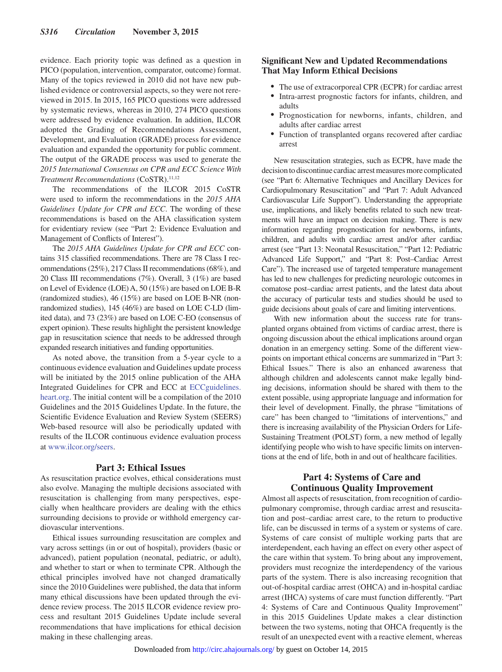evidence. Each priority topic was defined as a question in PICO (population, intervention, comparator, outcome) format. Many of the topics reviewed in 2010 did not have new published evidence or controversial aspects, so they were not rereviewed in 2015. In 2015, 165 PICO questions were addressed by systematic reviews, whereas in 2010, 274 PICO questions were addressed by evidence evaluation. In addition, ILCOR adopted the Grading of Recommendations Assessment, Development, and Evaluation (GRADE) process for evidence evaluation and expanded the opportunity for public comment. The output of the GRADE process was used to generate the *2015 International Consensus on CPR and ECC Science With Treatment Recommendations* (CoSTR).11,12

The recommendations of the ILCOR 2015 CoSTR were used to inform the recommendations in the *2015 AHA Guidelines Update for CPR and ECC*. The wording of these recommendations is based on the AHA classification system for evidentiary review (see "Part 2: Evidence Evaluation and Management of Conflicts of Interest").

The *2015 AHA Guidelines Update for CPR and ECC* contains 315 classified recommendations. There are 78 Class I recommendations (25%), 217 Class II recommendations (68%), and 20 Class III recommendations (7%). Overall, 3 (1%) are based on Level of Evidence (LOE) A, 50 (15%) are based on LOE B-R (randomized studies), 46 (15%) are based on LOE B-NR (nonrandomized studies), 145 (46%) are based on LOE C-LD (limited data), and 73 (23%) are based on LOE C-EO (consensus of expert opinion). These results highlight the persistent knowledge gap in resuscitation science that needs to be addressed through expanded research initiatives and funding opportunities.

As noted above, the transition from a 5-year cycle to a continuous evidence evaluation and Guidelines update process will be initiated by the 2015 online publication of the AHA Integrated Guidelines for CPR and ECC at [ECCguidelines.](http://www.ECCGuidelines.heart.org/) [heart.org.](http://www.ECCGuidelines.heart.org/) The initial content will be a compilation of the 2010 Guidelines and the 2015 Guidelines Update. In the future, the Scientific Evidence Evaluation and Review System (SEERS) Web-based resource will also be periodically updated with results of the ILCOR continuous evidence evaluation process at [www.ilcor.org/seers.](http://www.ilcor.org/seers)

#### **Part 3: Ethical Issues**

As resuscitation practice evolves, ethical considerations must also evolve. Managing the multiple decisions associated with resuscitation is challenging from many perspectives, especially when healthcare providers are dealing with the ethics surrounding decisions to provide or withhold emergency cardiovascular interventions.

Ethical issues surrounding resuscitation are complex and vary across settings (in or out of hospital), providers (basic or advanced), patient population (neonatal, pediatric, or adult), and whether to start or when to terminate CPR. Although the ethical principles involved have not changed dramatically since the 2010 Guidelines were published, the data that inform many ethical discussions have been updated through the evidence review process. The 2015 ILCOR evidence review process and resultant 2015 Guidelines Update include several recommendations that have implications for ethical decision making in these challenging areas.

#### **Significant New and Updated Recommendations That May Inform Ethical Decisions**

- The use of extracorporeal CPR (ECPR) for cardiac arrest
- Intra-arrest prognostic factors for infants, children, and adults
- • Prognostication for newborns, infants, children, and adults after cardiac arrest
- Function of transplanted organs recovered after cardiac arrest

New resuscitation strategies, such as ECPR, have made the decision to discontinue cardiac arrest measures more complicated (see "Part 6: Alternative Techniques and Ancillary Devices for Cardiopulmonary Resuscitation" and "Part 7: Adult Advanced Cardiovascular Life Support"). Understanding the appropriate use, implications, and likely benefits related to such new treatments will have an impact on decision making. There is new information regarding prognostication for newborns, infants, children, and adults with cardiac arrest and/or after cardiac arrest (see "Part 13: Neonatal Resuscitation," "Part 12: Pediatric Advanced Life Support," and "Part 8: Post–Cardiac Arrest Care"). The increased use of targeted temperature management has led to new challenges for predicting neurologic outcomes in comatose post–cardiac arrest patients, and the latest data about the accuracy of particular tests and studies should be used to guide decisions about goals of care and limiting interventions.

With new information about the success rate for transplanted organs obtained from victims of cardiac arrest, there is ongoing discussion about the ethical implications around organ donation in an emergency setting. Some of the different viewpoints on important ethical concerns are summarized in "Part 3: Ethical Issues." There is also an enhanced awareness that although children and adolescents cannot make legally binding decisions, information should be shared with them to the extent possible, using appropriate language and information for their level of development. Finally, the phrase "limitations of care" has been changed to "limitations of interventions," and there is increasing availability of the Physician Orders for Life-Sustaining Treatment (POLST) form, a new method of legally identifying people who wish to have specific limits on interventions at the end of life, both in and out of healthcare facilities.

#### **Part 4: Systems of Care and Continuous Quality Improvement**

Almost all aspects of resuscitation, from recognition of cardiopulmonary compromise, through cardiac arrest and resuscitation and post–cardiac arrest care, to the return to productive life, can be discussed in terms of a system or systems of care. Systems of care consist of multiple working parts that are interdependent, each having an effect on every other aspect of the care within that system. To bring about any improvement, providers must recognize the interdependency of the various parts of the system. There is also increasing recognition that out-of-hospital cardiac arrest (OHCA) and in-hospital cardiac arrest (IHCA) systems of care must function differently. "Part 4: Systems of Care and Continuous Quality Improvement" in this 2015 Guidelines Update makes a clear distinction between the two systems, noting that OHCA frequently is the result of an unexpected event with a reactive element, whereas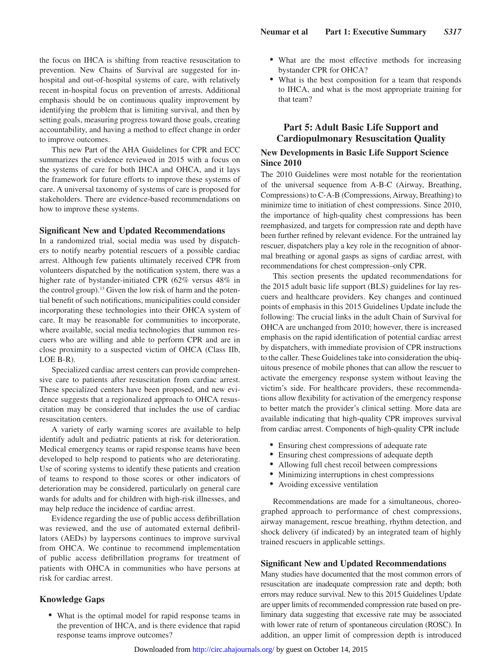the focus on IHCA is shifting from reactive resuscitation to prevention. New Chains of Survival are suggested for inhospital and out-of-hospital systems of care, with relatively recent in-hospital focus on prevention of arrests. Additional emphasis should be on continuous quality improvement by identifying the problem that is limiting survival, and then by setting goals, measuring progress toward those goals, creating accountability, and having a method to effect change in order to improve outcomes.

This new Part of the AHA Guidelines for CPR and ECC summarizes the evidence reviewed in 2015 with a focus on the systems of care for both IHCA and OHCA, and it lays the framework for future efforts to improve these systems of care. A universal taxonomy of systems of care is proposed for stakeholders. There are evidence-based recommendations on how to improve these systems.

#### **Significant New and Updated Recommendations**

In a randomized trial, social media was used by dispatchers to notify nearby potential rescuers of a possible cardiac arrest. Although few patients ultimately received CPR from volunteers dispatched by the notification system, there was a higher rate of bystander-initiated CPR (62% versus 48% in the control group).<sup>13</sup> Given the low risk of harm and the potential benefit of such notifications, municipalities could consider incorporating these technologies into their OHCA system of care. It may be reasonable for communities to incorporate, where available, social media technologies that summon rescuers who are willing and able to perform CPR and are in close proximity to a suspected victim of OHCA (Class IIb, LOE B-R).

Specialized cardiac arrest centers can provide comprehensive care to patients after resuscitation from cardiac arrest. These specialized centers have been proposed, and new evidence suggests that a regionalized approach to OHCA resuscitation may be considered that includes the use of cardiac resuscitation centers.

A variety of early warning scores are available to help identify adult and pediatric patients at risk for deterioration. Medical emergency teams or rapid response teams have been developed to help respond to patients who are deteriorating. Use of scoring systems to identify these patients and creation of teams to respond to those scores or other indicators of deterioration may be considered, particularly on general care wards for adults and for children with high-risk illnesses, and may help reduce the incidence of cardiac arrest.

Evidence regarding the use of public access defibrillation was reviewed, and the use of automated external defibrillators (AEDs) by laypersons continues to improve survival from OHCA. We continue to recommend implementation of public access defibrillation programs for treatment of patients with OHCA in communities who have persons at risk for cardiac arrest.

#### **Knowledge Gaps**

• What is the optimal model for rapid response teams in the prevention of IHCA, and is there evidence that rapid response teams improve outcomes?

- What are the most effective methods for increasing bystander CPR for OHCA?
- What is the best composition for a team that responds to IHCA, and what is the most appropriate training for that team?

#### **Part 5: Adult Basic Life Support and Cardiopulmonary Resuscitation Quality**

#### **New Developments in Basic Life Support Science Since 2010**

The 2010 Guidelines were most notable for the reorientation of the universal sequence from A-B-C (Airway, Breathing, Compressions) to C-A-B (Compressions, Airway, Breathing) to minimize time to initiation of chest compressions. Since 2010, the importance of high-quality chest compressions has been reemphasized, and targets for compression rate and depth have been further refined by relevant evidence. For the untrained lay rescuer, dispatchers play a key role in the recognition of abnormal breathing or agonal gasps as signs of cardiac arrest, with recommendations for chest compression–only CPR.

This section presents the updated recommendations for the 2015 adult basic life support (BLS) guidelines for lay rescuers and healthcare providers. Key changes and continued points of emphasis in this 2015 Guidelines Update include the following: The crucial links in the adult Chain of Survival for OHCA are unchanged from 2010; however, there is increased emphasis on the rapid identification of potential cardiac arrest by dispatchers, with immediate provision of CPR instructions to the caller. These Guidelines take into consideration the ubiquitous presence of mobile phones that can allow the rescuer to activate the emergency response system without leaving the victim's side. For healthcare providers, these recommendations allow flexibility for activation of the emergency response to better match the provider's clinical setting. More data are available indicating that high-quality CPR improves survival from cardiac arrest. Components of high-quality CPR include

- Ensuring chest compressions of adequate rate
- Ensuring chest compressions of adequate depth
- • Allowing full chest recoil between compressions
- Minimizing interruptions in chest compressions
- Avoiding excessive ventilation

Recommendations are made for a simultaneous, choreographed approach to performance of chest compressions, airway management, rescue breathing, rhythm detection, and shock delivery (if indicated) by an integrated team of highly trained rescuers in applicable settings.

#### **Significant New and Updated Recommendations**

Many studies have documented that the most common errors of resuscitation are inadequate compression rate and depth; both errors may reduce survival. New to this 2015 Guidelines Update are upper limits of recommended compression rate based on preliminary data suggesting that excessive rate may be associated with lower rate of return of spontaneous circulation (ROSC). In addition, an upper limit of compression depth is introduced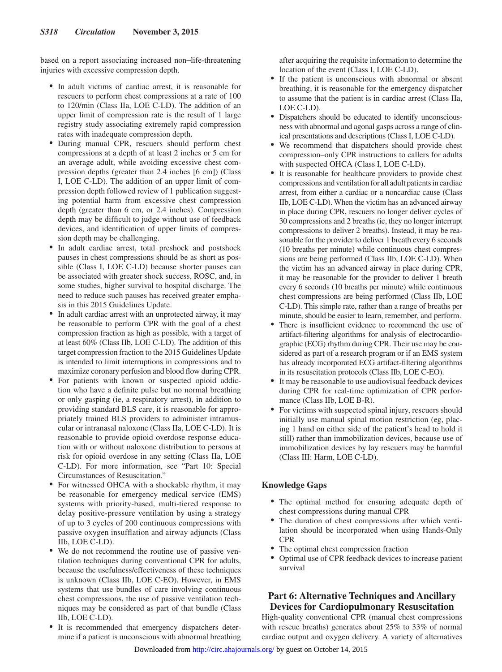based on a report associating increased non–life-threatening injuries with excessive compression depth.

- • In adult victims of cardiac arrest, it is reasonable for rescuers to perform chest compressions at a rate of 100 to 120/min (Class IIa, LOE C-LD). The addition of an upper limit of compression rate is the result of 1 large registry study associating extremely rapid compression rates with inadequate compression depth.
- • During manual CPR, rescuers should perform chest compressions at a depth of at least 2 inches or 5 cm for an average adult, while avoiding excessive chest compression depths (greater than 2.4 inches [6 cm]) (Class I, LOE C-LD). The addition of an upper limit of compression depth followed review of 1 publication suggesting potential harm from excessive chest compression depth (greater than 6 cm, or 2.4 inches). Compression depth may be difficult to judge without use of feedback devices, and identification of upper limits of compression depth may be challenging.
- In adult cardiac arrest, total preshock and postshock pauses in chest compressions should be as short as possible (Class I, LOE C-LD) because shorter pauses can be associated with greater shock success, ROSC, and, in some studies, higher survival to hospital discharge. The need to reduce such pauses has received greater emphasis in this 2015 Guidelines Update.
- In adult cardiac arrest with an unprotected airway, it may be reasonable to perform CPR with the goal of a chest compression fraction as high as possible, with a target of at least 60% (Class IIb, LOE C-LD). The addition of this target compression fraction to the 2015 Guidelines Update is intended to limit interruptions in compressions and to maximize coronary perfusion and blood flow during CPR.
- For patients with known or suspected opioid addiction who have a definite pulse but no normal breathing or only gasping (ie, a respiratory arrest), in addition to providing standard BLS care, it is reasonable for appropriately trained BLS providers to administer intramuscular or intranasal naloxone (Class IIa, LOE C-LD). It is reasonable to provide opioid overdose response education with or without naloxone distribution to persons at risk for opioid overdose in any setting (Class IIa, LOE C-LD). For more information, see "Part 10: Special Circumstances of Resuscitation."
- For witnessed OHCA with a shockable rhythm, it may be reasonable for emergency medical service (EMS) systems with priority-based, multi-tiered response to delay positive-pressure ventilation by using a strategy of up to 3 cycles of 200 continuous compressions with passive oxygen insufflation and airway adjuncts (Class IIb, LOE C-LD).
- We do not recommend the routine use of passive ventilation techniques during conventional CPR for adults, because the usefulness/effectiveness of these techniques is unknown (Class IIb, LOE C-EO). However, in EMS systems that use bundles of care involving continuous chest compressions, the use of passive ventilation techniques may be considered as part of that bundle (Class IIb, LOE C-LD).
- It is recommended that emergency dispatchers determine if a patient is unconscious with abnormal breathing

after acquiring the requisite information to determine the location of the event (Class I, LOE C-LD).

- If the patient is unconscious with abnormal or absent breathing, it is reasonable for the emergency dispatcher to assume that the patient is in cardiac arrest (Class IIa, LOE C-LD).
- Dispatchers should be educated to identify unconsciousness with abnormal and agonal gasps across a range of clinical presentations and descriptions (Class I, LOE C-LD).
- • We recommend that dispatchers should provide chest compression–only CPR instructions to callers for adults with suspected OHCA (Class I, LOE C-LD).
- It is reasonable for healthcare providers to provide chest compressions and ventilation for all adult patients in cardiac arrest, from either a cardiac or a noncardiac cause (Class IIb, LOE C-LD). When the victim has an advanced airway in place during CPR, rescuers no longer deliver cycles of 30 compressions and 2 breaths (ie, they no longer interrupt compressions to deliver 2 breaths). Instead, it may be reasonable for the provider to deliver 1 breath every 6 seconds (10 breaths per minute) while continuous chest compressions are being performed (Class IIb, LOE C-LD). When the victim has an advanced airway in place during CPR, it may be reasonable for the provider to deliver 1 breath every 6 seconds (10 breaths per minute) while continuous chest compressions are being performed (Class IIb, LOE C-LD). This simple rate, rather than a range of breaths per minute, should be easier to learn, remember, and perform.
- There is insufficient evidence to recommend the use of artifact-filtering algorithms for analysis of electrocardiographic (ECG) rhythm during CPR. Their use may be considered as part of a research program or if an EMS system has already incorporated ECG artifact-filtering algorithms in its resuscitation protocols (Class IIb, LOE C-EO).
- It may be reasonable to use audiovisual feedback devices during CPR for real-time optimization of CPR performance (Class IIb, LOE B-R).
- For victims with suspected spinal injury, rescuers should initially use manual spinal motion restriction (eg, placing 1 hand on either side of the patient's head to hold it still) rather than immobilization devices, because use of immobilization devices by lay rescuers may be harmful (Class III: Harm, LOE C-LD).

#### **Knowledge Gaps**

- The optimal method for ensuring adequate depth of chest compressions during manual CPR
- The duration of chest compressions after which ventilation should be incorporated when using Hands-Only CPR
- The optimal chest compression fraction
- • Optimal use of CPR feedback devices to increase patient survival

# **Part 6: Alternative Techniques and Ancillary Devices for Cardiopulmonary Resuscitation**

High-quality conventional CPR (manual chest compressions with rescue breaths) generates about 25% to 33% of normal cardiac output and oxygen delivery. A variety of alternatives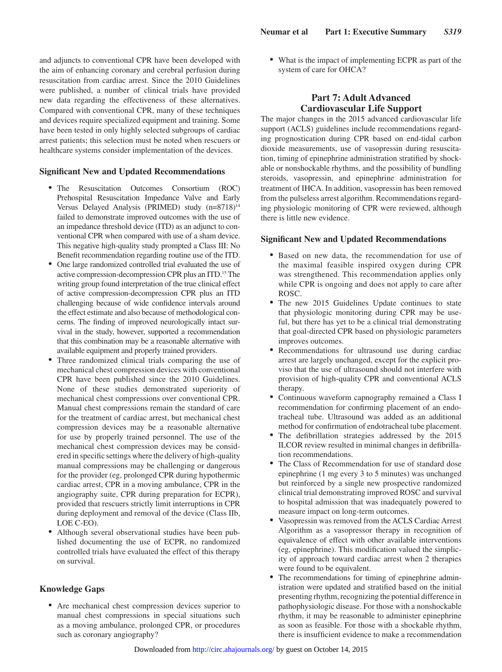and adjuncts to conventional CPR have been developed with the aim of enhancing coronary and cerebral perfusion during resuscitation from cardiac arrest. Since the 2010 Guidelines were published, a number of clinical trials have provided new data regarding the effectiveness of these alternatives. Compared with conventional CPR, many of these techniques and devices require specialized equipment and training. Some have been tested in only highly selected subgroups of cardiac arrest patients; this selection must be noted when rescuers or healthcare systems consider implementation of the devices.

#### **Significant New and Updated Recommendations**

- • The Resuscitation Outcomes Consortium (ROC) Prehospital Resuscitation Impedance Valve and Early Versus Delayed Analysis (PRIMED) study  $(n=8718)^{14}$ failed to demonstrate improved outcomes with the use of an impedance threshold device (ITD) as an adjunct to conventional CPR when compared with use of a sham device. This negative high-quality study prompted a Class III: No Benefit recommendation regarding routine use of the ITD.
- • One large randomized controlled trial evaluated the use of active compression-decompression CPR plus an ITD.15 The writing group found interpretation of the true clinical effect of active compression-decompression CPR plus an ITD challenging because of wide confidence intervals around the effect estimate and also because of methodological concerns. The finding of improved neurologically intact survival in the study, however, supported a recommendation that this combination may be a reasonable alternative with available equipment and properly trained providers.
- Three randomized clinical trials comparing the use of mechanical chest compression devices with conventional CPR have been published since the 2010 Guidelines. None of these studies demonstrated superiority of mechanical chest compressions over conventional CPR. Manual chest compressions remain the standard of care for the treatment of cardiac arrest, but mechanical chest compression devices may be a reasonable alternative for use by properly trained personnel. The use of the mechanical chest compression devices may be considered in specific settings where the delivery of high-quality manual compressions may be challenging or dangerous for the provider (eg, prolonged CPR during hypothermic cardiac arrest, CPR in a moving ambulance, CPR in the angiography suite, CPR during preparation for ECPR), provided that rescuers strictly limit interruptions in CPR during deployment and removal of the device (Class IIb, LOE C-EO).
- Although several observational studies have been published documenting the use of ECPR, no randomized controlled trials have evaluated the effect of this therapy on survival.

#### **Knowledge Gaps**

• Are mechanical chest compression devices superior to manual chest compressions in special situations such as a moving ambulance, prolonged CPR, or procedures such as coronary angiography?

• What is the impact of implementing ECPR as part of the system of care for OHCA?

# **Part 7: Adult Advanced Cardiovascular Life Support**

The major changes in the 2015 advanced cardiovascular life support (ACLS) guidelines include recommendations regarding prognostication during CPR based on end-tidal carbon dioxide measurements, use of vasopressin during resuscitation, timing of epinephrine administration stratified by shockable or nonshockable rhythms, and the possibility of bundling steroids, vasopressin, and epinephrine administration for treatment of IHCA. In addition, vasopressin has been removed from the pulseless arrest algorithm. Recommendations regarding physiologic monitoring of CPR were reviewed, although there is little new evidence.

#### **Significant New and Updated Recommendations**

- Based on new data, the recommendation for use of the maximal feasible inspired oxygen during CPR was strengthened. This recommendation applies only while CPR is ongoing and does not apply to care after ROSC.
- The new 2015 Guidelines Update continues to state that physiologic monitoring during CPR may be useful, but there has yet to be a clinical trial demonstrating that goal-directed CPR based on physiologic parameters improves outcomes.
- Recommendations for ultrasound use during cardiac arrest are largely unchanged, except for the explicit proviso that the use of ultrasound should not interfere with provision of high-quality CPR and conventional ACLS therapy.
- • Continuous waveform capnography remained a Class I recommendation for confirming placement of an endotracheal tube. Ultrasound was added as an additional method for confirmation of endotracheal tube placement.
- The defibrillation strategies addressed by the 2015 ILCOR review resulted in minimal changes in defibrillation recommendations.
- The Class of Recommendation for use of standard dose epinephrine (1 mg every 3 to 5 minutes) was unchanged but reinforced by a single new prospective randomized clinical trial demonstrating improved ROSC and survival to hospital admission that was inadequately powered to measure impact on long-term outcomes.
- • Vasopressin was removed from the ACLS Cardiac Arrest Algorithm as a vasopressor therapy in recognition of equivalence of effect with other available interventions (eg, epinephrine). This modification valued the simplicity of approach toward cardiac arrest when 2 therapies were found to be equivalent.
- The recommendations for timing of epinephrine administration were updated and stratified based on the initial presenting rhythm, recognizing the potential difference in pathophysiologic disease. For those with a nonshockable rhythm, it may be reasonable to administer epinephrine as soon as feasible. For those with a shockable rhythm, there is insufficient evidence to make a recommendation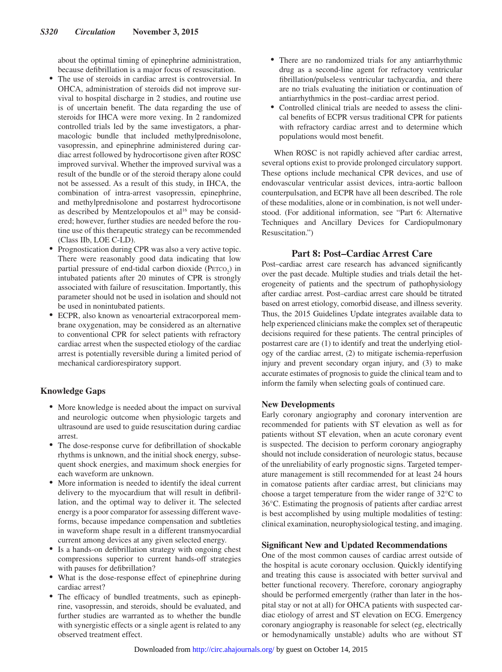about the optimal timing of epinephrine administration, because defibrillation is a major focus of resuscitation.

- The use of steroids in cardiac arrest is controversial. In OHCA, administration of steroids did not improve survival to hospital discharge in 2 studies, and routine use is of uncertain benefit. The data regarding the use of steroids for IHCA were more vexing. In 2 randomized controlled trials led by the same investigators, a pharmacologic bundle that included methylprednisolone, vasopressin, and epinephrine administered during cardiac arrest followed by hydrocortisone given after ROSC improved survival. Whether the improved survival was a result of the bundle or of the steroid therapy alone could not be assessed. As a result of this study, in IHCA, the combination of intra-arrest vasopressin, epinephrine, and methylprednisolone and postarrest hydrocortisone as described by Mentzelopoulos et  $al<sup>16</sup>$  may be considered; however, further studies are needed before the routine use of this therapeutic strategy can be recommended (Class IIb, LOE C-LD).
- Prognostication during CPR was also a very active topic. There were reasonably good data indicating that low partial pressure of end-tidal carbon dioxide  $(Perco<sub>2</sub>)$  in intubated patients after 20 minutes of CPR is strongly associated with failure of resuscitation. Importantly, this parameter should not be used in isolation and should not be used in nonintubated patients.
- ECPR, also known as venoarterial extracorporeal membrane oxygenation, may be considered as an alternative to conventional CPR for select patients with refractory cardiac arrest when the suspected etiology of the cardiac arrest is potentially reversible during a limited period of mechanical cardiorespiratory support.

# **Knowledge Gaps**

- More knowledge is needed about the impact on survival and neurologic outcome when physiologic targets and ultrasound are used to guide resuscitation during cardiac arrest.
- The dose-response curve for defibrillation of shockable rhythms is unknown, and the initial shock energy, subsequent shock energies, and maximum shock energies for each waveform are unknown.
- More information is needed to identify the ideal current delivery to the myocardium that will result in defibrillation, and the optimal way to deliver it. The selected energy is a poor comparator for assessing different waveforms, because impedance compensation and subtleties in waveform shape result in a different transmyocardial current among devices at any given selected energy.
- Is a hands-on defibrillation strategy with ongoing chest compressions superior to current hands-off strategies with pauses for defibrillation?
- What is the dose-response effect of epinephrine during cardiac arrest?
- The efficacy of bundled treatments, such as epinephrine, vasopressin, and steroids, should be evaluated, and further studies are warranted as to whether the bundle with synergistic effects or a single agent is related to any observed treatment effect.
- There are no randomized trials for any antiarrhythmic drug as a second-line agent for refractory ventricular fibrillation/pulseless ventricular tachycardia, and there are no trials evaluating the initiation or continuation of antiarrhythmics in the post–cardiac arrest period.
- Controlled clinical trials are needed to assess the clinical benefits of ECPR versus traditional CPR for patients with refractory cardiac arrest and to determine which populations would most benefit.

When ROSC is not rapidly achieved after cardiac arrest, several options exist to provide prolonged circulatory support. These options include mechanical CPR devices, and use of endovascular ventricular assist devices, intra-aortic balloon counterpulsation, and ECPR have all been described. The role of these modalities, alone or in combination, is not well understood. (For additional information, see "Part 6: Alternative Techniques and Ancillary Devices for Cardiopulmonary Resuscitation.")

#### **Part 8: Post–Cardiac Arrest Care**

Post–cardiac arrest care research has advanced significantly over the past decade. Multiple studies and trials detail the heterogeneity of patients and the spectrum of pathophysiology after cardiac arrest. Post–cardiac arrest care should be titrated based on arrest etiology, comorbid disease, and illness severity. Thus, the 2015 Guidelines Update integrates available data to help experienced clinicians make the complex set of therapeutic decisions required for these patients. The central principles of postarrest care are (1) to identify and treat the underlying etiology of the cardiac arrest, (2) to mitigate ischemia-reperfusion injury and prevent secondary organ injury, and (3) to make accurate estimates of prognosis to guide the clinical team and to inform the family when selecting goals of continued care.

#### **New Developments**

Early coronary angiography and coronary intervention are recommended for patients with ST elevation as well as for patients without ST elevation, when an acute coronary event is suspected. The decision to perform coronary angiography should not include consideration of neurologic status, because of the unreliability of early prognostic signs. Targeted temperature management is still recommended for at least 24 hours in comatose patients after cardiac arrest, but clinicians may choose a target temperature from the wider range of 32°C to 36°C. Estimating the prognosis of patients after cardiac arrest is best accomplished by using multiple modalities of testing: clinical examination, neurophysiological testing, and imaging.

#### **Significant New and Updated Recommendations**

One of the most common causes of cardiac arrest outside of the hospital is acute coronary occlusion. Quickly identifying and treating this cause is associated with better survival and better functional recovery. Therefore, coronary angiography should be performed emergently (rather than later in the hospital stay or not at all) for OHCA patients with suspected cardiac etiology of arrest and ST elevation on ECG. Emergency coronary angiography is reasonable for select (eg, electrically or hemodynamically unstable) adults who are without ST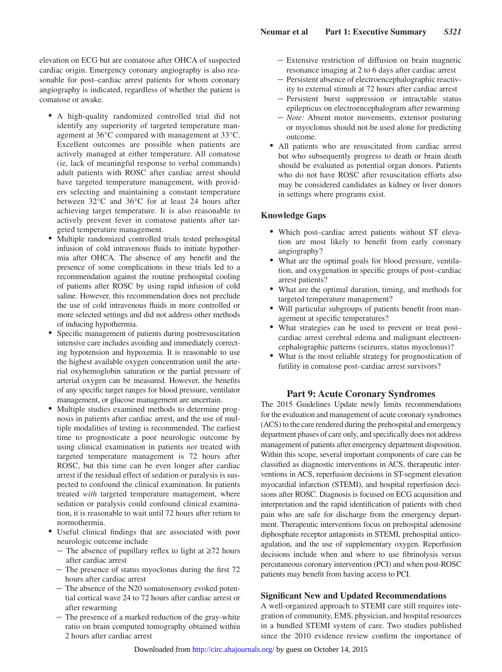elevation on ECG but are comatose after OHCA of suspected cardiac origin. Emergency coronary angiography is also reasonable for post–cardiac arrest patients for whom coronary angiography is indicated, regardless of whether the patient is comatose or awake.

- A high-quality randomized controlled trial did not identify any superiority of targeted temperature management at 36°C compared with management at 33°C. Excellent outcomes are possible when patients are actively managed at either temperature. All comatose (ie, lack of meaningful response to verbal commands) adult patients with ROSC after cardiac arrest should have targeted temperature management, with providers selecting and maintaining a constant temperature between 32°C and 36°C for at least 24 hours after achieving target temperature. It is also reasonable to actively prevent fever in comatose patients after targeted temperature management.
- • Multiple randomized controlled trials tested prehospital infusion of cold intravenous fluids to initiate hypothermia after OHCA. The absence of any benefit and the presence of some complications in these trials led to a recommendation against the routine prehospital cooling of patients after ROSC by using rapid infusion of cold saline. However, this recommendation does not preclude the use of cold intravenous fluids in more controlled or more selected settings and did not address other methods of inducing hypothermia.
- Specific management of patients during postresuscitation intensive care includes avoiding and immediately correcting hypotension and hypoxemia. It is reasonable to use the highest available oxygen concentration until the arterial oxyhemoglobin saturation or the partial pressure of arterial oxygen can be measured. However, the benefits of any specific target ranges for blood pressure, ventilator management, or glucose management are uncertain.
- Multiple studies examined methods to determine prognosis in patients after cardiac arrest, and the use of multiple modalities of testing is recommended. The earliest time to prognosticate a poor neurologic outcome by using clinical examination in patients *not* treated with targeted temperature management is 72 hours after ROSC, but this time can be even longer after cardiac arrest if the residual effect of sedation or paralysis is suspected to confound the clinical examination. In patients treated *with* targeted temperature management, where sedation or paralysis could confound clinical examination, it is reasonable to wait until 72 hours after return to normothermia.
- • Useful clinical findings that are associated with poor neurologic outcome include
	- The absence of pupillary reflex to light at  $\geq 72$  hours after cardiac arrest
	- The presence of status myoclonus during the first 72 hours after cardiac arrest
	- The absence of the N20 somatosensory evoked potential cortical wave 24 to 72 hours after cardiac arrest or after rewarming
	- The presence of a marked reduction of the gray-white ratio on brain computed tomography obtained within 2 hours after cardiac arrest
- Extensive restriction of diffusion on brain magnetic resonance imaging at 2 to 6 days after cardiac arrest
- Persistent absence of electroencephalographic reactivity to external stimuli at 72 hours after cardiac arrest
- Persistent burst suppression or intractable status epilepticus on electroencephalogram after rewarming
- *Note:* Absent motor movements, extensor posturing or myoclonus should not be used alone for predicting outcome.
- • All patients who are resuscitated from cardiac arrest but who subsequently progress to death or brain death should be evaluated as potential organ donors. Patients who do not have ROSC after resuscitation efforts also may be considered candidates as kidney or liver donors in settings where programs exist.

#### **Knowledge Gaps**

- • Which post–cardiac arrest patients without ST elevation are most likely to benefit from early coronary angiography?
- What are the optimal goals for blood pressure, ventilation, and oxygenation in specific groups of post–cardiac arrest patients?
- What are the optimal duration, timing, and methods for targeted temperature management?
- Will particular subgroups of patients benefit from management at specific temperatures?
- What strategies can be used to prevent or treat post– cardiac arrest cerebral edema and malignant electroencephalographic patterns (seizures, status myoclonus)?
- What is the most reliable strategy for prognostication of futility in comatose post–cardiac arrest survivors?

#### **Part 9: Acute Coronary Syndromes**

The 2015 Guidelines Update newly limits recommendations for the evaluation and management of acute coronary syndromes (ACS) to the care rendered during the prehospital and emergency department phases of care only, and specifically does not address management of patients after emergency department disposition. Within this scope, several important components of care can be classified as diagnostic interventions in ACS, therapeutic interventions in ACS, reperfusion decisions in ST-segment elevation myocardial infarction (STEMI), and hospital reperfusion decisions after ROSC. Diagnosis is focused on ECG acquisition and interpretation and the rapid identification of patients with chest pain who are safe for discharge from the emergency department. Therapeutic interventions focus on prehospital adenosine diphosphate receptor antagonists in STEMI, prehospital anticoagulation, and the use of supplementary oxygen. Reperfusion decisions include when and where to use fibrinolysis versus percutaneous coronary intervention (PCI) and when post-ROSC patients may benefit from having access to PCI.

#### **Significant New and Updated Recommendations**

A well-organized approach to STEMI care still requires integration of community, EMS, physician, and hospital resources in a bundled STEMI system of care. Two studies published since the 2010 evidence review confirm the importance of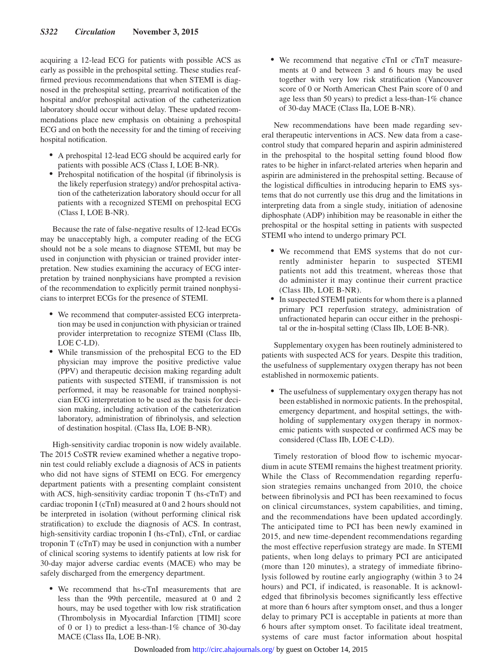acquiring a 12-lead ECG for patients with possible ACS as early as possible in the prehospital setting. These studies reaffirmed previous recommendations that when STEMI is diagnosed in the prehospital setting, prearrival notification of the hospital and/or prehospital activation of the catheterization laboratory should occur without delay. These updated recommendations place new emphasis on obtaining a prehospital ECG and on both the necessity for and the timing of receiving hospital notification.

- A prehospital 12-lead ECG should be acquired early for patients with possible ACS (Class I, LOE B-NR).
- Prehospital notification of the hospital (if fibrinolysis is the likely reperfusion strategy) and/or prehospital activation of the catheterization laboratory should occur for all patients with a recognized STEMI on prehospital ECG (Class I, LOE B-NR).

Because the rate of false-negative results of 12-lead ECGs may be unacceptably high, a computer reading of the ECG should not be a sole means to diagnose STEMI, but may be used in conjunction with physician or trained provider interpretation. New studies examining the accuracy of ECG interpretation by trained nonphysicians have prompted a revision of the recommendation to explicitly permit trained nonphysicians to interpret ECGs for the presence of STEMI.

- • We recommend that computer-assisted ECG interpretation may be used in conjunction with physician or trained provider interpretation to recognize STEMI (Class IIb, LOE C-LD).
- • While transmission of the prehospital ECG to the ED physician may improve the positive predictive value (PPV) and therapeutic decision making regarding adult patients with suspected STEMI, if transmission is not performed, it may be reasonable for trained nonphysician ECG interpretation to be used as the basis for decision making, including activation of the catheterization laboratory, administration of fibrinolysis, and selection of destination hospital. (Class IIa, LOE B-NR).

High-sensitivity cardiac troponin is now widely available. The 2015 CoSTR review examined whether a negative troponin test could reliably exclude a diagnosis of ACS in patients who did not have signs of STEMI on ECG. For emergency department patients with a presenting complaint consistent with ACS, high-sensitivity cardiac troponin T (hs-cTnT) and cardiac troponin I (cTnI) measured at 0 and 2 hours should not be interpreted in isolation (without performing clinical risk stratification) to exclude the diagnosis of ACS. In contrast, high-sensitivity cardiac troponin I (hs-cTnI), cTnI, or cardiac troponin T (cTnT) may be used in conjunction with a number of clinical scoring systems to identify patients at low risk for 30-day major adverse cardiac events (MACE) who may be safely discharged from the emergency department.

• We recommend that hs-cTnI measurements that are less than the 99th percentile, measured at 0 and 2 hours, may be used together with low risk stratification (Thrombolysis in Myocardial Infarction [TIMI] score of 0 or 1) to predict a less-than-1% chance of 30-day MACE (Class IIa, LOE B-NR).

• We recommend that negative cTnI or cTnT measurements at 0 and between 3 and 6 hours may be used together with very low risk stratification (Vancouver score of 0 or North American Chest Pain score of 0 and age less than 50 years) to predict a less-than-1% chance of 30-day MACE (Class IIa, LOE B-NR).

New recommendations have been made regarding several therapeutic interventions in ACS. New data from a casecontrol study that compared heparin and aspirin administered in the prehospital to the hospital setting found blood flow rates to be higher in infarct-related arteries when heparin and aspirin are administered in the prehospital setting. Because of the logistical difficulties in introducing heparin to EMS systems that do not currently use this drug and the limitations in interpreting data from a single study, initiation of adenosine diphosphate (ADP) inhibition may be reasonable in either the prehospital or the hospital setting in patients with suspected STEMI who intend to undergo primary PCI.

- • We recommend that EMS systems that do not currently administer heparin to suspected STEMI patients not add this treatment, whereas those that do administer it may continue their current practice (Class IIb, LOE B-NR).
- In suspected STEMI patients for whom there is a planned primary PCI reperfusion strategy, administration of unfractionated heparin can occur either in the prehospital or the in-hospital setting (Class IIb, LOE B-NR).

Supplementary oxygen has been routinely administered to patients with suspected ACS for years. Despite this tradition, the usefulness of supplementary oxygen therapy has not been established in normoxemic patients.

• The usefulness of supplementary oxygen therapy has not been established in normoxic patients. In the prehospital, emergency department, and hospital settings, the withholding of supplementary oxygen therapy in normoxemic patients with suspected or confirmed ACS may be considered (Class IIb, LOE C-LD).

Timely restoration of blood flow to ischemic myocardium in acute STEMI remains the highest treatment priority. While the Class of Recommendation regarding reperfusion strategies remains unchanged from 2010, the choice between fibrinolysis and PCI has been reexamined to focus on clinical circumstances, system capabilities, and timing, and the recommendations have been updated accordingly. The anticipated time to PCI has been newly examined in 2015, and new time-dependent recommendations regarding the most effective reperfusion strategy are made. In STEMI patients, when long delays to primary PCI are anticipated (more than 120 minutes), a strategy of immediate fibrinolysis followed by routine early angiography (within 3 to 24 hours) and PCI, if indicated, is reasonable. It is acknowledged that fibrinolysis becomes significantly less effective at more than 6 hours after symptom onset, and thus a longer delay to primary PCI is acceptable in patients at more than 6 hours after symptom onset. To facilitate ideal treatment, systems of care must factor information about hospital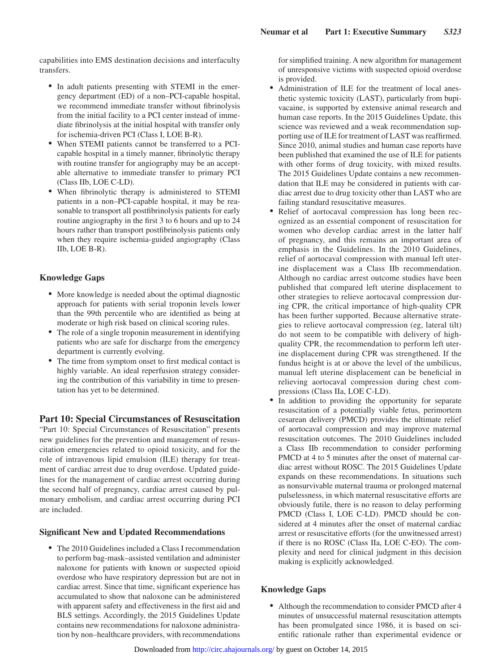capabilities into EMS destination decisions and interfaculty transfers.

- In adult patients presenting with STEMI in the emergency department (ED) of a non–PCI-capable hospital, we recommend immediate transfer without fibrinolysis from the initial facility to a PCI center instead of immediate fibrinolysis at the initial hospital with transfer only for ischemia-driven PCI (Class I, LOE B-R).
- • When STEMI patients cannot be transferred to a PCIcapable hospital in a timely manner, fibrinolytic therapy with routine transfer for angiography may be an acceptable alternative to immediate transfer to primary PCI (Class IIb, LOE C-LD).
- When fibrinolytic therapy is administered to STEMI patients in a non–PCI-capable hospital, it may be reasonable to transport all postfibrinolysis patients for early routine angiography in the first 3 to 6 hours and up to 24 hours rather than transport postfibrinolysis patients only when they require ischemia-guided angiography (Class IIb, LOE B-R).

#### **Knowledge Gaps**

- More knowledge is needed about the optimal diagnostic approach for patients with serial troponin levels lower than the 99th percentile who are identified as being at moderate or high risk based on clinical scoring rules.
- The role of a single troponin measurement in identifying patients who are safe for discharge from the emergency department is currently evolving.
- The time from symptom onset to first medical contact is highly variable. An ideal reperfusion strategy considering the contribution of this variability in time to presentation has yet to be determined.

#### **Part 10: Special Circumstances of Resuscitation**

"Part 10: Special Circumstances of Resuscitation" presents new guidelines for the prevention and management of resuscitation emergencies related to opioid toxicity, and for the role of intravenous lipid emulsion (ILE) therapy for treatment of cardiac arrest due to drug overdose. Updated guidelines for the management of cardiac arrest occurring during the second half of pregnancy, cardiac arrest caused by pulmonary embolism, and cardiac arrest occurring during PCI are included.

#### **Significant New and Updated Recommendations**

• The 2010 Guidelines included a Class I recommendation to perform bag-mask–assisted ventilation and administer naloxone for patients with known or suspected opioid overdose who have respiratory depression but are not in cardiac arrest. Since that time, significant experience has accumulated to show that naloxone can be administered with apparent safety and effectiveness in the first aid and BLS settings. Accordingly, the 2015 Guidelines Update contains new recommendations for naloxone administration by non–healthcare providers, with recommendations

for simplified training. A new algorithm for management of unresponsive victims with suspected opioid overdose is provided.

- Administration of ILE for the treatment of local anesthetic systemic toxicity (LAST), particularly from bupivacaine, is supported by extensive animal research and human case reports. In the 2015 Guidelines Update, this science was reviewed and a weak recommendation supporting use of ILE for treatment of LAST was reaffirmed. Since 2010, animal studies and human case reports have been published that examined the use of ILE for patients with other forms of drug toxicity, with mixed results. The 2015 Guidelines Update contains a new recommendation that ILE may be considered in patients with cardiac arrest due to drug toxicity other than LAST who are failing standard resuscitative measures.
- Relief of aortocaval compression has long been recognized as an essential component of resuscitation for women who develop cardiac arrest in the latter half of pregnancy, and this remains an important area of emphasis in the Guidelines. In the 2010 Guidelines, relief of aortocaval compression with manual left uterine displacement was a Class IIb recommendation. Although no cardiac arrest outcome studies have been published that compared left uterine displacement to other strategies to relieve aortocaval compression during CPR, the critical importance of high-quality CPR has been further supported. Because alternative strategies to relieve aortocaval compression (eg, lateral tilt) do not seem to be compatible with delivery of highquality CPR, the recommendation to perform left uterine displacement during CPR was strengthened. If the fundus height is at or above the level of the umbilicus, manual left uterine displacement can be beneficial in relieving aortocaval compression during chest compressions (Class IIa, LOE C-LD).
- In addition to providing the opportunity for separate resuscitation of a potentially viable fetus, perimortem cesarean delivery (PMCD) provides the ultimate relief of aortocaval compression and may improve maternal resuscitation outcomes. The 2010 Guidelines included a Class IIb recommendation to consider performing PMCD at 4 to 5 minutes after the onset of maternal cardiac arrest without ROSC. The 2015 Guidelines Update expands on these recommendations. In situations such as nonsurvivable maternal trauma or prolonged maternal pulselessness, in which maternal resuscitative efforts are obviously futile, there is no reason to delay performing PMCD (Class I, LOE C-LD). PMCD should be considered at 4 minutes after the onset of maternal cardiac arrest or resuscitative efforts (for the unwitnessed arrest) if there is no ROSC (Class IIa, LOE C-EO). The complexity and need for clinical judgment in this decision making is explicitly acknowledged.

#### **Knowledge Gaps**

• Although the recommendation to consider PMCD after 4 minutes of unsuccessful maternal resuscitation attempts has been promulgated since 1986, it is based on scientific rationale rather than experimental evidence or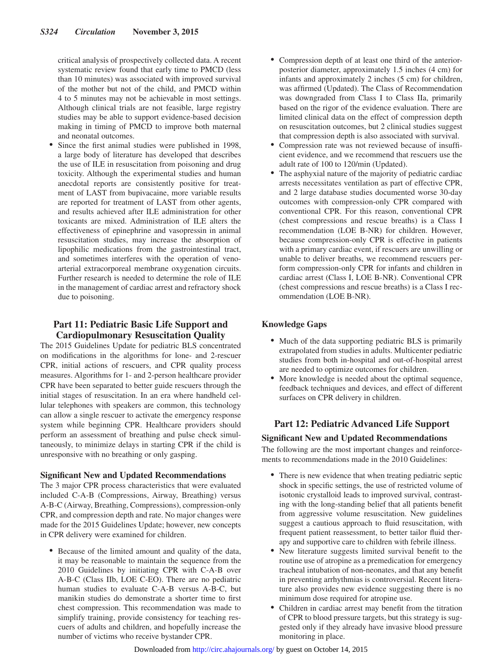critical analysis of prospectively collected data. A recent systematic review found that early time to PMCD (less than 10 minutes) was associated with improved survival of the mother but not of the child, and PMCD within 4 to 5 minutes may not be achievable in most settings. Although clinical trials are not feasible, large registry studies may be able to support evidence-based decision making in timing of PMCD to improve both maternal and neonatal outcomes.

• Since the first animal studies were published in 1998, a large body of literature has developed that describes the use of ILE in resuscitation from poisoning and drug toxicity. Although the experimental studies and human anecdotal reports are consistently positive for treatment of LAST from bupivacaine, more variable results are reported for treatment of LAST from other agents, and results achieved after ILE administration for other toxicants are mixed. Administration of ILE alters the effectiveness of epinephrine and vasopressin in animal resuscitation studies, may increase the absorption of lipophilic medications from the gastrointestinal tract, and sometimes interferes with the operation of venoarterial extracorporeal membrane oxygenation circuits. Further research is needed to determine the role of ILE in the management of cardiac arrest and refractory shock due to poisoning.

# **Part 11: Pediatric Basic Life Support and Cardiopulmonary Resuscitation Quality**

The 2015 Guidelines Update for pediatric BLS concentrated on modifications in the algorithms for lone- and 2-rescuer CPR, initial actions of rescuers, and CPR quality process measures. Algorithms for 1- and 2-person healthcare provider CPR have been separated to better guide rescuers through the initial stages of resuscitation. In an era where handheld cellular telephones with speakers are common, this technology can allow a single rescuer to activate the emergency response system while beginning CPR. Healthcare providers should perform an assessment of breathing and pulse check simultaneously, to minimize delays in starting CPR if the child is unresponsive with no breathing or only gasping.

#### **Significant New and Updated Recommendations**

The 3 major CPR process characteristics that were evaluated included C-A-B (Compressions, Airway, Breathing) versus A-B-C (Airway, Breathing, Compressions), compression-only CPR, and compression depth and rate. No major changes were made for the 2015 Guidelines Update; however, new concepts in CPR delivery were examined for children.

• Because of the limited amount and quality of the data, it may be reasonable to maintain the sequence from the 2010 Guidelines by initiating CPR with C-A-B over A-B-C (Class IIb, LOE C-EO). There are no pediatric human studies to evaluate C-A-B versus A-B-C, but manikin studies do demonstrate a shorter time to first chest compression. This recommendation was made to simplify training, provide consistency for teaching rescuers of adults and children, and hopefully increase the number of victims who receive bystander CPR.

- Compression depth of at least one third of the anteriorposterior diameter, approximately 1.5 inches (4 cm) for infants and approximately 2 inches (5 cm) for children, was affirmed (Updated). The Class of Recommendation was downgraded from Class I to Class IIa, primarily based on the rigor of the evidence evaluation. There are limited clinical data on the effect of compression depth on resuscitation outcomes, but 2 clinical studies suggest that compression depth is also associated with survival.
- Compression rate was not reviewed because of insufficient evidence, and we recommend that rescuers use the adult rate of 100 to 120/min (Updated).
- The asphyxial nature of the majority of pediatric cardiac arrests necessitates ventilation as part of effective CPR, and 2 large database studies documented worse 30-day outcomes with compression-only CPR compared with conventional CPR. For this reason, conventional CPR (chest compressions and rescue breaths) is a Class I recommendation (LOE B-NR) for children. However, because compression-only CPR is effective in patients with a primary cardiac event, if rescuers are unwilling or unable to deliver breaths, we recommend rescuers perform compression-only CPR for infants and children in cardiac arrest (Class I, LOE B-NR). Conventional CPR (chest compressions and rescue breaths) is a Class I recommendation (LOE B-NR).

# **Knowledge Gaps**

- Much of the data supporting pediatric BLS is primarily extrapolated from studies in adults. Multicenter pediatric studies from both in-hospital and out-of-hospital arrest are needed to optimize outcomes for children.
- • More knowledge is needed about the optimal sequence, feedback techniques and devices, and effect of different surfaces on CPR delivery in children.

# **Part 12: Pediatric Advanced Life Support Significant New and Updated Recommendations**

The following are the most important changes and reinforcements to recommendations made in the 2010 Guidelines:

- There is new evidence that when treating pediatric septic shock in specific settings, the use of restricted volume of isotonic crystalloid leads to improved survival, contrasting with the long-standing belief that all patients benefit from aggressive volume resuscitation. New guidelines suggest a cautious approach to fluid resuscitation, with frequent patient reassessment, to better tailor fluid therapy and supportive care to children with febrile illness.
- • New literature suggests limited survival benefit to the routine use of atropine as a premedication for emergency tracheal intubation of non-neonates, and that any benefit in preventing arrhythmias is controversial. Recent literature also provides new evidence suggesting there is no minimum dose required for atropine use.
- Children in cardiac arrest may benefit from the titration of CPR to blood pressure targets, but this strategy is suggested only if they already have invasive blood pressure monitoring in place.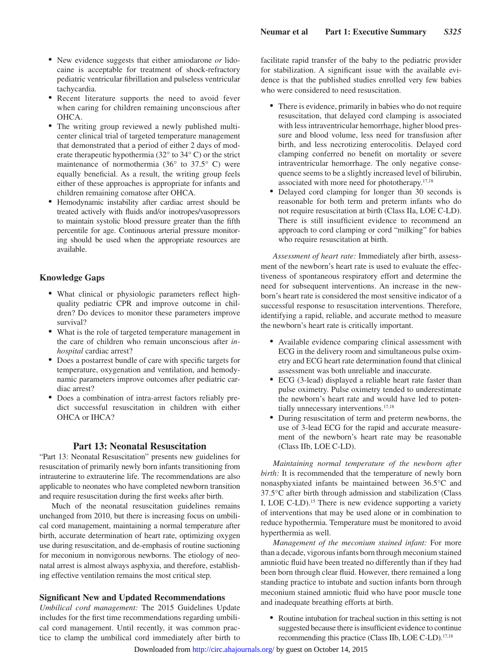- New evidence suggests that either amiodarone *or* lidocaine is acceptable for treatment of shock-refractory pediatric ventricular fibrillation and pulseless ventricular tachycardia.
- Recent literature supports the need to avoid fever when caring for children remaining unconscious after OHCA.
- The writing group reviewed a newly published multicenter clinical trial of targeted temperature management that demonstrated that a period of either 2 days of moderate therapeutic hypothermia (32° to 34° C) or the strict maintenance of normothermia (36° to 37.5° C) were equally beneficial. As a result, the writing group feels either of these approaches is appropriate for infants and children remaining comatose after OHCA.
- • Hemodynamic instability after cardiac arrest should be treated actively with fluids and/or inotropes/vasopressors to maintain systolic blood pressure greater than the fifth percentile for age. Continuous arterial pressure monitoring should be used when the appropriate resources are available.

#### **Knowledge Gaps**

- • What clinical or physiologic parameters reflect highquality pediatric CPR and improve outcome in children? Do devices to monitor these parameters improve survival?
- What is the role of targeted temperature management in the care of children who remain unconscious after *inhospital* cardiac arrest?
- Does a postarrest bundle of care with specific targets for temperature, oxygenation and ventilation, and hemodynamic parameters improve outcomes after pediatric cardiac arrest?
- Does a combination of intra-arrest factors reliably predict successful resuscitation in children with either OHCA or IHCA?

#### **Part 13: Neonatal Resuscitation**

"Part 13: Neonatal Resuscitation" presents new guidelines for resuscitation of primarily newly born infants transitioning from intrauterine to extrauterine life. The recommendations are also applicable to neonates who have completed newborn transition and require resuscitation during the first weeks after birth.

Much of the neonatal resuscitation guidelines remains unchanged from 2010, but there is increasing focus on umbilical cord management, maintaining a normal temperature after birth, accurate determination of heart rate, optimizing oxygen use during resuscitation, and de-emphasis of routine suctioning for meconium in nonvigorous newborns. The etiology of neonatal arrest is almost always asphyxia, and therefore, establishing effective ventilation remains the most critical step.

#### **Significant New and Updated Recommendations**

*Umbilical cord management:* The 2015 Guidelines Update includes for the first time recommendations regarding umbilical cord management. Until recently, it was common practice to clamp the umbilical cord immediately after birth to facilitate rapid transfer of the baby to the pediatric provider for stabilization. A significant issue with the available evidence is that the published studies enrolled very few babies who were considered to need resuscitation.

- There is evidence, primarily in babies who do not require resuscitation, that delayed cord clamping is associated with less intraventricular hemorrhage, higher blood pressure and blood volume, less need for transfusion after birth, and less necrotizing enterocolitis. Delayed cord clamping conferred no benefit on mortality or severe intraventricular hemorrhage. The only negative consequence seems to be a slightly increased level of bilirubin, associated with more need for phototherapy.17,18
- • Delayed cord clamping for longer than 30 seconds is reasonable for both term and preterm infants who do not require resuscitation at birth (Class IIa, LOE C-LD). There is still insufficient evidence to recommend an approach to cord clamping or cord "milking" for babies who require resuscitation at birth.

*Assessment of heart rate:* Immediately after birth, assessment of the newborn's heart rate is used to evaluate the effectiveness of spontaneous respiratory effort and determine the need for subsequent interventions. An increase in the newborn's heart rate is considered the most sensitive indicator of a successful response to resuscitation interventions. Therefore, identifying a rapid, reliable, and accurate method to measure the newborn's heart rate is critically important.

- Available evidence comparing clinical assessment with ECG in the delivery room and simultaneous pulse oximetry and ECG heart rate determination found that clinical assessment was both unreliable and inaccurate.
- ECG (3-lead) displayed a reliable heart rate faster than pulse oximetry. Pulse oximetry tended to underestimate the newborn's heart rate and would have led to potentially unnecessary interventions.<sup>17,18</sup>
- During resuscitation of term and preterm newborns, the use of 3-lead ECG for the rapid and accurate measurement of the newborn's heart rate may be reasonable (Class IIb, LOE C-LD).

*Maintaining normal temperature of the newborn after birth:* It is recommended that the temperature of newly born nonasphyxiated infants be maintained between 36.5°C and 37.5°C after birth through admission and stabilization (Class I, LOE C-LD).<sup>15</sup> There is new evidence supporting a variety of interventions that may be used alone or in combination to reduce hypothermia. Temperature must be monitored to avoid hyperthermia as well.

*Management of the meconium stained infant:* For more than a decade, vigorous infants born through meconium stained amniotic fluid have been treated no differently than if they had been born through clear fluid. However, there remained a long standing practice to intubate and suction infants born through meconium stained amniotic fluid who have poor muscle tone and inadequate breathing efforts at birth.

• Routine intubation for tracheal suction in this setting is not suggested because there is insufficient evidence to continue recommending this practice (Class IIb, LOE C-LD).17,18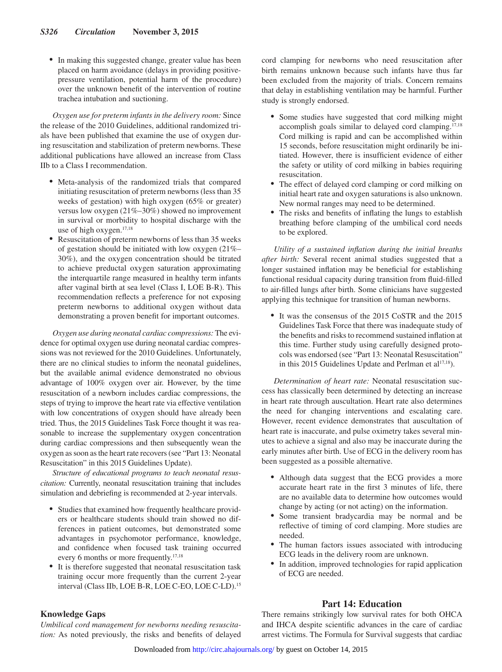• In making this suggested change, greater value has been placed on harm avoidance (delays in providing positivepressure ventilation, potential harm of the procedure) over the unknown benefit of the intervention of routine trachea intubation and suctioning.

*Oxygen use for preterm infants in the delivery room:* Since the release of the 2010 Guidelines, additional randomized trials have been published that examine the use of oxygen during resuscitation and stabilization of preterm newborns. These additional publications have allowed an increase from Class IIb to a Class I recommendation.

- • Meta-analysis of the randomized trials that compared initiating resuscitation of preterm newborns (less than 35 weeks of gestation) with high oxygen (65% or greater) versus low oxygen (21%–30%) showed no improvement in survival or morbidity to hospital discharge with the use of high oxygen. $17,18$
- Resuscitation of preterm newborns of less than 35 weeks of gestation should be initiated with low oxygen (21%– 30%), and the oxygen concentration should be titrated to achieve preductal oxygen saturation approximating the interquartile range measured in healthy term infants after vaginal birth at sea level (Class I, LOE B-R). This recommendation reflects a preference for not exposing preterm newborns to additional oxygen without data demonstrating a proven benefit for important outcomes.

*Oxygen use during neonatal cardiac compressions:* The evidence for optimal oxygen use during neonatal cardiac compressions was not reviewed for the 2010 Guidelines. Unfortunately, there are no clinical studies to inform the neonatal guidelines, but the available animal evidence demonstrated no obvious advantage of 100% oxygen over air. However, by the time resuscitation of a newborn includes cardiac compressions, the steps of trying to improve the heart rate via effective ventilation with low concentrations of oxygen should have already been tried. Thus, the 2015 Guidelines Task Force thought it was reasonable to increase the supplementary oxygen concentration during cardiac compressions and then subsequently wean the oxygen as soon as the heart rate recovers (see "Part 13: Neonatal Resuscitation" in this 2015 Guidelines Update).

*Structure of educational programs to teach neonatal resuscitation:* Currently, neonatal resuscitation training that includes simulation and debriefing is recommended at 2-year intervals.

- Studies that examined how frequently healthcare providers or healthcare students should train showed no differences in patient outcomes, but demonstrated some advantages in psychomotor performance, knowledge, and confidence when focused task training occurred every 6 months or more frequently.17,18
- It is therefore suggested that neonatal resuscitation task training occur more frequently than the current 2-year interval (Class IIb, LOE B-R, LOE C-EO, LOE C-LD).15

cord clamping for newborns who need resuscitation after birth remains unknown because such infants have thus far been excluded from the majority of trials. Concern remains that delay in establishing ventilation may be harmful. Further study is strongly endorsed.

- Some studies have suggested that cord milking might accomplish goals similar to delayed cord clamping.<sup>17,18</sup> Cord milking is rapid and can be accomplished within 15 seconds, before resuscitation might ordinarily be initiated. However, there is insufficient evidence of either the safety or utility of cord milking in babies requiring resuscitation.
- The effect of delayed cord clamping or cord milking on initial heart rate and oxygen saturations is also unknown. New normal ranges may need to be determined.
- The risks and benefits of inflating the lungs to establish breathing before clamping of the umbilical cord needs to be explored.

*Utility of a sustained inflation during the initial breaths after birth:* Several recent animal studies suggested that a longer sustained inflation may be beneficial for establishing functional residual capacity during transition from fluid-filled to air-filled lungs after birth. Some clinicians have suggested applying this technique for transition of human newborns.

• It was the consensus of the 2015 CoSTR and the 2015 Guidelines Task Force that there was inadequate study of the benefits and risks to recommend sustained inflation at this time. Further study using carefully designed protocols was endorsed (see "Part 13: Neonatal Resuscitation" in this 2015 Guidelines Update and Perlman et al<sup>17,18</sup>).

*Determination of heart rate:* Neonatal resuscitation success has classically been determined by detecting an increase in heart rate through auscultation. Heart rate also determines the need for changing interventions and escalating care. However, recent evidence demonstrates that auscultation of heart rate is inaccurate, and pulse oximetry takes several minutes to achieve a signal and also may be inaccurate during the early minutes after birth. Use of ECG in the delivery room has been suggested as a possible alternative.

- Although data suggest that the ECG provides a more accurate heart rate in the first 3 minutes of life, there are no available data to determine how outcomes would change by acting (or not acting) on the information.
- • Some transient bradycardia may be normal and be reflective of timing of cord clamping. More studies are needed.
- The human factors issues associated with introducing ECG leads in the delivery room are unknown.
- In addition, improved technologies for rapid application of ECG are needed.

#### **Part 14: Education**

There remains strikingly low survival rates for both OHCA and IHCA despite scientific advances in the care of cardiac arrest victims. The Formula for Survival suggests that cardiac

# **Knowledge Gaps**

*Umbilical cord management for newborns needing resuscitation:* As noted previously, the risks and benefits of delayed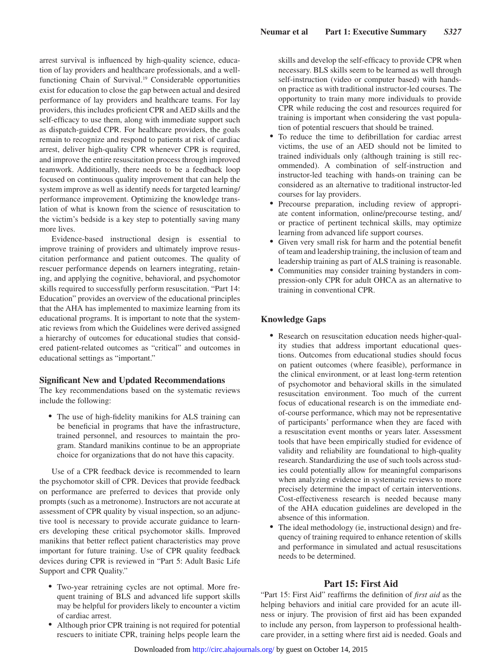arrest survival is influenced by high-quality science, education of lay providers and healthcare professionals, and a wellfunctioning Chain of Survival.<sup>19</sup> Considerable opportunities exist for education to close the gap between actual and desired performance of lay providers and healthcare teams. For lay providers, this includes proficient CPR and AED skills and the self-efficacy to use them, along with immediate support such as dispatch-guided CPR. For healthcare providers, the goals remain to recognize and respond to patients at risk of cardiac arrest, deliver high-quality CPR whenever CPR is required, and improve the entire resuscitation process through improved teamwork. Additionally, there needs to be a feedback loop focused on continuous quality improvement that can help the system improve as well as identify needs for targeted learning/ performance improvement. Optimizing the knowledge translation of what is known from the science of resuscitation to the victim's bedside is a key step to potentially saving many more lives.

Evidence-based instructional design is essential to improve training of providers and ultimately improve resuscitation performance and patient outcomes. The quality of rescuer performance depends on learners integrating, retaining, and applying the cognitive, behavioral, and psychomotor skills required to successfully perform resuscitation. "Part 14: Education" provides an overview of the educational principles that the AHA has implemented to maximize learning from its educational programs. It is important to note that the systematic reviews from which the Guidelines were derived assigned a hierarchy of outcomes for educational studies that considered patient-related outcomes as "critical" and outcomes in educational settings as "important."

#### **Significant New and Updated Recommendations**

The key recommendations based on the systematic reviews include the following:

• The use of high-fidelity manikins for ALS training can be beneficial in programs that have the infrastructure, trained personnel, and resources to maintain the program. Standard manikins continue to be an appropriate choice for organizations that do not have this capacity.

Use of a CPR feedback device is recommended to learn the psychomotor skill of CPR. Devices that provide feedback on performance are preferred to devices that provide only prompts (such as a metronome). Instructors are not accurate at assessment of CPR quality by visual inspection, so an adjunctive tool is necessary to provide accurate guidance to learners developing these critical psychomotor skills. Improved manikins that better reflect patient characteristics may prove important for future training. Use of CPR quality feedback devices during CPR is reviewed in "Part 5: Adult Basic Life Support and CPR Quality."

- Two-year retraining cycles are not optimal. More frequent training of BLS and advanced life support skills may be helpful for providers likely to encounter a victim of cardiac arrest.
- Although prior CPR training is not required for potential rescuers to initiate CPR, training helps people learn the

skills and develop the self-efficacy to provide CPR when necessary. BLS skills seem to be learned as well through self-instruction (video or computer based) with handson practice as with traditional instructor-led courses. The opportunity to train many more individuals to provide CPR while reducing the cost and resources required for training is important when considering the vast population of potential rescuers that should be trained.

- To reduce the time to defibrillation for cardiac arrest victims, the use of an AED should not be limited to trained individuals only (although training is still recommended). A combination of self-instruction and instructor-led teaching with hands-on training can be considered as an alternative to traditional instructor-led courses for lay providers.
- Precourse preparation, including review of appropriate content information, online/precourse testing, and/ or practice of pertinent technical skills, may optimize learning from advanced life support courses.
- Given very small risk for harm and the potential benefit of team and leadership training, the inclusion of team and leadership training as part of ALS training is reasonable.
- • Communities may consider training bystanders in compression-only CPR for adult OHCA as an alternative to training in conventional CPR.

#### **Knowledge Gaps**

- Research on resuscitation education needs higher-quality studies that address important educational questions. Outcomes from educational studies should focus on patient outcomes (where feasible), performance in the clinical environment, or at least long-term retention of psychomotor and behavioral skills in the simulated resuscitation environment. Too much of the current focus of educational research is on the immediate endof-course performance, which may not be representative of participants' performance when they are faced with a resuscitation event months or years later. Assessment tools that have been empirically studied for evidence of validity and reliability are foundational to high-quality research. Standardizing the use of such tools across studies could potentially allow for meaningful comparisons when analyzing evidence in systematic reviews to more precisely determine the impact of certain interventions. Cost-effectiveness research is needed because many of the AHA education guidelines are developed in the absence of this information.
- The ideal methodology (ie, instructional design) and frequency of training required to enhance retention of skills and performance in simulated and actual resuscitations needs to be determined.

#### **Part 15: First Aid**

"Part 15: First Aid" reaffirms the definition of *first aid* as the helping behaviors and initial care provided for an acute illness or injury. The provision of first aid has been expanded to include any person, from layperson to professional healthcare provider, in a setting where first aid is needed. Goals and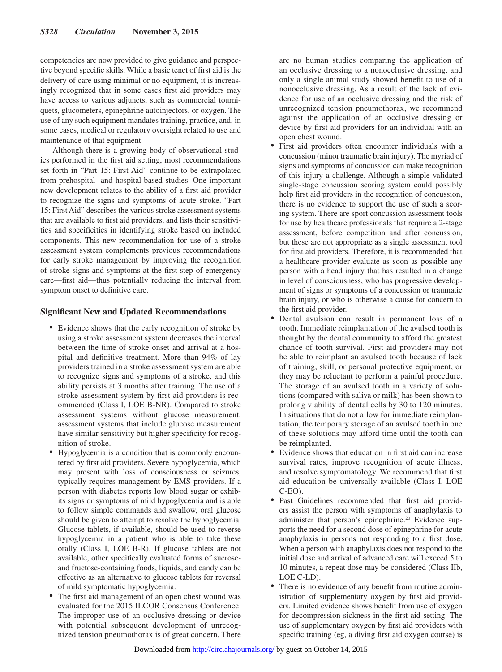competencies are now provided to give guidance and perspective beyond specific skills. While a basic tenet of first aid is the delivery of care using minimal or no equipment, it is increasingly recognized that in some cases first aid providers may have access to various adjuncts, such as commercial tourniquets, glucometers, epinephrine autoinjectors, or oxygen. The use of any such equipment mandates training, practice, and, in some cases, medical or regulatory oversight related to use and maintenance of that equipment.

Although there is a growing body of observational studies performed in the first aid setting, most recommendations set forth in "Part 15: First Aid" continue to be extrapolated from prehospital- and hospital-based studies. One important new development relates to the ability of a first aid provider to recognize the signs and symptoms of acute stroke. "Part 15: First Aid" describes the various stroke assessment systems that are available to first aid providers, and lists their sensitivities and specificities in identifying stroke based on included components. This new recommendation for use of a stroke assessment system complements previous recommendations for early stroke management by improving the recognition of stroke signs and symptoms at the first step of emergency care—first aid—thus potentially reducing the interval from symptom onset to definitive care.

#### **Significant New and Updated Recommendations**

- Evidence shows that the early recognition of stroke by using a stroke assessment system decreases the interval between the time of stroke onset and arrival at a hospital and definitive treatment. More than 94% of lay providers trained in a stroke assessment system are able to recognize signs and symptoms of a stroke, and this ability persists at 3 months after training. The use of a stroke assessment system by first aid providers is recommended (Class I, LOE B-NR). Compared to stroke assessment systems without glucose measurement, assessment systems that include glucose measurement have similar sensitivity but higher specificity for recognition of stroke.
- Hypoglycemia is a condition that is commonly encountered by first aid providers. Severe hypoglycemia, which may present with loss of consciousness or seizures, typically requires management by EMS providers. If a person with diabetes reports low blood sugar or exhibits signs or symptoms of mild hypoglycemia and is able to follow simple commands and swallow, oral glucose should be given to attempt to resolve the hypoglycemia. Glucose tablets, if available, should be used to reverse hypoglycemia in a patient who is able to take these orally (Class I, LOE B-R). If glucose tablets are not available, other specifically evaluated forms of sucroseand fructose-containing foods, liquids, and candy can be effective as an alternative to glucose tablets for reversal of mild symptomatic hypoglycemia.
- The first aid management of an open chest wound was evaluated for the 2015 ILCOR Consensus Conference. The improper use of an occlusive dressing or device with potential subsequent development of unrecognized tension pneumothorax is of great concern. There

are no human studies comparing the application of an occlusive dressing to a nonocclusive dressing, and only a single animal study showed benefit to use of a nonocclusive dressing. As a result of the lack of evidence for use of an occlusive dressing and the risk of unrecognized tension pneumothorax, we recommend against the application of an occlusive dressing or device by first aid providers for an individual with an open chest wound.

- • First aid providers often encounter individuals with a concussion (minor traumatic brain injury). The myriad of signs and symptoms of concussion can make recognition of this injury a challenge. Although a simple validated single-stage concussion scoring system could possibly help first aid providers in the recognition of concussion, there is no evidence to support the use of such a scoring system. There are sport concussion assessment tools for use by healthcare professionals that require a 2-stage assessment, before competition and after concussion, but these are not appropriate as a single assessment tool for first aid providers. Therefore, it is recommended that a healthcare provider evaluate as soon as possible any person with a head injury that has resulted in a change in level of consciousness, who has progressive development of signs or symptoms of a concussion or traumatic brain injury, or who is otherwise a cause for concern to the first aid provider.
- Dental avulsion can result in permanent loss of a tooth. Immediate reimplantation of the avulsed tooth is thought by the dental community to afford the greatest chance of tooth survival. First aid providers may not be able to reimplant an avulsed tooth because of lack of training, skill, or personal protective equipment, or they may be reluctant to perform a painful procedure. The storage of an avulsed tooth in a variety of solutions (compared with saliva or milk) has been shown to prolong viability of dental cells by 30 to 120 minutes. In situations that do not allow for immediate reimplantation, the temporary storage of an avulsed tooth in one of these solutions may afford time until the tooth can be reimplanted.
- Evidence shows that education in first aid can increase survival rates, improve recognition of acute illness, and resolve symptomatology. We recommend that first aid education be universally available (Class I, LOE C-EO).
- Past Guidelines recommended that first aid providers assist the person with symptoms of anaphylaxis to administer that person's epinephrine.<sup>20</sup> Evidence supports the need for a second dose of epinephrine for acute anaphylaxis in persons not responding to a first dose. When a person with anaphylaxis does not respond to the initial dose and arrival of advanced care will exceed 5 to 10 minutes, a repeat dose may be considered (Class IIb, LOE C-LD).
- There is no evidence of any benefit from routine administration of supplementary oxygen by first aid providers. Limited evidence shows benefit from use of oxygen for decompression sickness in the first aid setting. The use of supplementary oxygen by first aid providers with specific training (eg, a diving first aid oxygen course) is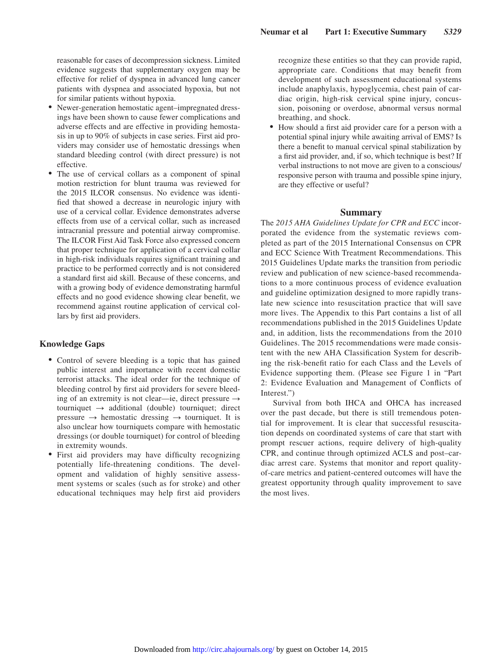reasonable for cases of decompression sickness. Limited evidence suggests that supplementary oxygen may be effective for relief of dyspnea in advanced lung cancer patients with dyspnea and associated hypoxia, but not for similar patients without hypoxia.

- Newer-generation hemostatic agent–impregnated dressings have been shown to cause fewer complications and adverse effects and are effective in providing hemostasis in up to 90% of subjects in case series. First aid providers may consider use of hemostatic dressings when standard bleeding control (with direct pressure) is not effective.
- The use of cervical collars as a component of spinal motion restriction for blunt trauma was reviewed for the 2015 ILCOR consensus. No evidence was identified that showed a decrease in neurologic injury with use of a cervical collar. Evidence demonstrates adverse effects from use of a cervical collar, such as increased intracranial pressure and potential airway compromise. The ILCOR First Aid Task Force also expressed concern that proper technique for application of a cervical collar in high-risk individuals requires significant training and practice to be performed correctly and is not considered a standard first aid skill. Because of these concerns, and with a growing body of evidence demonstrating harmful effects and no good evidence showing clear benefit, we recommend against routine application of cervical collars by first aid providers.

#### **Knowledge Gaps**

- Control of severe bleeding is a topic that has gained public interest and importance with recent domestic terrorist attacks. The ideal order for the technique of bleeding control by first aid providers for severe bleeding of an extremity is not clear—ie, direct pressure  $\rightarrow$ tourniquet  $\rightarrow$  additional (double) tourniquet; direct pressure  $\rightarrow$  hemostatic dressing  $\rightarrow$  tourniquet. It is also unclear how tourniquets compare with hemostatic dressings (or double tourniquet) for control of bleeding in extremity wounds.
- First aid providers may have difficulty recognizing potentially life-threatening conditions. The development and validation of highly sensitive assessment systems or scales (such as for stroke) and other educational techniques may help first aid providers

recognize these entities so that they can provide rapid, appropriate care. Conditions that may benefit from development of such assessment educational systems include anaphylaxis, hypoglycemia, chest pain of cardiac origin, high-risk cervical spine injury, concussion, poisoning or overdose, abnormal versus normal breathing, and shock.

• How should a first aid provider care for a person with a potential spinal injury while awaiting arrival of EMS? Is there a benefit to manual cervical spinal stabilization by a first aid provider, and, if so, which technique is best? If verbal instructions to not move are given to a conscious/ responsive person with trauma and possible spine injury, are they effective or useful?

#### **Summary**

The *2015 AHA Guidelines Update for CPR and ECC* incorporated the evidence from the systematic reviews completed as part of the 2015 International Consensus on CPR and ECC Science With Treatment Recommendations. This 2015 Guidelines Update marks the transition from periodic review and publication of new science-based recommendations to a more continuous process of evidence evaluation and guideline optimization designed to more rapidly translate new science into resuscitation practice that will save more lives. The Appendix to this Part contains a list of all recommendations published in the 2015 Guidelines Update and, in addition, lists the recommendations from the 2010 Guidelines. The 2015 recommendations were made consistent with the new AHA Classification System for describing the risk-benefit ratio for each Class and the Levels of Evidence supporting them. (Please see Figure 1 in "Part 2: Evidence Evaluation and Management of Conflicts of Interest.")

Survival from both IHCA and OHCA has increased over the past decade, but there is still tremendous potential for improvement. It is clear that successful resuscitation depends on coordinated systems of care that start with prompt rescuer actions, require delivery of high-quality CPR, and continue through optimized ACLS and post–cardiac arrest care. Systems that monitor and report qualityof-care metrics and patient-centered outcomes will have the greatest opportunity through quality improvement to save the most lives.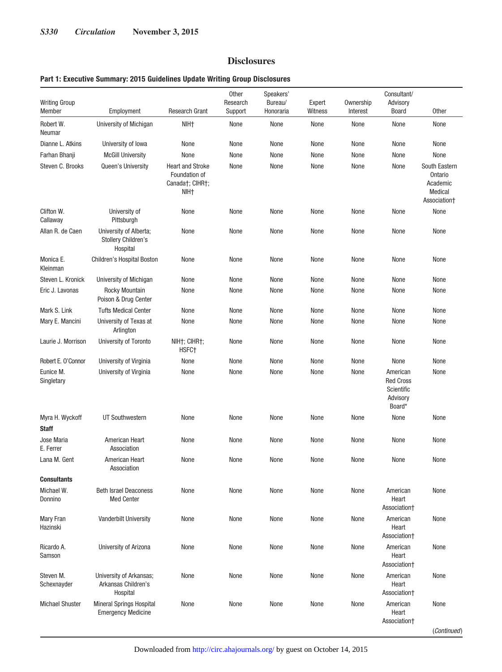# **Disclosures**

# **Part 1: Executive Summary: 2015 Guidelines Update Writing Group Disclosures**

| <b>Writing Group</b>            |                                                                  |                                                                     | <b>Other</b><br>Research | Speakers'<br>Bureau/ | Expert          | Ownership        | Consultant/<br>Advisory                                          |                                                                 |
|---------------------------------|------------------------------------------------------------------|---------------------------------------------------------------------|--------------------------|----------------------|-----------------|------------------|------------------------------------------------------------------|-----------------------------------------------------------------|
| Member<br>Robert W.             | Employment<br>University of Michigan                             | <b>Research Grant</b><br>NIH <sub>†</sub>                           | Support<br>None          | Honoraria<br>None    | Witness<br>None | Interest<br>None | <b>Board</b><br>None                                             | <b>Other</b><br>None                                            |
| Neumar                          |                                                                  |                                                                     |                          |                      |                 |                  |                                                                  |                                                                 |
| Dianne L. Atkins                | University of lowa                                               | None                                                                | None                     | None                 | None            | None             | None                                                             | None                                                            |
| Farhan Bhanji                   | <b>McGill University</b>                                         | None                                                                | None                     | None                 | None            | None             | None                                                             | None                                                            |
| Steven C. Brooks                | Queen's University                                               | <b>Heart and Stroke</b><br>Foundation of<br>Canada†; CIHR†;<br>NIH† | None                     | None                 | None            | None             | None                                                             | South Eastern<br>Ontario<br>Academic<br>Medical<br>Association+ |
| Clifton W.<br>Callaway          | University of<br>Pittsburgh                                      | None                                                                | None                     | None                 | None            | None             | None                                                             | None                                                            |
| Allan R. de Caen                | University of Alberta;<br><b>Stollery Children's</b><br>Hospital | None                                                                | None                     | None                 | None            | None             | None                                                             | None                                                            |
| Monica E.<br>Kleinman           | Children's Hospital Boston                                       | None                                                                | None                     | None                 | None            | None             | None                                                             | None                                                            |
| Steven L. Kronick               | University of Michigan                                           | None                                                                | None                     | None                 | None            | None             | None                                                             | None                                                            |
| Eric J. Lavonas                 | Rocky Mountain<br>Poison & Drug Center                           | None                                                                | None                     | None                 | None            | None             | None                                                             | None                                                            |
| Mark S. Link                    | <b>Tufts Medical Center</b>                                      | None                                                                | None                     | None                 | None            | None             | None                                                             | None                                                            |
| Mary E. Mancini                 | University of Texas at<br>Arlington                              | None                                                                | None                     | None                 | None            | None             | None                                                             | None                                                            |
| Laurie J. Morrison              | University of Toronto                                            | NIH <sub>+</sub> ; CIHR <sub>+</sub> ;<br>HSFC+                     | None                     | None                 | None            | None             | None                                                             | None                                                            |
| Robert E. O'Connor              | University of Virginia                                           | None                                                                | None                     | None                 | None            | None             | None                                                             | None                                                            |
| Eunice M.<br>Singletary         | University of Virginia                                           | None                                                                | None                     | None                 | None            | None             | American<br><b>Red Cross</b><br>Scientific<br>Advisory<br>Board* | None                                                            |
| Myra H. Wyckoff<br><b>Staff</b> | UT Southwestern                                                  | None                                                                | None                     | None                 | None            | None             | None                                                             | None                                                            |
| Jose Maria<br>E. Ferrer         | American Heart<br>Association                                    | None                                                                | None                     | None                 | None            | None             | None                                                             | None                                                            |
| Lana M. Gent                    | American Heart<br>Association                                    | None                                                                | None                     | None                 | None            | None             | None                                                             | None                                                            |
| <b>Consultants</b>              |                                                                  |                                                                     |                          |                      |                 |                  |                                                                  |                                                                 |
| Michael W.<br>Donnino           | <b>Beth Israel Deaconess</b><br><b>Med Center</b>                | None                                                                | None                     | None                 | None            | None             | American<br>Heart<br>Association+                                | None                                                            |
| Mary Fran<br>Hazinski           | <b>Vanderbilt University</b>                                     | None                                                                | None                     | None                 | None            | None             | American<br>Heart<br>Association+                                | None                                                            |
| Ricardo A.<br>Samson            | University of Arizona                                            | None                                                                | None                     | None                 | None            | None             | American<br>Heart<br>Association+                                | None                                                            |
| Steven M.<br>Schexnayder        | University of Arkansas;<br>Arkansas Children's<br>Hospital       | None                                                                | None                     | None                 | None            | None             | American<br>Heart<br>Association+                                | None                                                            |
| <b>Michael Shuster</b>          | <b>Mineral Springs Hospital</b><br><b>Emergency Medicine</b>     | None                                                                | None                     | None                 | None            | None             | American<br>Heart<br>Association+                                | None                                                            |
|                                 |                                                                  |                                                                     |                          |                      |                 |                  |                                                                  | (Continued)                                                     |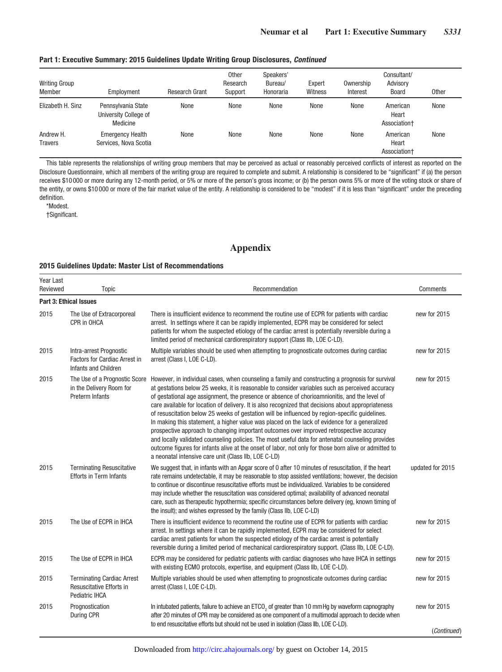#### **Part 1: Executive Summary: 2015 Guidelines Update Writing Group Disclosures,** *Continued*

| <b>Writing Group</b><br>Member | Employment                                              | <b>Research Grant</b> | <b>Other</b><br>Research<br>Support | Speakers'<br>Bureau/<br>Honoraria | Expert<br>Witness | Ownership<br>Interest | Consultant/<br>Advisory<br>Board  | <b>Other</b> |
|--------------------------------|---------------------------------------------------------|-----------------------|-------------------------------------|-----------------------------------|-------------------|-----------------------|-----------------------------------|--------------|
| Elizabeth H. Sinz              | Pennsylvania State<br>University College of<br>Medicine | None                  | None                                | None                              | None              | None                  | American<br>Heart<br>Association+ | None         |
| Andrew H.<br>Travers           | <b>Emergency Health</b><br>Services, Nova Scotia        | None                  | None                                | None                              | None              | None                  | American<br>Heart<br>Association+ | None         |

This table represents the relationships of writing group members that may be perceived as actual or reasonably perceived conflicts of interest as reported on the Disclosure Questionnaire, which all members of the writing group are required to complete and submit. A relationship is considered to be "significant" if (a) the person receives \$10 000 or more during any 12-month period, or 5% or more of the person's gross income; or (b) the person owns 5% or more of the voting stock or share of the entity, or owns \$10 000 or more of the fair market value of the entity. A relationship is considered to be "modest" if it is less than "significant" under the preceding definition.

\*Modest.

†Significant.

# **Appendix**

#### **2015 Guidelines Update: Master List of Recommendations**

| Year Last<br>Reviewed | <b>Topic</b>                                                                     | Recommendation                                                                                                                                                                                                                                                                                                                                                                                                                                                                                                                                                                                                                                                                                                                                                                                                                                                                                                                                                                  | Comments                    |
|-----------------------|----------------------------------------------------------------------------------|---------------------------------------------------------------------------------------------------------------------------------------------------------------------------------------------------------------------------------------------------------------------------------------------------------------------------------------------------------------------------------------------------------------------------------------------------------------------------------------------------------------------------------------------------------------------------------------------------------------------------------------------------------------------------------------------------------------------------------------------------------------------------------------------------------------------------------------------------------------------------------------------------------------------------------------------------------------------------------|-----------------------------|
|                       | <b>Part 3: Ethical Issues</b>                                                    |                                                                                                                                                                                                                                                                                                                                                                                                                                                                                                                                                                                                                                                                                                                                                                                                                                                                                                                                                                                 |                             |
| 2015                  | The Use of Extracorporeal<br>CPR in OHCA                                         | There is insufficient evidence to recommend the routine use of ECPR for patients with cardiac<br>arrest. In settings where it can be rapidly implemented, ECPR may be considered for select<br>patients for whom the suspected etiology of the cardiac arrest is potentially reversible during a<br>limited period of mechanical cardiorespiratory support (Class IIb, LOE C-LD).                                                                                                                                                                                                                                                                                                                                                                                                                                                                                                                                                                                               | new for 2015                |
| 2015                  | Intra-arrest Prognostic<br>Factors for Cardiac Arrest in<br>Infants and Children | Multiple variables should be used when attempting to prognosticate outcomes during cardiac<br>arrest (Class I, LOE C-LD).                                                                                                                                                                                                                                                                                                                                                                                                                                                                                                                                                                                                                                                                                                                                                                                                                                                       | new for 2015                |
| 2015                  | The Use of a Prognostic Score<br>in the Delivery Room for<br>Preterm Infants     | However, in individual cases, when counseling a family and constructing a prognosis for survival<br>at gestations below 25 weeks, it is reasonable to consider variables such as perceived accuracy<br>of gestational age assignment, the presence or absence of chorioamnionitis, and the level of<br>care available for location of delivery. It is also recognized that decisions about appropriateness<br>of resuscitation below 25 weeks of gestation will be influenced by region-specific guidelines.<br>In making this statement, a higher value was placed on the lack of evidence for a generalized<br>prospective approach to changing important outcomes over improved retrospective accuracy<br>and locally validated counseling policies. The most useful data for antenatal counseling provides<br>outcome figures for infants alive at the onset of labor, not only for those born alive or admitted to<br>a neonatal intensive care unit (Class IIb, LOE C-LD) | new for 2015                |
| 2015                  | <b>Terminating Resuscitative</b><br><b>Efforts in Term Infants</b>               | We suggest that, in infants with an Apgar score of 0 after 10 minutes of resuscitation, if the heart<br>rate remains undetectable, it may be reasonable to stop assisted ventilations; however, the decision<br>to continue or discontinue resuscitative efforts must be individualized. Variables to be considered<br>may include whether the resuscitation was considered optimal; availability of advanced neonatal<br>care, such as the rapeutic hypothermia; specific circumstances before delivery (eg, known timing of<br>the insult); and wishes expressed by the family (Class IIb, LOE C-LD)                                                                                                                                                                                                                                                                                                                                                                          | updated for 2015            |
| 2015                  | The Use of ECPR in IHCA                                                          | There is insufficient evidence to recommend the routine use of ECPR for patients with cardiac<br>arrest. In settings where it can be rapidly implemented, ECPR may be considered for select<br>cardiac arrest patients for whom the suspected etiology of the cardiac arrest is potentially<br>reversible during a limited period of mechanical cardiorespiratory support. (Class IIb, LOE C-LD).                                                                                                                                                                                                                                                                                                                                                                                                                                                                                                                                                                               | new for 2015                |
| 2015                  | The Use of ECPR in IHCA                                                          | ECPR may be considered for pediatric patients with cardiac diagnoses who have IHCA in settings<br>with existing ECMO protocols, expertise, and equipment (Class IIb, LOE C-LD).                                                                                                                                                                                                                                                                                                                                                                                                                                                                                                                                                                                                                                                                                                                                                                                                 | new for 2015                |
| 2015                  | <b>Terminating Cardiac Arrest</b><br>Resuscitative Efforts in<br>Pediatric IHCA  | Multiple variables should be used when attempting to prognosticate outcomes during cardiac<br>arrest (Class I, LOE C-LD).                                                                                                                                                                                                                                                                                                                                                                                                                                                                                                                                                                                                                                                                                                                                                                                                                                                       | new for 2015                |
| 2015                  | Prognostication<br>During CPR                                                    | In intubated patients, failure to achieve an ETCO <sub>2</sub> of greater than 10 mm Hg by waveform capnography<br>after 20 minutes of CPR may be considered as one component of a multimodal approach to decide when<br>to end resuscitative efforts but should not be used in isolation (Class IIb, LOE C-LD).                                                                                                                                                                                                                                                                                                                                                                                                                                                                                                                                                                                                                                                                | new for 2015<br>(Continued) |

Downloaded from<http://circ.ahajournals.org/>by guest on October 14, 2015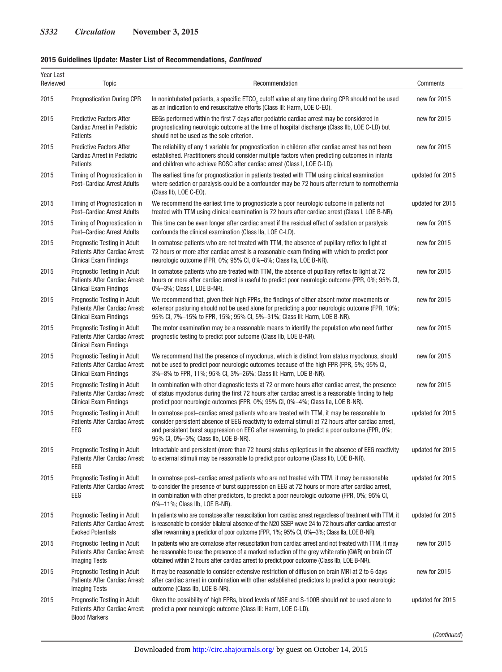| Year Last<br>Reviewed | Topic                                                                                          | Recommendation                                                                                                                                                                                                                                                                                                                            | Comments         |
|-----------------------|------------------------------------------------------------------------------------------------|-------------------------------------------------------------------------------------------------------------------------------------------------------------------------------------------------------------------------------------------------------------------------------------------------------------------------------------------|------------------|
| 2015                  | Prognostication During CPR                                                                     | In nonintubated patients, a specific ETCO, cutoff value at any time during CPR should not be used<br>as an indication to end resuscitative efforts (Class III: Harm, LOE C-EO).                                                                                                                                                           | new for 2015     |
| 2015                  | <b>Predictive Factors After</b><br><b>Cardiac Arrest in Pediatric</b><br>Patients              | EEGs performed within the first 7 days after pediatric cardiac arrest may be considered in<br>prognosticating neurologic outcome at the time of hospital discharge (Class IIb, LOE C-LD) but<br>should not be used as the sole criterion.                                                                                                 | new for 2015     |
| 2015                  | <b>Predictive Factors After</b><br>Cardiac Arrest in Pediatric<br>Patients                     | The reliability of any 1 variable for prognostication in children after cardiac arrest has not been<br>established. Practitioners should consider multiple factors when predicting outcomes in infants<br>and children who achieve ROSC after cardiac arrest (Class I, LOE C-LD).                                                         | new for 2015     |
| 2015                  | Timing of Prognostication in<br>Post-Cardiac Arrest Adults                                     | The earliest time for prognostication in patients treated with TTM using clinical examination<br>where sedation or paralysis could be a confounder may be 72 hours after return to normothermia<br>(Class IIb, LOE C-EO).                                                                                                                 | updated for 2015 |
| 2015                  | Timing of Prognostication in<br>Post-Cardiac Arrest Adults                                     | We recommend the earliest time to prognosticate a poor neurologic outcome in patients not<br>treated with TTM using clinical examination is 72 hours after cardiac arrest (Class I, LOE B-NR).                                                                                                                                            | updated for 2015 |
| 2015                  | Timing of Prognostication in<br>Post-Cardiac Arrest Adults                                     | This time can be even longer after cardiac arrest if the residual effect of sedation or paralysis<br>confounds the clinical examination (Class IIa, LOE C-LD).                                                                                                                                                                            | new for 2015     |
| 2015                  | Prognostic Testing in Adult<br>Patients After Cardiac Arrest:<br><b>Clinical Exam Findings</b> | In comatose patients who are not treated with TTM, the absence of pupillary reflex to light at<br>72 hours or more after cardiac arrest is a reasonable exam finding with which to predict poor<br>neurologic outcome (FPR, 0%; 95% CI, 0%-8%; Class IIa, LOE B-NR).                                                                      | new for 2015     |
| 2015                  | Prognostic Testing in Adult<br>Patients After Cardiac Arrest:<br><b>Clinical Exam Findings</b> | In comatose patients who are treated with TTM, the absence of pupillary reflex to light at 72<br>hours or more after cardiac arrest is useful to predict poor neurologic outcome (FPR, 0%; 95% CI,<br>0%-3%; Class I, LOE B-NR).                                                                                                          | new for 2015     |
| 2015                  | Prognostic Testing in Adult<br>Patients After Cardiac Arrest:<br><b>Clinical Exam Findings</b> | We recommend that, given their high FPRs, the findings of either absent motor movements or<br>extensor posturing should not be used alone for predicting a poor neurologic outcome (FPR, 10%;<br>95% CI, 7%-15% to FPR, 15%; 95% CI, 5%-31%; Class III: Harm, LOE B-NR).                                                                  | new for 2015     |
| 2015                  | Prognostic Testing in Adult<br>Patients After Cardiac Arrest:<br><b>Clinical Exam Findings</b> | The motor examination may be a reasonable means to identify the population who need further<br>prognostic testing to predict poor outcome (Class IIb, LOE B-NR).                                                                                                                                                                          | new for 2015     |
| 2015                  | Prognostic Testing in Adult<br>Patients After Cardiac Arrest:<br><b>Clinical Exam Findings</b> | We recommend that the presence of myoclonus, which is distinct from status myoclonus, should<br>not be used to predict poor neurologic outcomes because of the high FPR (FPR, 5%; 95% CI,<br>3%-8% to FPR, 11%; 95% CI, 3%-26%; Class III: Harm, LOE B-NR).                                                                               | new for 2015     |
| 2015                  | Prognostic Testing in Adult<br>Patients After Cardiac Arrest:<br><b>Clinical Exam Findings</b> | In combination with other diagnostic tests at 72 or more hours after cardiac arrest, the presence<br>of status myoclonus during the first 72 hours after cardiac arrest is a reasonable finding to help<br>predict poor neurologic outcomes (FPR, 0%; 95% CI, 0%-4%; Class IIa, LOE B-NR).                                                | new for 2015     |
| 2015                  | Prognostic Testing in Adult<br>Patients After Cardiac Arrest:<br>EEG                           | In comatose post-cardiac arrest patients who are treated with TTM, it may be reasonable to<br>consider persistent absence of EEG reactivity to external stimuli at 72 hours after cardiac arrest,<br>and persistent burst suppression on EEG after rewarming, to predict a poor outcome (FPR, 0%;<br>95% CI, 0%-3%; Class IIb, LOE B-NR). | updated for 2015 |
| 2015                  | Prognostic Testing in Adult<br>EEG                                                             | Intractable and persistent (more than 72 hours) status epilepticus in the absence of EEG reactivity<br>Patients After Cardiac Arrest: to external stimuli may be reasonable to predict poor outcome (Class IIb, LOE B-NR).                                                                                                                | updated for 2015 |
| 2015                  | Prognostic Testing in Adult<br>Patients After Cardiac Arrest:<br>EEG                           | In comatose post–cardiac arrest patients who are not treated with TTM, it may be reasonable<br>to consider the presence of burst suppression on EEG at 72 hours or more after cardiac arrest,<br>in combination with other predictors, to predict a poor neurologic outcome (FPR, 0%; 95% CI,<br>0%-11%; Class IIb, LOE B-NR).            | updated for 2015 |
| 2015                  | Prognostic Testing in Adult<br>Patients After Cardiac Arrest:<br><b>Evoked Potentials</b>      | In patients who are comatose after resuscitation from cardiac arrest regardless of treatment with TTM, it<br>is reasonable to consider bilateral absence of the N20 SSEP wave 24 to 72 hours after cardiac arrest or<br>after rewarming a predictor of poor outcome (FPR, 1%; 95% CI, 0%-3%; Class IIa, LOE B-NR).                        | updated for 2015 |
| 2015                  | Prognostic Testing in Adult<br>Patients After Cardiac Arrest:<br><b>Imaging Tests</b>          | In patients who are comatose after resuscitation from cardiac arrest and not treated with TTM, it may<br>be reasonable to use the presence of a marked reduction of the grey white ratio (GWR) on brain CT<br>obtained within 2 hours after cardiac arrest to predict poor outcome (Class IIb, LOE B-NR).                                 | new for 2015     |
| 2015                  | Prognostic Testing in Adult<br>Patients After Cardiac Arrest:<br><b>Imaging Tests</b>          | It may be reasonable to consider extensive restriction of diffusion on brain MRI at 2 to 6 days<br>after cardiac arrest in combination with other established predictors to predict a poor neurologic<br>outcome (Class IIb, LOE B-NR).                                                                                                   | new for 2015     |
| 2015                  | Prognostic Testing in Adult<br>Patients After Cardiac Arrest:<br><b>Blood Markers</b>          | Given the possibility of high FPRs, blood levels of NSE and S-100B should not be used alone to<br>predict a poor neurologic outcome (Class III: Harm, LOE C-LD).                                                                                                                                                                          | updated for 2015 |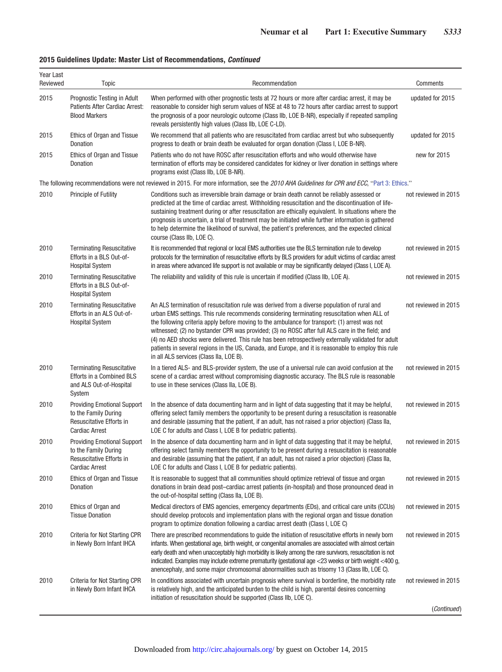| Year Last<br>Reviewed | <b>Topic</b>                                                                                                    | Recommendation                                                                                                                                                                                                                                                                                                                                                                                                                                                                                                                                                                                                                                         | Comments             |
|-----------------------|-----------------------------------------------------------------------------------------------------------------|--------------------------------------------------------------------------------------------------------------------------------------------------------------------------------------------------------------------------------------------------------------------------------------------------------------------------------------------------------------------------------------------------------------------------------------------------------------------------------------------------------------------------------------------------------------------------------------------------------------------------------------------------------|----------------------|
| 2015                  | Prognostic Testing in Adult<br><b>Patients After Cardiac Arrest:</b><br><b>Blood Markers</b>                    | When performed with other prognostic tests at 72 hours or more after cardiac arrest, it may be<br>reasonable to consider high serum values of NSE at 48 to 72 hours after cardiac arrest to support<br>the prognosis of a poor neurologic outcome (Class IIb, LOE B-NR), especially if repeated sampling<br>reveals persistently high values (Class IIb, LOE C-LD).                                                                                                                                                                                                                                                                                    | updated for 2015     |
| 2015                  | Ethics of Organ and Tissue<br>Donation                                                                          | We recommend that all patients who are resuscitated from cardiac arrest but who subsequently<br>progress to death or brain death be evaluated for organ donation (Class I, LOE B-NR).                                                                                                                                                                                                                                                                                                                                                                                                                                                                  | updated for 2015     |
| 2015                  | Ethics of Organ and Tissue<br>Donation                                                                          | Patients who do not have ROSC after resuscitation efforts and who would otherwise have<br>termination of efforts may be considered candidates for kidney or liver donation in settings where<br>programs exist (Class IIb, LOE B-NR).                                                                                                                                                                                                                                                                                                                                                                                                                  | new for 2015         |
|                       |                                                                                                                 | The following recommendations were not reviewed in 2015. For more information, see the 2010 AHA Guidelines for CPR and ECC, "Part 3: Ethics."                                                                                                                                                                                                                                                                                                                                                                                                                                                                                                          |                      |
| 2010                  | <b>Principle of Futility</b>                                                                                    | Conditions such as irreversible brain damage or brain death cannot be reliably assessed or<br>predicted at the time of cardiac arrest. Withholding resuscitation and the discontinuation of life-<br>sustaining treatment during or after resuscitation are ethically equivalent. In situations where the<br>prognosis is uncertain, a trial of treatment may be initiated while further information is gathered<br>to help determine the likelihood of survival, the patient's preferences, and the expected clinical<br>course (Class IIb, LOE C).                                                                                                   | not reviewed in 2015 |
| 2010                  | <b>Terminating Resuscitative</b><br>Efforts in a BLS Out-of-<br><b>Hospital System</b>                          | It is recommended that regional or local EMS authorities use the BLS termination rule to develop<br>protocols for the termination of resuscitative efforts by BLS providers for adult victims of cardiac arrest<br>in areas where advanced life support is not available or may be significantly delayed (Class I, LOE A).                                                                                                                                                                                                                                                                                                                             | not reviewed in 2015 |
| 2010                  | <b>Terminating Resuscitative</b><br>Efforts in a BLS Out-of-<br><b>Hospital System</b>                          | The reliability and validity of this rule is uncertain if modified (Class IIb, LOE A).                                                                                                                                                                                                                                                                                                                                                                                                                                                                                                                                                                 | not reviewed in 2015 |
| 2010                  | <b>Terminating Resuscitative</b><br>Efforts in an ALS Out-of-<br><b>Hospital System</b>                         | An ALS termination of resuscitation rule was derived from a diverse population of rural and<br>urban EMS settings. This rule recommends considering terminating resuscitation when ALL of<br>the following criteria apply before moving to the ambulance for transport: (1) arrest was not<br>witnessed; (2) no bystander CPR was provided; (3) no ROSC after full ALS care in the field; and<br>(4) no AED shocks were delivered. This rule has been retrospectively externally validated for adult<br>patients in several regions in the US, Canada, and Europe, and it is reasonable to employ this rule<br>in all ALS services (Class IIa, LOE B). | not reviewed in 2015 |
| 2010                  | <b>Terminating Resuscitative</b><br><b>Efforts in a Combined BLS</b><br>and ALS Out-of-Hospital<br>System       | In a tiered ALS- and BLS-provider system, the use of a universal rule can avoid confusion at the<br>scene of a cardiac arrest without compromising diagnostic accuracy. The BLS rule is reasonable<br>to use in these services (Class IIa, LOE B).                                                                                                                                                                                                                                                                                                                                                                                                     | not reviewed in 2015 |
| 2010                  | <b>Providing Emotional Support</b><br>to the Family During<br>Resuscitative Efforts in<br><b>Cardiac Arrest</b> | In the absence of data documenting harm and in light of data suggesting that it may be helpful,<br>offering select family members the opportunity to be present during a resuscitation is reasonable<br>and desirable (assuming that the patient, if an adult, has not raised a prior objection) (Class IIa,<br>LOE C for adults and Class I, LOE B for pediatric patients).                                                                                                                                                                                                                                                                           | not reviewed in 2015 |
| 2010                  | <b>Providing Emotional Support</b><br>to the Family During<br>Resuscitative Efforts in<br><b>Cardiac Arrest</b> | In the absence of data documenting harm and in light of data suggesting that it may be helpful,<br>offering select family members the opportunity to be present during a resuscitation is reasonable<br>and desirable (assuming that the patient, if an adult, has not raised a prior objection) (Class IIa,<br>LOE C for adults and Class I, LOE B for pediatric patients).                                                                                                                                                                                                                                                                           | not reviewed in 2015 |
| 2010                  | Ethics of Organ and Tissue<br>Donation                                                                          | It is reasonable to suggest that all communities should optimize retrieval of tissue and organ<br>donations in brain dead post-cardiac arrest patients (in-hospital) and those pronounced dead in<br>the out-of-hospital setting (Class IIa, LOE B).                                                                                                                                                                                                                                                                                                                                                                                                   | not reviewed in 2015 |
| 2010                  | Ethics of Organ and<br><b>Tissue Donation</b>                                                                   | Medical directors of EMS agencies, emergency departments (EDs), and critical care units (CCUs)<br>should develop protocols and implementation plans with the regional organ and tissue donation<br>program to optimize donation following a cardiac arrest death (Class I, LOE C)                                                                                                                                                                                                                                                                                                                                                                      | not reviewed in 2015 |
| 2010                  | Criteria for Not Starting CPR<br>in Newly Born Infant IHCA                                                      | There are prescribed recommendations to guide the initiation of resuscitative efforts in newly born<br>infants. When gestational age, birth weight, or congenital anomalies are associated with almost certain<br>early death and when unacceptably high morbidity is likely among the rare survivors, resuscitation is not<br>indicated. Examples may include extreme prematurity (gestational age <23 weeks or birth weight <400 g,<br>anencephaly, and some major chromosomal abnormalities such as trisomy 13 (Class IIb, LOE C).                                                                                                                  | not reviewed in 2015 |
| 2010                  | Criteria for Not Starting CPR<br>in Newly Born Infant IHCA                                                      | In conditions associated with uncertain prognosis where survival is borderline, the morbidity rate<br>is relatively high, and the anticipated burden to the child is high, parental desires concerning<br>initiation of resuscitation should be supported (Class IIb, LOE C).                                                                                                                                                                                                                                                                                                                                                                          | not reviewed in 2015 |
|                       |                                                                                                                 |                                                                                                                                                                                                                                                                                                                                                                                                                                                                                                                                                                                                                                                        | (Continued)          |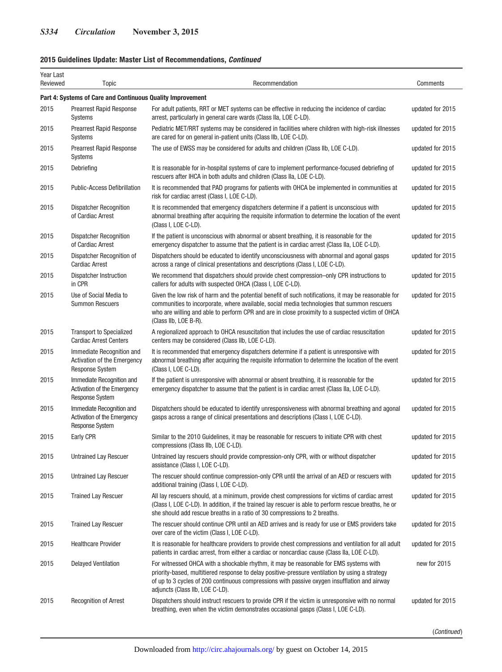| Year Last<br>Reviewed | Topic                                                                                     | Recommendation                                                                                                                                                                                                                                                                                                                   | Comments         |
|-----------------------|-------------------------------------------------------------------------------------------|----------------------------------------------------------------------------------------------------------------------------------------------------------------------------------------------------------------------------------------------------------------------------------------------------------------------------------|------------------|
|                       | Part 4: Systems of Care and Continuous Quality Improvement                                |                                                                                                                                                                                                                                                                                                                                  |                  |
| 2015                  | <b>Prearrest Rapid Response</b><br>Systems                                                | For adult patients, RRT or MET systems can be effective in reducing the incidence of cardiac<br>arrest, particularly in general care wards (Class IIa, LOE C-LD).                                                                                                                                                                | updated for 2015 |
| 2015                  | <b>Prearrest Rapid Response</b><br>Systems                                                | Pediatric MET/RRT systems may be considered in facilities where children with high-risk illnesses<br>are cared for on general in-patient units (Class IIb, LOE C-LD).                                                                                                                                                            | updated for 2015 |
| 2015                  | <b>Prearrest Rapid Response</b><br>Systems                                                | The use of EWSS may be considered for adults and children (Class IIb, LOE C-LD).                                                                                                                                                                                                                                                 | updated for 2015 |
| 2015                  | Debriefing                                                                                | It is reasonable for in-hospital systems of care to implement performance-focused debriefing of<br>rescuers after IHCA in both adults and children (Class IIa, LOE C-LD).                                                                                                                                                        | updated for 2015 |
| 2015                  | <b>Public-Access Defibrillation</b>                                                       | It is recommended that PAD programs for patients with OHCA be implemented in communities at<br>risk for cardiac arrest (Class I, LOE C-LD).                                                                                                                                                                                      | updated for 2015 |
| 2015                  | <b>Dispatcher Recognition</b><br>of Cardiac Arrest                                        | It is recommended that emergency dispatchers determine if a patient is unconscious with<br>abnormal breathing after acquiring the requisite information to determine the location of the event<br>(Class I, LOE C-LD).                                                                                                           | updated for 2015 |
| 2015                  | <b>Dispatcher Recognition</b><br>of Cardiac Arrest                                        | If the patient is unconscious with abnormal or absent breathing, it is reasonable for the<br>emergency dispatcher to assume that the patient is in cardiac arrest (Class IIa, LOE C-LD).                                                                                                                                         | updated for 2015 |
| 2015                  | Dispatcher Recognition of<br><b>Cardiac Arrest</b>                                        | Dispatchers should be educated to identify unconsciousness with abnormal and agonal gasps<br>across a range of clinical presentations and descriptions (Class I, LOE C-LD).                                                                                                                                                      | updated for 2015 |
| 2015                  | Dispatcher Instruction<br>in CPR                                                          | We recommend that dispatchers should provide chest compression–only CPR instructions to<br>callers for adults with suspected OHCA (Class I, LOE C-LD).                                                                                                                                                                           | updated for 2015 |
| 2015                  | Use of Social Media to<br><b>Summon Rescuers</b>                                          | Given the low risk of harm and the potential benefit of such notifications, it may be reasonable for<br>communities to incorporate, where available, social media technologies that summon rescuers<br>who are willing and able to perform CPR and are in close proximity to a suspected victim of OHCA<br>(Class IIb, LOE B-R). | updated for 2015 |
| 2015                  | <b>Transport to Specialized</b><br><b>Cardiac Arrest Centers</b>                          | A regionalized approach to OHCA resuscitation that includes the use of cardiac resuscitation<br>centers may be considered (Class IIb, LOE C-LD).                                                                                                                                                                                 | updated for 2015 |
| 2015                  | Immediate Recognition and<br><b>Activation of the Emergency</b><br><b>Response System</b> | It is recommended that emergency dispatchers determine if a patient is unresponsive with<br>abnormal breathing after acquiring the requisite information to determine the location of the event<br>(Class I, LOE C-LD).                                                                                                          | updated for 2015 |
| 2015                  | Immediate Recognition and<br>Activation of the Emergency<br><b>Response System</b>        | If the patient is unresponsive with abnormal or absent breathing, it is reasonable for the<br>emergency dispatcher to assume that the patient is in cardiac arrest (Class IIa, LOE C-LD).                                                                                                                                        | updated for 2015 |
| 2015                  | Immediate Recognition and<br>Activation of the Emergency<br><b>Response System</b>        | Dispatchers should be educated to identify unresponsiveness with abnormal breathing and agonal<br>gasps across a range of clinical presentations and descriptions (Class I, LOE C-LD).                                                                                                                                           | updated for 2015 |
| 2015                  | Early CPR                                                                                 | Similar to the 2010 Guidelines, it may be reasonable for rescuers to initiate CPR with chest<br>compressions (Class IIb, LOE C-LD).                                                                                                                                                                                              | updated for 2015 |
| 2015                  | <b>Untrained Lay Rescuer</b>                                                              | Untrained lay rescuers should provide compression-only CPR, with or without dispatcher<br>assistance (Class I, LOE C-LD).                                                                                                                                                                                                        | updated for 2015 |
| 2015                  | <b>Untrained Lay Rescuer</b>                                                              | The rescuer should continue compression-only CPR until the arrival of an AED or rescuers with<br>additional training (Class I, LOE C-LD).                                                                                                                                                                                        | updated for 2015 |
| 2015                  | <b>Trained Lay Rescuer</b>                                                                | All lay rescuers should, at a minimum, provide chest compressions for victims of cardiac arrest<br>(Class I, LOE C-LD). In addition, if the trained lay rescuer is able to perform rescue breaths, he or<br>she should add rescue breaths in a ratio of 30 compressions to 2 breaths.                                            | updated for 2015 |
| 2015                  | <b>Trained Lay Rescuer</b>                                                                | The rescuer should continue CPR until an AED arrives and is ready for use or EMS providers take<br>over care of the victim (Class I, LOE C-LD).                                                                                                                                                                                  | updated for 2015 |
| 2015                  | <b>Healthcare Provider</b>                                                                | It is reasonable for healthcare providers to provide chest compressions and ventilation for all adult<br>patients in cardiac arrest, from either a cardiac or noncardiac cause (Class IIa, LOE C-LD).                                                                                                                            | updated for 2015 |
| 2015                  | <b>Delayed Ventilation</b>                                                                | For witnessed OHCA with a shockable rhythm, it may be reasonable for EMS systems with<br>priority-based, multitiered response to delay positive-pressure ventilation by using a strategy<br>of up to 3 cycles of 200 continuous compressions with passive oxygen insufflation and airway<br>adjuncts (Class IIb, LOE C-LD).      | new for 2015     |
| 2015                  | <b>Recognition of Arrest</b>                                                              | Dispatchers should instruct rescuers to provide CPR if the victim is unresponsive with no normal<br>breathing, even when the victim demonstrates occasional gasps (Class I, LOE C-LD).                                                                                                                                           | updated for 2015 |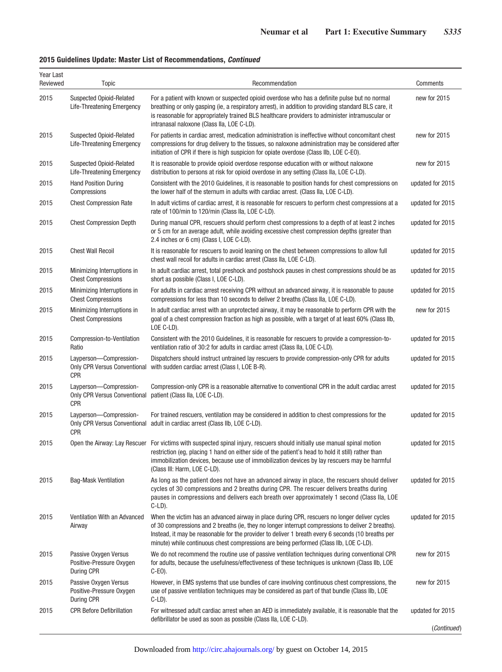|  |  | 2015 Guidelines Update: Master List of Recommendations, <i>Continued</i> |  |
|--|--|--------------------------------------------------------------------------|--|
|--|--|--------------------------------------------------------------------------|--|

| Year Last<br>Reviewed | <b>Topic</b>                                                                | Recommendation                                                                                                                                                                                                                                                                                                                                                                                      | Comments         |
|-----------------------|-----------------------------------------------------------------------------|-----------------------------------------------------------------------------------------------------------------------------------------------------------------------------------------------------------------------------------------------------------------------------------------------------------------------------------------------------------------------------------------------------|------------------|
| 2015                  | <b>Suspected Opioid-Related</b><br>Life-Threatening Emergency               | For a patient with known or suspected opioid overdose who has a definite pulse but no normal<br>breathing or only gasping (ie, a respiratory arrest), in addition to providing standard BLS care, it<br>is reasonable for appropriately trained BLS healthcare providers to administer intramuscular or<br>intranasal naloxone (Class IIa, LOE C-LD).                                               | new for 2015     |
| 2015                  | <b>Suspected Opioid-Related</b><br>Life-Threatening Emergency               | For patients in cardiac arrest, medication administration is ineffective without concomitant chest<br>compressions for drug delivery to the tissues, so naloxone administration may be considered after<br>initiation of CPR if there is high suspicion for opiate overdose (Class IIb, LOE C-EO).                                                                                                  | new for 2015     |
| 2015                  | <b>Suspected Opioid-Related</b><br>Life-Threatening Emergency               | It is reasonable to provide opioid overdose response education with or without naloxone<br>distribution to persons at risk for opioid overdose in any setting (Class IIa, LOE C-LD).                                                                                                                                                                                                                | new for 2015     |
| 2015                  | <b>Hand Position During</b><br>Compressions                                 | Consistent with the 2010 Guidelines, it is reasonable to position hands for chest compressions on<br>the lower half of the sternum in adults with cardiac arrest. (Class IIa, LOE C-LD).                                                                                                                                                                                                            | updated for 2015 |
| 2015                  | <b>Chest Compression Rate</b>                                               | In adult victims of cardiac arrest, it is reasonable for rescuers to perform chest compressions at a<br>rate of 100/min to 120/min (Class IIa, LOE C-LD).                                                                                                                                                                                                                                           | updated for 2015 |
| 2015                  | <b>Chest Compression Depth</b>                                              | During manual CPR, rescuers should perform chest compressions to a depth of at least 2 inches<br>or 5 cm for an average adult, while avoiding excessive chest compression depths (greater than<br>2.4 inches or 6 cm) (Class I, LOE C-LD).                                                                                                                                                          | updated for 2015 |
| 2015                  | <b>Chest Wall Recoil</b>                                                    | It is reasonable for rescuers to avoid leaning on the chest between compressions to allow full<br>chest wall recoil for adults in cardiac arrest (Class IIa, LOE C-LD).                                                                                                                                                                                                                             | updated for 2015 |
| 2015                  | Minimizing Interruptions in<br><b>Chest Compressions</b>                    | In adult cardiac arrest, total preshock and postshock pauses in chest compressions should be as<br>short as possible (Class I, LOE C-LD).                                                                                                                                                                                                                                                           | updated for 2015 |
| 2015                  | Minimizing Interruptions in<br><b>Chest Compressions</b>                    | For adults in cardiac arrest receiving CPR without an advanced airway, it is reasonable to pause<br>compressions for less than 10 seconds to deliver 2 breaths (Class IIa, LOE C-LD).                                                                                                                                                                                                               | updated for 2015 |
| 2015                  | Minimizing Interruptions in<br><b>Chest Compressions</b>                    | In adult cardiac arrest with an unprotected airway, it may be reasonable to perform CPR with the<br>goal of a chest compression fraction as high as possible, with a target of at least 60% (Class IIb,<br>LOE C-LD).                                                                                                                                                                               | new for 2015     |
| 2015                  | Compression-to-Ventilation<br>Ratio                                         | Consistent with the 2010 Guidelines, it is reasonable for rescuers to provide a compression-to-<br>ventilation ratio of 30:2 for adults in cardiac arrest (Class IIa, LOE C-LD).                                                                                                                                                                                                                    | updated for 2015 |
| 2015                  | Layperson-Compression-<br><b>Only CPR Versus Conventional</b><br><b>CPR</b> | Dispatchers should instruct untrained lay rescuers to provide compression-only CPR for adults<br>with sudden cardiac arrest (Class I, LOE B-R).                                                                                                                                                                                                                                                     | updated for 2015 |
| 2015                  | Layperson-Compression-<br><b>Only CPR Versus Conventional</b><br><b>CPR</b> | Compression-only CPR is a reasonable alternative to conventional CPR in the adult cardiac arrest<br>patient (Class IIa, LOE C-LD).                                                                                                                                                                                                                                                                  | updated for 2015 |
| 2015                  | Layperson-Compression-<br><b>Only CPR Versus Conventional</b><br><b>CPR</b> | For trained rescuers, ventilation may be considered in addition to chest compressions for the<br>adult in cardiac arrest (Class IIb, LOE C-LD).                                                                                                                                                                                                                                                     | updated for 2015 |
| 2015                  |                                                                             | Open the Airway: Lay Rescuer For victims with suspected spinal injury, rescuers should initially use manual spinal motion<br>restriction (eq. placing 1 hand on either side of the patient's head to hold it still) rather than<br>immobilization devices, because use of immobilization devices by lay rescuers may be harmful<br>(Class III: Harm, LOE C-LD).                                     | updated for 2015 |
| 2015                  | <b>Bag-Mask Ventilation</b>                                                 | As long as the patient does not have an advanced airway in place, the rescuers should deliver<br>cycles of 30 compressions and 2 breaths during CPR. The rescuer delivers breaths during<br>pauses in compressions and delivers each breath over approximately 1 second (Class IIa, LOE<br>$C-LD$ ).                                                                                                | updated for 2015 |
| 2015                  | Ventilation With an Advanced<br>Airway                                      | When the victim has an advanced airway in place during CPR, rescuers no longer deliver cycles<br>of 30 compressions and 2 breaths (ie, they no longer interrupt compressions to deliver 2 breaths).<br>Instead, it may be reasonable for the provider to deliver 1 breath every 6 seconds (10 breaths per<br>minute) while continuous chest compressions are being performed (Class IIb, LOE C-LD). | updated for 2015 |
| 2015                  | Passive Oxygen Versus<br>Positive-Pressure Oxygen<br>During CPR             | We do not recommend the routine use of passive ventilation techniques during conventional CPR<br>for adults, because the usefulness/effectiveness of these techniques is unknown (Class IIb, LOE<br>$C-EO$ ).                                                                                                                                                                                       | new for 2015     |
| 2015                  | Passive Oxygen Versus<br>Positive-Pressure Oxygen<br>During CPR             | However, in EMS systems that use bundles of care involving continuous chest compressions, the<br>use of passive ventilation techniques may be considered as part of that bundle (Class IIb, LOE<br>$C-LD$ ).                                                                                                                                                                                        | new for 2015     |
| 2015                  | <b>CPR Before Defibrillation</b>                                            | For witnessed adult cardiac arrest when an AED is immediately available, it is reasonable that the<br>defibrillator be used as soon as possible (Class IIa, LOE C-LD).                                                                                                                                                                                                                              | updated for 2015 |
|                       |                                                                             |                                                                                                                                                                                                                                                                                                                                                                                                     | (Continued)      |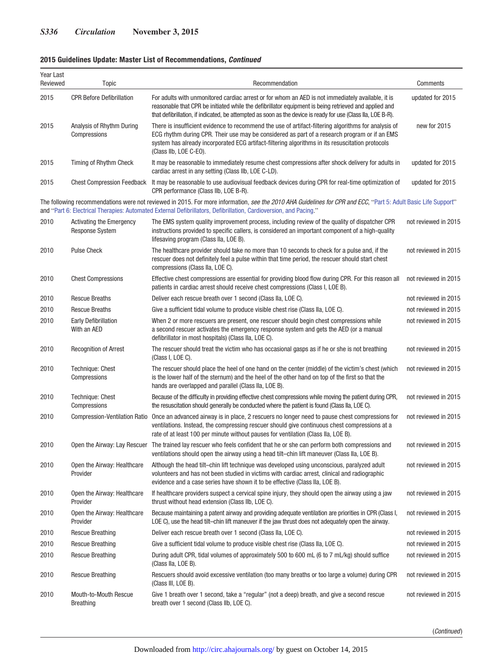| Year Last<br>Reviewed | Topic                                                     | Recommendation                                                                                                                                                                                                                                                                                                                      | Comments             |
|-----------------------|-----------------------------------------------------------|-------------------------------------------------------------------------------------------------------------------------------------------------------------------------------------------------------------------------------------------------------------------------------------------------------------------------------------|----------------------|
| 2015                  | <b>CPR Before Defibrillation</b>                          | For adults with unmonitored cardiac arrest or for whom an AED is not immediately available, it is<br>reasonable that CPR be initiated while the defibrillator equipment is being retrieved and applied and<br>that defibrillation, if indicated, be attempted as soon as the device is ready for use (Class IIa, LOE B-R).          | updated for 2015     |
| 2015                  | Analysis of Rhythm During<br>Compressions                 | There is insufficient evidence to recommend the use of artifact-filtering algorithms for analysis of<br>ECG rhythm during CPR. Their use may be considered as part of a research program or if an EMS<br>system has already incorporated ECG artifact-filtering algorithms in its resuscitation protocols<br>(Class IIb, LOE C-EO). | new for 2015         |
| 2015                  | <b>Timing of Rhythm Check</b>                             | It may be reasonable to immediately resume chest compressions after shock delivery for adults in<br>cardiac arrest in any setting (Class IIb, LOE C-LD).                                                                                                                                                                            | updated for 2015     |
| 2015                  | <b>Chest Compression Feedback</b>                         | It may be reasonable to use audiovisual feedback devices during CPR for real-time optimization of<br>CPR performance (Class IIb, LOE B-R).                                                                                                                                                                                          | updated for 2015     |
|                       |                                                           | The following recommendations were not reviewed in 2015. For more information, see the 2010 AHA Guidelines for CPR and ECC, "Part 5: Adult Basic Life Support"<br>and "Part 6: Electrical Therapies: Automated External Defibrillators, Defibrillation, Cardioversion, and Pacing."                                                 |                      |
| 2010                  | <b>Activating the Emergency</b><br><b>Response System</b> | The EMS system quality improvement process, including review of the quality of dispatcher CPR<br>instructions provided to specific callers, is considered an important component of a high-quality<br>lifesaving program (Class IIa, LOE B).                                                                                        | not reviewed in 2015 |
| 2010                  | <b>Pulse Check</b>                                        | The healthcare provider should take no more than 10 seconds to check for a pulse and, if the<br>rescuer does not definitely feel a pulse within that time period, the rescuer should start chest<br>compressions (Class IIa, LOE C).                                                                                                | not reviewed in 2015 |
| 2010                  | <b>Chest Compressions</b>                                 | Effective chest compressions are essential for providing blood flow during CPR. For this reason all<br>patients in cardiac arrest should receive chest compressions (Class I, LOE B).                                                                                                                                               | not reviewed in 2015 |
| 2010                  | <b>Rescue Breaths</b>                                     | Deliver each rescue breath over 1 second (Class IIa, LOE C).                                                                                                                                                                                                                                                                        | not reviewed in 2015 |
| 2010                  | <b>Rescue Breaths</b>                                     | Give a sufficient tidal volume to produce visible chest rise (Class IIa, LOE C).                                                                                                                                                                                                                                                    | not reviewed in 2015 |
| 2010                  | <b>Early Defibrillation</b><br>With an AED                | When 2 or more rescuers are present, one rescuer should begin chest compressions while<br>a second rescuer activates the emergency response system and gets the AED (or a manual<br>defibrillator in most hospitals) (Class IIa, LOE C).                                                                                            | not reviewed in 2015 |
| 2010                  | <b>Recognition of Arrest</b>                              | The rescuer should treat the victim who has occasional gasps as if he or she is not breathing<br>(Class I, LOE C).                                                                                                                                                                                                                  | not reviewed in 2015 |
| 2010                  | Technique: Chest<br>Compressions                          | The rescuer should place the heel of one hand on the center (middle) of the victim's chest (which<br>is the lower half of the sternum) and the heel of the other hand on top of the first so that the<br>hands are overlapped and parallel (Class IIa, LOE B).                                                                      | not reviewed in 2015 |
| 2010                  | Technique: Chest<br>Compressions                          | Because of the difficulty in providing effective chest compressions while moving the patient during CPR,<br>the resuscitation should generally be conducted where the patient is found (Class IIa, LOE C).                                                                                                                          | not reviewed in 2015 |
| 2010                  |                                                           | Compression-Ventilation Ratio Once an advanced airway is in place, 2 rescuers no longer need to pause chest compressions for<br>ventilations. Instead, the compressing rescuer should give continuous chest compressions at a<br>rate of at least 100 per minute without pauses for ventilation (Class IIa, LOE B).                 | not reviewed in 2015 |
| 2010                  |                                                           | Open the Airway: Lay Rescuer The trained lay rescuer who feels confident that he or she can perform both compressions and<br>ventilations should open the airway using a head tilt-chin lift maneuver (Class IIa, LOE B).                                                                                                           | not reviewed in 2015 |
| 2010                  | Open the Airway: Healthcare<br>Provider                   | Although the head tilt-chin lift technique was developed using unconscious, paralyzed adult<br>volunteers and has not been studied in victims with cardiac arrest, clinical and radiographic<br>evidence and a case series have shown it to be effective (Class IIa, LOE B).                                                        | not reviewed in 2015 |
| 2010                  | Open the Airway: Healthcare<br>Provider                   | If healthcare providers suspect a cervical spine injury, they should open the airway using a jaw<br>thrust without head extension (Class IIb, LOE C).                                                                                                                                                                               | not reviewed in 2015 |
| 2010                  | Open the Airway: Healthcare<br>Provider                   | Because maintaining a patent airway and providing adequate ventilation are priorities in CPR (Class I,<br>LOE C), use the head tilt-chin lift maneuver if the jaw thrust does not adequately open the airway.                                                                                                                       | not reviewed in 2015 |
| 2010                  | <b>Rescue Breathing</b>                                   | Deliver each rescue breath over 1 second (Class IIa, LOE C).                                                                                                                                                                                                                                                                        | not reviewed in 2015 |
| 2010                  | <b>Rescue Breathing</b>                                   | Give a sufficient tidal volume to produce visible chest rise (Class IIa, LOE C).                                                                                                                                                                                                                                                    | not reviewed in 2015 |
| 2010                  | <b>Rescue Breathing</b>                                   | During adult CPR, tidal volumes of approximately 500 to 600 mL (6 to 7 mL/kg) should suffice<br>(Class IIa, LOE B).                                                                                                                                                                                                                 | not reviewed in 2015 |
| 2010                  | <b>Rescue Breathing</b>                                   | Rescuers should avoid excessive ventilation (too many breaths or too large a volume) during CPR<br>(Class III, LOE B).                                                                                                                                                                                                              | not reviewed in 2015 |
| 2010                  | Mouth-to-Mouth Rescue<br><b>Breathing</b>                 | Give 1 breath over 1 second, take a "regular" (not a deep) breath, and give a second rescue<br>breath over 1 second (Class IIb, LOE C).                                                                                                                                                                                             | not reviewed in 2015 |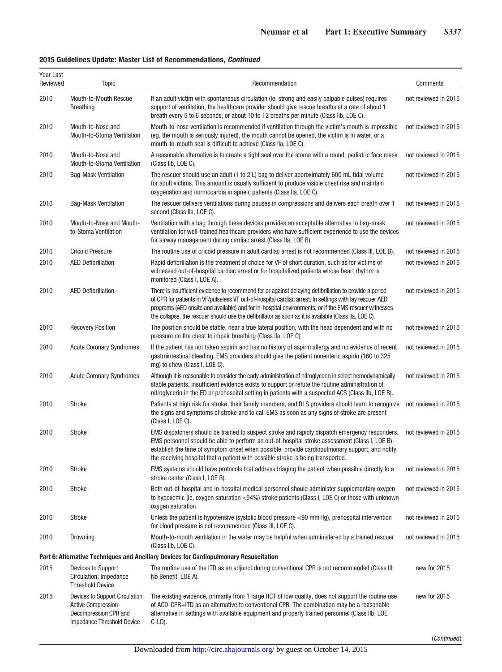|  |  | 2015 Guidelines Update: Master List of Recommendations, <i>Continued</i> |  |
|--|--|--------------------------------------------------------------------------|--|
|--|--|--------------------------------------------------------------------------|--|

| Year Last<br>Reviewed | Topic                                                                                                         | Recommendation                                                                                                                                                                                                                                                                                                                                                                                                                      | Comments             |
|-----------------------|---------------------------------------------------------------------------------------------------------------|-------------------------------------------------------------------------------------------------------------------------------------------------------------------------------------------------------------------------------------------------------------------------------------------------------------------------------------------------------------------------------------------------------------------------------------|----------------------|
| 2010                  | Mouth-to-Mouth Rescue<br><b>Breathing</b>                                                                     | If an adult victim with spontaneous circulation (ie, strong and easily palpable pulses) requires<br>support of ventilation, the healthcare provider should give rescue breaths at a rate of about 1<br>breath every 5 to 6 seconds, or about 10 to 12 breaths per minute (Class IIb, LOE C).                                                                                                                                        | not reviewed in 2015 |
| 2010                  | Mouth-to-Nose and<br>Mouth-to-Stoma Ventilation                                                               | Mouth-to-nose ventilation is recommended if ventilation through the victim's mouth is impossible<br>(eg, the mouth is seriously injured), the mouth cannot be opened, the victim is in water, or a<br>mouth-to-mouth seal is difficult to achieve (Class IIa, LOE C).                                                                                                                                                               | not reviewed in 2015 |
| 2010                  | Mouth-to-Nose and<br>Mouth-to-Stoma Ventilation                                                               | A reasonable alternative is to create a tight seal over the stoma with a round, pediatric face mask<br>(Class IIb, LOE C).                                                                                                                                                                                                                                                                                                          | not reviewed in 2015 |
| 2010                  | <b>Bag-Mask Ventilation</b>                                                                                   | The rescuer should use an adult (1 to 2 L) bag to deliver approximately 600 mL tidal volume<br>for adult victims. This amount is usually sufficient to produce visible chest rise and maintain<br>oxygenation and normocarbia in apneic patients (Class IIa, LOE C).                                                                                                                                                                | not reviewed in 2015 |
| 2010                  | <b>Bag-Mask Ventilation</b>                                                                                   | The rescuer delivers ventilations during pauses in compressions and delivers each breath over 1<br>second (Class IIa, LOE C).                                                                                                                                                                                                                                                                                                       | not reviewed in 2015 |
| 2010                  | Mouth-to-Nose and Mouth-<br>to-Stoma Ventilation                                                              | Ventilation with a bag through these devices provides an acceptable alternative to bag-mask<br>ventilation for well-trained healthcare providers who have sufficient experience to use the devices<br>for airway management during cardiac arrest (Class IIa, LOE B).                                                                                                                                                               | not reviewed in 2015 |
| 2010                  | <b>Cricoid Pressure</b>                                                                                       | The routine use of cricoid pressure in adult cardiac arrest is not recommended (Class III, LOE B).                                                                                                                                                                                                                                                                                                                                  | not reviewed in 2015 |
| 2010                  | <b>AED Defibrillation</b>                                                                                     | Rapid defibrillation is the treatment of choice for VF of short duration, such as for victims of<br>witnessed out-of-hospital cardiac arrest or for hospitalized patients whose heart rhythm is<br>monitored (Class I, LOE A).                                                                                                                                                                                                      | not reviewed in 2015 |
| 2010                  | <b>AED Defibrillation</b>                                                                                     | There is insufficient evidence to recommend for or against delaying defibrillation to provide a period<br>of CPR for patients in VF/pulseless VT out-of-hospital cardiac arrest. In settings with lay rescuer AED<br>programs (AED onsite and available) and for in-hospital environments, or if the EMS rescuer witnesses<br>the collapse, the rescuer should use the defibrillator as soon as it is available (Class IIa, LOE C). | not reviewed in 2015 |
| 2010                  | <b>Recovery Position</b>                                                                                      | The position should be stable, near a true lateral position, with the head dependent and with no<br>pressure on the chest to impair breathing (Class IIa, LOE C).                                                                                                                                                                                                                                                                   | not reviewed in 2015 |
| 2010                  | <b>Acute Coronary Syndromes</b>                                                                               | If the patient has not taken aspirin and has no history of aspirin allergy and no evidence of recent<br>gastrointestinal bleeding, EMS providers should give the patient nonenteric aspirin (160 to 325<br>mg) to chew (Class I, LOE C).                                                                                                                                                                                            | not reviewed in 2015 |
| 2010                  | Acute Coronary Syndromes                                                                                      | Although it is reasonable to consider the early administration of nitroglycerin in select hemodynamically<br>stable patients, insufficient evidence exists to support or refute the routine administration of<br>nitroglycerin in the ED or prehospital setting in patients with a suspected ACS (Class IIb, LOE B).                                                                                                                | not reviewed in 2015 |
| 2010                  | <b>Stroke</b>                                                                                                 | Patients at high risk for stroke, their family members, and BLS providers should learn to recognize<br>the signs and symptoms of stroke and to call EMS as soon as any signs of stroke are present<br>(Class I, LOE C).                                                                                                                                                                                                             | not reviewed in 2015 |
| 2010                  | <b>Stroke</b>                                                                                                 | EMS dispatchers should be trained to suspect stroke and rapidly dispatch emergency responders.<br>EMS personnel should be able to perform an out-of-hospital stroke assessment (Class I, LOE B),<br>establish the time of symptom onset when possible, provide cardiopulmonary support, and notify<br>the receiving hospital that a patient with possible stroke is being transported.                                              | not reviewed in 2015 |
| 2010                  | <b>Stroke</b>                                                                                                 | EMS systems should have protocols that address triaging the patient when possible directly to a<br>stroke center (Class I, LOE B).                                                                                                                                                                                                                                                                                                  | not reviewed in 2015 |
| 2010                  | <b>Stroke</b>                                                                                                 | Both out-of-hospital and in-hospital medical personnel should administer supplementary oxygen<br>to hypoxemic (ie, oxygen saturation <94%) stroke patients (Class I, LOE C) or those with unknown<br>oxygen saturation.                                                                                                                                                                                                             | not reviewed in 2015 |
| 2010                  | <b>Stroke</b>                                                                                                 | Unless the patient is hypotensive (systolic blood pressure <90 mm Hg), prehospital intervention<br>for blood pressure is not recommended (Class III, LOE C).                                                                                                                                                                                                                                                                        | not reviewed in 2015 |
| 2010                  | Drowning                                                                                                      | Mouth-to-mouth ventilation in the water may be helpful when administered by a trained rescuer<br>(Class IIb, LOE C).                                                                                                                                                                                                                                                                                                                | not reviewed in 2015 |
|                       |                                                                                                               | Part 6: Alternative Techniques and Ancillary Devices for Cardiopulmonary Resuscitation                                                                                                                                                                                                                                                                                                                                              |                      |
| 2015                  | Devices to Support<br>Circulation: Impedance<br><b>Threshold Device</b>                                       | The routine use of the ITD as an adjunct during conventional CPR is not recommended (Class III:<br>No Benefit, LOE A).                                                                                                                                                                                                                                                                                                              | new for 2015         |
| 2015                  | Devices to Support Circulation:<br>Active Compression-<br>Decompression CPR and<br>Impedance Threshold Device | The existing evidence, primarily from 1 large RCT of low quality, does not support the routine use<br>of ACD-CPR+ITD as an alternative to conventional CPR. The combination may be a reasonable<br>alternative in settings with available equipment and properly trained personnel (Class IIb, LOE<br>$C-LD$ ).                                                                                                                     | new for 2015         |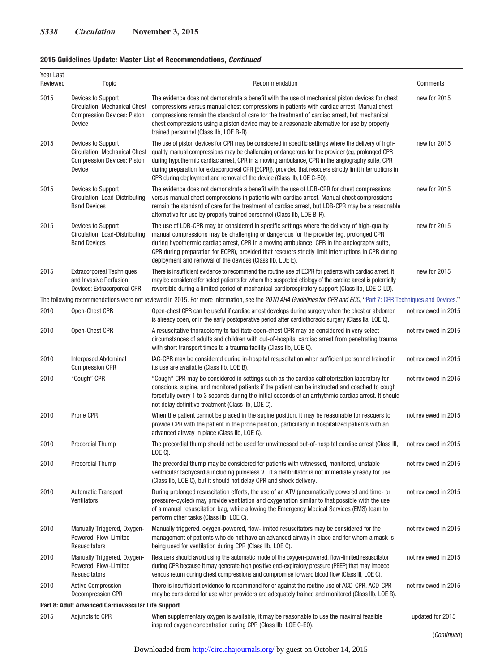| Year Last<br>Reviewed | Topic                                                                                               | Recommendation                                                                                                                                                                                                                                                                                                                                                                                                                                                                                    | Comments             |
|-----------------------|-----------------------------------------------------------------------------------------------------|---------------------------------------------------------------------------------------------------------------------------------------------------------------------------------------------------------------------------------------------------------------------------------------------------------------------------------------------------------------------------------------------------------------------------------------------------------------------------------------------------|----------------------|
| 2015                  | Devices to Support<br>Circulation: Mechanical Chest<br><b>Compression Devices: Piston</b><br>Device | The evidence does not demonstrate a benefit with the use of mechanical piston devices for chest<br>compressions versus manual chest compressions in patients with cardiac arrest. Manual chest<br>compressions remain the standard of care for the treatment of cardiac arrest, but mechanical<br>chest compressions using a piston device may be a reasonable alternative for use by properly<br>trained personnel (Class IIb, LOE B-R).                                                         | new for 2015         |
| 2015                  | Devices to Support<br>Circulation: Mechanical Chest<br><b>Compression Devices: Piston</b><br>Device | The use of piston devices for CPR may be considered in specific settings where the delivery of high-<br>quality manual compressions may be challenging or dangerous for the provider (eg, prolonged CPR<br>during hypothermic cardiac arrest, CPR in a moving ambulance, CPR in the angiography suite, CPR<br>during preparation for extracorporeal CPR [ECPR]), provided that rescuers strictly limit interruptions in<br>CPR during deployment and removal of the device (Class IIb, LOE C-EO). | new for 2015         |
| 2015                  | Devices to Support<br>Circulation: Load-Distributing<br><b>Band Devices</b>                         | The evidence does not demonstrate a benefit with the use of LDB-CPR for chest compressions<br>versus manual chest compressions in patients with cardiac arrest. Manual chest compressions<br>remain the standard of care for the treatment of cardiac arrest, but LDB-CPR may be a reasonable<br>alternative for use by properly trained personnel (Class IIb, LOE B-R).                                                                                                                          | new for 2015         |
| 2015                  | Devices to Support<br>Circulation: Load-Distributing<br><b>Band Devices</b>                         | The use of LDB-CPR may be considered in specific settings where the delivery of high-quality<br>manual compressions may be challenging or dangerous for the provider (eg, prolonged CPR<br>during hypothermic cardiac arrest, CPR in a moving ambulance, CPR in the angiography suite,<br>CPR during preparation for ECPR), provided that rescuers strictly limit interruptions in CPR during<br>deployment and removal of the devices (Class IIb, LOE E).                                        | new for 2015         |
| 2015                  | <b>Extracorporeal Techniques</b><br>and Invasive Perfusion<br>Devices: Extracorporeal CPR           | There is insufficient evidence to recommend the routine use of ECPR for patients with cardiac arrest. It<br>may be considered for select patients for whom the suspected etiology of the cardiac arrest is potentially<br>reversible during a limited period of mechanical cardiorespiratory support (Class IIb, LOE C-LD).                                                                                                                                                                       | new for 2015         |
|                       |                                                                                                     | The following recommendations were not reviewed in 2015. For more information, see the 2010 AHA Guidelines for CPR and ECC, "Part 7: CPR Techniques and Devices."                                                                                                                                                                                                                                                                                                                                 |                      |
| 2010                  | Open-Chest CPR                                                                                      | Open-chest CPR can be useful if cardiac arrest develops during surgery when the chest or abdomen<br>is already open, or in the early postoperative period after cardiothoracic surgery (Class IIa, LOE C).                                                                                                                                                                                                                                                                                        | not reviewed in 2015 |
| 2010                  | Open-Chest CPR                                                                                      | A resuscitative thoracotomy to facilitate open-chest CPR may be considered in very select<br>circumstances of adults and children with out-of-hospital cardiac arrest from penetrating trauma<br>with short transport times to a trauma facility (Class IIb, LOE C).                                                                                                                                                                                                                              | not reviewed in 2015 |
| 2010                  | Interposed Abdominal<br><b>Compression CPR</b>                                                      | IAC-CPR may be considered during in-hospital resuscitation when sufficient personnel trained in<br>its use are available (Class IIb, LOE B).                                                                                                                                                                                                                                                                                                                                                      | not reviewed in 2015 |
| 2010                  | "Cough" CPR                                                                                         | "Cough" CPR may be considered in settings such as the cardiac catheterization laboratory for<br>conscious, supine, and monitored patients if the patient can be instructed and coached to cough<br>forcefully every 1 to 3 seconds during the initial seconds of an arrhythmic cardiac arrest. It should<br>not delay definitive treatment (Class IIb, LOE C).                                                                                                                                    | not reviewed in 2015 |
| 2010                  | Prone CPR                                                                                           | When the patient cannot be placed in the supine position, it may be reasonable for rescuers to<br>provide CPR with the patient in the prone position, particularly in hospitalized patients with an<br>advanced airway in place (Class IIb, LOE C).                                                                                                                                                                                                                                               | not reviewed in 2015 |
| 2010                  | Precordial Thump                                                                                    | The precordial thump should not be used for unwitnessed out-of-hospital cardiac arrest (Class III,<br>LOE C).                                                                                                                                                                                                                                                                                                                                                                                     | not reviewed in 2015 |
| 2010                  | Precordial Thump                                                                                    | The precordial thump may be considered for patients with witnessed, monitored, unstable<br>ventricular tachycardia including pulseless VT if a defibrillator is not immediately ready for use<br>(Class IIb, LOE C), but it should not delay CPR and shock delivery.                                                                                                                                                                                                                              | not reviewed in 2015 |
| 2010                  | <b>Automatic Transport</b><br>Ventilators                                                           | During prolonged resuscitation efforts, the use of an ATV (pneumatically powered and time- or<br>pressure-cycled) may provide ventilation and oxygenation similar to that possible with the use<br>of a manual resuscitation bag, while allowing the Emergency Medical Services (EMS) team to<br>perform other tasks (Class IIb, LOE C).                                                                                                                                                          | not reviewed in 2015 |
| 2010                  | Manually Triggered, Oxygen-<br>Powered, Flow-Limited<br>Resuscitators                               | Manually triggered, oxygen-powered, flow-limited resuscitators may be considered for the<br>management of patients who do not have an advanced airway in place and for whom a mask is<br>being used for ventilation during CPR (Class IIb, LOE C).                                                                                                                                                                                                                                                | not reviewed in 2015 |
| 2010                  | Manually Triggered, Oxygen-<br>Powered, Flow-Limited<br>Resuscitators                               | Rescuers should avoid using the automatic mode of the oxygen-powered, flow-limited resuscitator<br>during CPR because it may generate high positive end-expiratory pressure (PEEP) that may impede<br>venous return during chest compressions and compromise forward blood flow (Class III, LOE C).                                                                                                                                                                                               | not reviewed in 2015 |
| 2010                  | <b>Active Compression-</b><br>Decompression CPR                                                     | There is insufficient evidence to recommend for or against the routine use of ACD-CPR. ACD-CPR<br>may be considered for use when providers are adequately trained and monitored (Class IIb, LOE B).                                                                                                                                                                                                                                                                                               | not reviewed in 2015 |
|                       | Part 8: Adult Advanced Cardiovascular Life Support                                                  |                                                                                                                                                                                                                                                                                                                                                                                                                                                                                                   |                      |
| 2015                  | Adjuncts to CPR                                                                                     | When supplementary oxygen is available, it may be reasonable to use the maximal feasible<br>inspired oxygen concentration during CPR (Class IIb, LOE C-EO).                                                                                                                                                                                                                                                                                                                                       | updated for 2015     |
|                       |                                                                                                     |                                                                                                                                                                                                                                                                                                                                                                                                                                                                                                   | (Continued)          |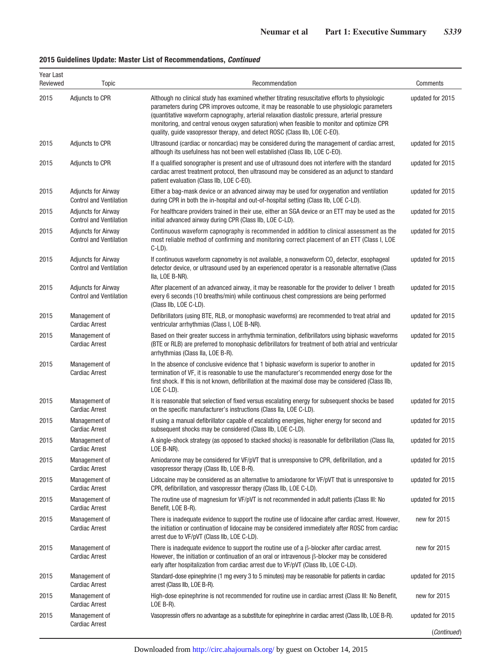| Year Last<br>Reviewed | <b>Topic</b><br>Recommendation                               |                                                                                                                                                                                                                                                                                                                                                                                                                                                                            | Comments         |  |
|-----------------------|--------------------------------------------------------------|----------------------------------------------------------------------------------------------------------------------------------------------------------------------------------------------------------------------------------------------------------------------------------------------------------------------------------------------------------------------------------------------------------------------------------------------------------------------------|------------------|--|
| 2015                  | Adjuncts to CPR                                              | Although no clinical study has examined whether titrating resuscitative efforts to physiologic<br>parameters during CPR improves outcome, it may be reasonable to use physiologic parameters<br>(quantitative waveform capnography, arterial relaxation diastolic pressure, arterial pressure<br>monitoring, and central venous oxygen saturation) when feasible to monitor and optimize CPR<br>quality, guide vasopressor therapy, and detect ROSC (Class IIb, LOE C-EO). | updated for 2015 |  |
| 2015                  | <b>Adjuncts to CPR</b>                                       | Ultrasound (cardiac or noncardiac) may be considered during the management of cardiac arrest,<br>although its usefulness has not been well established (Class IIb, LOE C-EO).                                                                                                                                                                                                                                                                                              | updated for 2015 |  |
| 2015                  | <b>Adjuncts to CPR</b>                                       | If a qualified sonographer is present and use of ultrasound does not interfere with the standard<br>cardiac arrest treatment protocol, then ultrasound may be considered as an adjunct to standard<br>patient evaluation (Class IIb, LOE C-EO).                                                                                                                                                                                                                            | updated for 2015 |  |
| 2015                  | <b>Adjuncts for Airway</b><br><b>Control and Ventilation</b> | Either a bag-mask device or an advanced airway may be used for oxygenation and ventilation<br>during CPR in both the in-hospital and out-of-hospital setting (Class IIb, LOE C-LD).                                                                                                                                                                                                                                                                                        | updated for 2015 |  |
| 2015                  | <b>Adjuncts for Airway</b><br><b>Control and Ventilation</b> | For healthcare providers trained in their use, either an SGA device or an ETT may be used as the<br>initial advanced airway during CPR (Class IIb, LOE C-LD).                                                                                                                                                                                                                                                                                                              | updated for 2015 |  |
| 2015                  | <b>Adjuncts for Airway</b><br><b>Control and Ventilation</b> | Continuous waveform capnography is recommended in addition to clinical assessment as the<br>most reliable method of confirming and monitoring correct placement of an ETT (Class I, LOE<br>$C-LD$ ).                                                                                                                                                                                                                                                                       | updated for 2015 |  |
| 2015                  | <b>Adjuncts for Airway</b><br><b>Control and Ventilation</b> | If continuous waveform capnometry is not available, a nonwaveform CO <sub>2</sub> detector, esophageal<br>detector device, or ultrasound used by an experienced operator is a reasonable alternative (Class<br>Ila, LOE B-NR).                                                                                                                                                                                                                                             | updated for 2015 |  |
| 2015                  | <b>Adjuncts for Airway</b><br><b>Control and Ventilation</b> | After placement of an advanced airway, it may be reasonable for the provider to deliver 1 breath<br>every 6 seconds (10 breaths/min) while continuous chest compressions are being performed<br>(Class IIb, LOE C-LD).                                                                                                                                                                                                                                                     | updated for 2015 |  |
| 2015                  | Management of<br><b>Cardiac Arrest</b>                       | Defibrillators (using BTE, RLB, or monophasic waveforms) are recommended to treat atrial and<br>ventricular arrhythmias (Class I, LOE B-NR).                                                                                                                                                                                                                                                                                                                               | updated for 2015 |  |
| 2015                  | Management of<br><b>Cardiac Arrest</b>                       | Based on their greater success in arrhythmia termination, defibrillators using biphasic waveforms<br>(BTE or RLB) are preferred to monophasic defibrillators for treatment of both atrial and ventricular<br>arrhythmias (Class IIa, LOE B-R).                                                                                                                                                                                                                             | updated for 2015 |  |
| 2015                  | Management of<br><b>Cardiac Arrest</b>                       | In the absence of conclusive evidence that 1 biphasic waveform is superior to another in<br>termination of VF, it is reasonable to use the manufacturer's recommended energy dose for the<br>first shock. If this is not known, defibrillation at the maximal dose may be considered (Class IIb,<br>LOE C-LD).                                                                                                                                                             | updated for 2015 |  |
| 2015                  | Management of<br><b>Cardiac Arrest</b>                       | It is reasonable that selection of fixed versus escalating energy for subsequent shocks be based<br>on the specific manufacturer's instructions (Class IIa, LOE C-LD).                                                                                                                                                                                                                                                                                                     | updated for 2015 |  |
| 2015                  | Management of<br><b>Cardiac Arrest</b>                       | If using a manual defibrillator capable of escalating energies, higher energy for second and<br>subsequent shocks may be considered (Class IIb, LOE C-LD).                                                                                                                                                                                                                                                                                                                 | updated for 2015 |  |
| 2015                  | Management of<br><b>Cardiac Arrest</b>                       | A single-shock strategy (as opposed to stacked shocks) is reasonable for defibrillation (Class IIa,<br>LOE B-NR).                                                                                                                                                                                                                                                                                                                                                          | updated for 2015 |  |
| 2015                  | Management of<br><b>Cardiac Arrest</b>                       | Amiodarone may be considered for VF/pVT that is unresponsive to CPR, defibrillation, and a<br>vasopressor therapy (Class IIb, LOE B-R).                                                                                                                                                                                                                                                                                                                                    | updated for 2015 |  |
| 2015                  | Management of<br><b>Cardiac Arrest</b>                       | Lidocaine may be considered as an alternative to amiodarone for VF/pVT that is unresponsive to<br>CPR, defibrillation, and vasopressor therapy (Class IIb, LOE C-LD).                                                                                                                                                                                                                                                                                                      | updated for 2015 |  |
| 2015                  | Management of<br><b>Cardiac Arrest</b>                       | The routine use of magnesium for VF/pVT is not recommended in adult patients (Class III: No<br>Benefit, LOE B-R).                                                                                                                                                                                                                                                                                                                                                          | updated for 2015 |  |
| 2015                  | Management of<br><b>Cardiac Arrest</b>                       | There is inadequate evidence to support the routine use of lidocaine after cardiac arrest. However,<br>the initiation or continuation of lidocaine may be considered immediately after ROSC from cardiac<br>arrest due to VF/pVT (Class IIb, LOE C-LD).                                                                                                                                                                                                                    | new for 2015     |  |
| 2015                  | Management of<br><b>Cardiac Arrest</b>                       | There is inadequate evidence to support the routine use of a $\beta$ -blocker after cardiac arrest.<br>However, the initiation or continuation of an oral or intravenous $\beta$ -blocker may be considered<br>early after hospitalization from cardiac arrest due to VF/pVT (Class IIb, LOE C-LD).                                                                                                                                                                        | new for 2015     |  |
| 2015                  | Management of<br><b>Cardiac Arrest</b>                       | Standard-dose epinephrine (1 mg every 3 to 5 minutes) may be reasonable for patients in cardiac<br>arrest (Class IIb, LOE B-R).                                                                                                                                                                                                                                                                                                                                            | updated for 2015 |  |
| 2015                  | Management of<br><b>Cardiac Arrest</b>                       | High-dose epinephrine is not recommended for routine use in cardiac arrest (Class III: No Benefit,<br>$LOE B-R$ ).                                                                                                                                                                                                                                                                                                                                                         | new for 2015     |  |
| 2015                  | Management of<br><b>Cardiac Arrest</b>                       | Vasopressin offers no advantage as a substitute for epinephrine in cardiac arrest (Class IIb, LOE B-R).                                                                                                                                                                                                                                                                                                                                                                    | updated for 2015 |  |
|                       |                                                              |                                                                                                                                                                                                                                                                                                                                                                                                                                                                            | (Continued)      |  |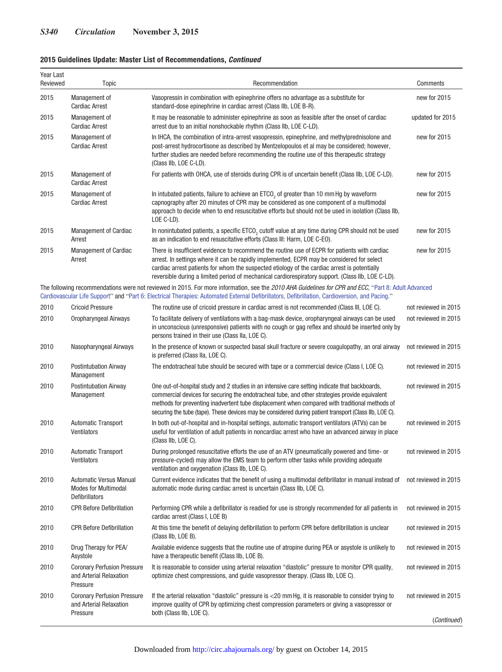| Year Last<br>Reviewed | Topic                                                                           | Recommendation                                                                                                                                                                                                                                                                                                                                                                                               | Comments             |
|-----------------------|---------------------------------------------------------------------------------|--------------------------------------------------------------------------------------------------------------------------------------------------------------------------------------------------------------------------------------------------------------------------------------------------------------------------------------------------------------------------------------------------------------|----------------------|
| 2015                  | Management of<br><b>Cardiac Arrest</b>                                          | Vasopressin in combination with epinephrine offers no advantage as a substitute for<br>standard-dose epinephrine in cardiac arrest (Class IIb, LOE B-R).                                                                                                                                                                                                                                                     | new for 2015         |
| 2015                  | Management of<br><b>Cardiac Arrest</b>                                          | It may be reasonable to administer epinephrine as soon as feasible after the onset of cardiac<br>arrest due to an initial nonshockable rhythm (Class IIb, LOE C-LD).                                                                                                                                                                                                                                         | updated for 2015     |
| 2015                  | Management of<br><b>Cardiac Arrest</b>                                          | In IHCA, the combination of intra-arrest vasopressin, epinephrine, and methylprednisolone and<br>post-arrest hydrocortisone as described by Mentzelopoulos et al may be considered; however,<br>further studies are needed before recommending the routine use of this therapeutic strategy<br>(Class IIb, LOE C-LD).                                                                                        | new for 2015         |
| 2015                  | Management of<br><b>Cardiac Arrest</b>                                          | For patients with OHCA, use of steroids during CPR is of uncertain benefit (Class IIb, LOE C-LD).                                                                                                                                                                                                                                                                                                            | new for 2015         |
| 2015                  | Management of<br><b>Cardiac Arrest</b>                                          | In intubated patients, failure to achieve an ETCO <sub>2</sub> of greater than 10 mm Hg by waveform<br>capnography after 20 minutes of CPR may be considered as one component of a multimodal<br>approach to decide when to end resuscitative efforts but should not be used in isolation (Class IIb,<br>LOE C-LD).                                                                                          | new for 2015         |
| 2015                  | <b>Management of Cardiac</b><br>Arrest                                          | In nonintubated patients, a specific ETCO <sub>2</sub> cutoff value at any time during CPR should not be used<br>as an indication to end resuscitative efforts (Class III: Harm, LOE C-EO).                                                                                                                                                                                                                  | new for 2015         |
| 2015                  | <b>Management of Cardiac</b><br>Arrest                                          | There is insufficient evidence to recommend the routine use of ECPR for patients with cardiac<br>arrest. In settings where it can be rapidly implemented, ECPR may be considered for select<br>cardiac arrest patients for whom the suspected etiology of the cardiac arrest is potentially<br>reversible during a limited period of mechanical cardiorespiratory support. (Class IIb, LOE C-LD).            | new for 2015         |
|                       |                                                                                 | The following recommendations were not reviewed in 2015. For more information, see the 2010 AHA Guidelines for CPR and ECC, "Part 8: Adult Advanced<br>Cardiovascular Life Support" and "Part 6: Electrical Therapies: Automated External Defibrillators, Defibrillation, Cardioversion, and Pacing."                                                                                                        |                      |
| 2010                  | <b>Cricoid Pressure</b>                                                         | The routine use of cricoid pressure in cardiac arrest is not recommended (Class III, LOE C).                                                                                                                                                                                                                                                                                                                 | not reviewed in 2015 |
| 2010                  | Oropharyngeal Airways                                                           | To facilitate delivery of ventilations with a bag-mask device, oropharyngeal airways can be used<br>in unconscious (unresponsive) patients with no cough or gag reflex and should be inserted only by<br>persons trained in their use (Class IIa, LOE C).                                                                                                                                                    | not reviewed in 2015 |
| 2010                  | Nasopharyngeal Airways                                                          | In the presence of known or suspected basal skull fracture or severe coagulopathy, an oral airway<br>is preferred (Class IIa, LOE C).                                                                                                                                                                                                                                                                        | not reviewed in 2015 |
| 2010                  | <b>Postintubation Airway</b><br>Management                                      | The endotracheal tube should be secured with tape or a commercial device (Class I, LOE C).                                                                                                                                                                                                                                                                                                                   | not reviewed in 2015 |
| 2010                  | <b>Postintubation Airway</b><br>Management                                      | One out-of-hospital study and 2 studies in an intensive care setting indicate that backboards,<br>commercial devices for securing the endotracheal tube, and other strategies provide equivalent<br>methods for preventing inadvertent tube displacement when compared with traditional methods of<br>securing the tube (tape). These devices may be considered during patient transport (Class IIb, LOE C). | not reviewed in 2015 |
| 2010                  | Automatic Transport<br><b>Ventilators</b>                                       | In both out-of-hospital and in-hospital settings, automatic transport ventilators (ATVs) can be<br>useful for ventilation of adult patients in noncardiac arrest who have an advanced airway in place<br>(Class IIb, LOE C).                                                                                                                                                                                 | not reviewed in 2015 |
| 2010                  | Automatic Transport<br>Ventilators                                              | During prolonged resuscitative efforts the use of an ATV (pneumatically powered and time- or<br>pressure-cycled) may allow the EMS team to perform other tasks while providing adequate<br>ventilation and oxygenation (Class IIb, LOE C).                                                                                                                                                                   | not reviewed in 2015 |
| 2010                  | <b>Automatic Versus Manual</b><br><b>Modes for Multimodal</b><br>Defibrillators | Current evidence indicates that the benefit of using a multimodal defibrillator in manual instead of<br>automatic mode during cardiac arrest is uncertain (Class IIb, LOE C).                                                                                                                                                                                                                                | not reviewed in 2015 |
| 2010                  | <b>CPR Before Defibrillation</b>                                                | Performing CPR while a defibrillator is readied for use is strongly recommended for all patients in<br>cardiac arrest (Class I, LOE B)                                                                                                                                                                                                                                                                       | not reviewed in 2015 |
| 2010                  | <b>CPR Before Defibrillation</b>                                                | At this time the benefit of delaying defibrillation to perform CPR before defibrillation is unclear<br>(Class IIb, LOE B).                                                                                                                                                                                                                                                                                   | not reviewed in 2015 |
| 2010                  | Drug Therapy for PEA/<br>Asystole                                               | Available evidence suggests that the routine use of atropine during PEA or asystole is unlikely to<br>have a therapeutic benefit (Class IIb, LOE B).                                                                                                                                                                                                                                                         | not reviewed in 2015 |
| 2010                  | <b>Coronary Perfusion Pressure</b><br>and Arterial Relaxation<br>Pressure       | It is reasonable to consider using arterial relaxation "diastolic" pressure to monitor CPR quality,<br>optimize chest compressions, and guide vasopressor therapy. (Class IIb, LOE C).                                                                                                                                                                                                                       | not reviewed in 2015 |
| 2010                  | <b>Coronary Perfusion Pressure</b><br>and Arterial Relaxation                   | If the arterial relaxation "diastolic" pressure is <20 mm Hg, it is reasonable to consider trying to<br>improve quality of CPR by optimizing chest compression parameters or giving a vasopressor or                                                                                                                                                                                                         | not reviewed in 2015 |
|                       | Pressure                                                                        | both (Class IIb, LOE C).                                                                                                                                                                                                                                                                                                                                                                                     | (Continued)          |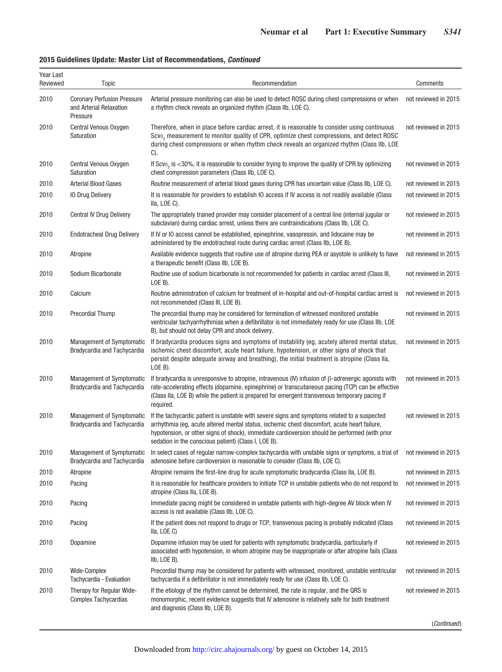|  |  |  | 2015 Guidelines Update: Master List of Recommendations, <i>Continued</i> |  |
|--|--|--|--------------------------------------------------------------------------|--|
|--|--|--|--------------------------------------------------------------------------|--|

| Year Last<br>Reviewed | Topic                                                                     | Recommendation                                                                                                                                                                                                                                                                                                                                         | Comments             |
|-----------------------|---------------------------------------------------------------------------|--------------------------------------------------------------------------------------------------------------------------------------------------------------------------------------------------------------------------------------------------------------------------------------------------------------------------------------------------------|----------------------|
| 2010                  | <b>Coronary Perfusion Pressure</b><br>and Arterial Relaxation<br>Pressure | Arterial pressure monitoring can also be used to detect ROSC during chest compressions or when<br>a rhythm check reveals an organized rhythm (Class IIb, LOE C).                                                                                                                                                                                       | not reviewed in 2015 |
| 2010                  | Central Venous Oxygen<br>Saturation                                       | Therefore, when in place before cardiac arrest, it is reasonable to consider using continuous<br>Scvo <sub>2</sub> measurement to monitor quality of CPR, optimize chest compressions, and detect ROSC<br>during chest compressions or when rhythm check reveals an organized rhythm (Class IIb, LOE<br>$C$ ).                                         | not reviewed in 2015 |
| 2010                  | Central Venous Oxygen<br>Saturation                                       | If Scvo <sub>2</sub> is <30%, it is reasonable to consider trying to improve the quality of CPR by optimizing<br>chest compression parameters (Class IIb, LOE C).                                                                                                                                                                                      | not reviewed in 2015 |
| 2010                  | <b>Arterial Blood Gases</b>                                               | Routine measurement of arterial blood gases during CPR has uncertain value (Class IIb, LOE C).                                                                                                                                                                                                                                                         | not reviewed in 2015 |
| 2010                  | <b>IO Drug Delivery</b>                                                   | It is reasonable for providers to establish IO access if IV access is not readily available (Class<br>IIa, LOE C).                                                                                                                                                                                                                                     | not reviewed in 2015 |
| 2010                  | <b>Central IV Drug Delivery</b>                                           | The appropriately trained provider may consider placement of a central line (internal jugular or<br>subclavian) during cardiac arrest, unless there are contraindications (Class IIb, LOE C).                                                                                                                                                          | not reviewed in 2015 |
| 2010                  | <b>Endotracheal Drug Delivery</b>                                         | If IV or IO access cannot be established, epinephrine, vasopressin, and lidocaine may be<br>administered by the endotracheal route during cardiac arrest (Class IIb, LOE B).                                                                                                                                                                           | not reviewed in 2015 |
| 2010                  | Atropine                                                                  | Available evidence suggests that routine use of atropine during PEA or asystole is unlikely to have<br>a therapeutic benefit (Class IIb, LOE B).                                                                                                                                                                                                       | not reviewed in 2015 |
| 2010                  | Sodium Bicarbonate                                                        | Routine use of sodium bicarbonate is not recommended for patients in cardiac arrest (Class III,<br>$LOE B$ ).                                                                                                                                                                                                                                          | not reviewed in 2015 |
| 2010                  | Calcium                                                                   | Routine administration of calcium for treatment of in-hospital and out-of-hospital cardiac arrest is<br>not recommended (Class III, LOE B).                                                                                                                                                                                                            | not reviewed in 2015 |
| 2010                  | <b>Precordial Thump</b>                                                   | The precordial thump may be considered for termination of witnessed monitored unstable<br>ventricular tachyarrhythmias when a defibrillator is not immediately ready for use (Class IIb, LOE<br>B), but should not delay CPR and shock delivery.                                                                                                       | not reviewed in 2015 |
| 2010                  | <b>Management of Symptomatic</b><br>Bradycardia and Tachycardia           | If bradycardia produces signs and symptoms of instability (eg, acutely altered mental status,<br>ischemic chest discomfort, acute heart failure, hypotension, or other signs of shock that<br>persist despite adequate airway and breathing), the initial treatment is atropine (Class IIa,<br>LOE B).                                                 | not reviewed in 2015 |
| 2010                  | <b>Management of Symptomatic</b><br>Bradycardia and Tachycardia           | If bradycardia is unresponsive to atropine, intravenous (IV) infusion of $\beta$ -adrenergic agonists with<br>rate-accelerating effects (dopamine, epinephrine) or transcutaneous pacing (TCP) can be effective<br>(Class IIa, LOE B) while the patient is prepared for emergent transvenous temporary pacing if<br>required.                          | not reviewed in 2015 |
| 2010                  | <b>Management of Symptomatic</b><br>Bradycardia and Tachycardia           | If the tachycardic patient is unstable with severe signs and symptoms related to a suspected<br>arrhythmia (eg, acute altered mental status, ischemic chest discomfort, acute heart failure,<br>hypotension, or other signs of shock), immediate cardioversion should be performed (with prior<br>sedation in the conscious patient) (Class I, LOE B). | not reviewed in 2015 |
| 2010                  | <b>Management of Symptomatic</b><br>Bradycardia and Tachycardia           | In select cases of regular narrow-complex tachycardia with unstable signs or symptoms, a trial of<br>adenosine before cardioversion is reasonable to consider (Class IIb, LOE C).                                                                                                                                                                      | not reviewed in 2015 |
| 2010                  | Atropine                                                                  | Atropine remains the first-line drug for acute symptomatic bradycardia (Class IIa, LOE B).                                                                                                                                                                                                                                                             | not reviewed in 2015 |
| 2010                  | Pacing                                                                    | It is reasonable for healthcare providers to initiate TCP in unstable patients who do not respond to<br>atropine (Class IIa, LOE B).                                                                                                                                                                                                                   | not reviewed in 2015 |
| 2010                  | Pacing                                                                    | Immediate pacing might be considered in unstable patients with high-degree AV block when IV<br>access is not available (Class IIb, LOE C).                                                                                                                                                                                                             | not reviewed in 2015 |
| 2010                  | Pacing                                                                    | If the patient does not respond to drugs or TCP, transvenous pacing is probably indicated (Class<br>Ila, LOE C)                                                                                                                                                                                                                                        | not reviewed in 2015 |
| 2010                  | Dopamine                                                                  | Dopamine infusion may be used for patients with symptomatic bradycardia, particularly if<br>associated with hypotension, in whom atropine may be inappropriate or after atropine fails (Class<br>IIb, LOE B).                                                                                                                                          | not reviewed in 2015 |
| 2010                  | Wide-Complex<br>Tachycardia - Evaluation                                  | Precordial thump may be considered for patients with witnessed, monitored, unstable ventricular<br>tachycardia if a defibrillator is not immediately ready for use (Class IIb, LOE C).                                                                                                                                                                 | not reviewed in 2015 |
| 2010                  | Therapy for Regular Wide-<br><b>Complex Tachycardias</b>                  | If the etiology of the rhythm cannot be determined, the rate is regular, and the QRS is<br>monomorphic, recent evidence suggests that IV adenosine is relatively safe for both treatment<br>and diagnosis (Class IIb, LOE B).                                                                                                                          | not reviewed in 2015 |
|                       |                                                                           |                                                                                                                                                                                                                                                                                                                                                        | (Continued)          |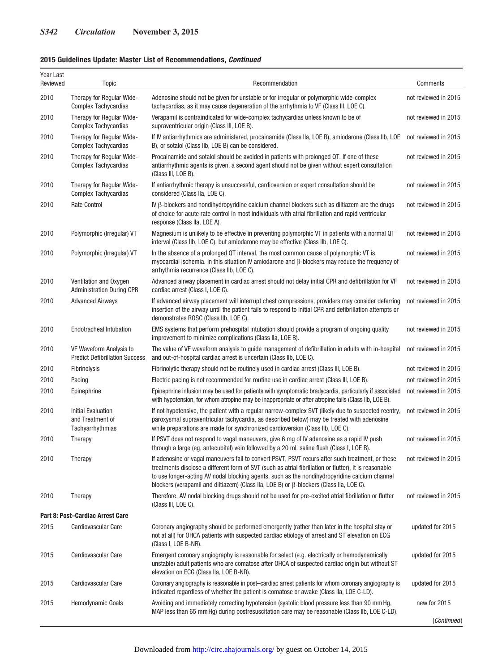| Year Last<br>Reviewed | Topic                                                            | Recommendation                                                                                                                                                                                                                                                                                                                                                                                                | Comments             |
|-----------------------|------------------------------------------------------------------|---------------------------------------------------------------------------------------------------------------------------------------------------------------------------------------------------------------------------------------------------------------------------------------------------------------------------------------------------------------------------------------------------------------|----------------------|
| 2010                  | Therapy for Regular Wide-<br><b>Complex Tachycardias</b>         | Adenosine should not be given for unstable or for irregular or polymorphic wide-complex<br>tachycardias, as it may cause degeneration of the arrhythmia to VF (Class III, LOE C).                                                                                                                                                                                                                             | not reviewed in 2015 |
| 2010                  | Therapy for Regular Wide-<br><b>Complex Tachycardias</b>         | Verapamil is contraindicated for wide-complex tachycardias unless known to be of<br>supraventricular origin (Class III, LOE B).                                                                                                                                                                                                                                                                               | not reviewed in 2015 |
| 2010                  | Therapy for Regular Wide-<br><b>Complex Tachycardias</b>         | If IV antiarrhythmics are administered, procainamide (Class IIa, LOE B), amiodarone (Class IIb, LOE<br>B), or sotalol (Class IIb, LOE B) can be considered.                                                                                                                                                                                                                                                   | not reviewed in 2015 |
| 2010                  | Therapy for Regular Wide-<br><b>Complex Tachycardias</b>         | Procainamide and sotalol should be avoided in patients with prolonged QT. If one of these<br>antiarrhythmic agents is given, a second agent should not be given without expert consultation<br>(Class III, LOE B).                                                                                                                                                                                            | not reviewed in 2015 |
| 2010                  | Therapy for Regular Wide-<br><b>Complex Tachycardias</b>         | If antiarrhythmic therapy is unsuccessful, cardioversion or expert consultation should be<br>considered (Class IIa, LOE C).                                                                                                                                                                                                                                                                                   | not reviewed in 2015 |
| 2010                  | <b>Rate Control</b>                                              | IV $\beta$ -blockers and nondihydropyridine calcium channel blockers such as diltiazem are the drugs<br>of choice for acute rate control in most individuals with atrial fibrillation and rapid ventricular<br>response (Class IIa, LOE A).                                                                                                                                                                   | not reviewed in 2015 |
| 2010                  | Polymorphic (Irregular) VT                                       | Magnesium is unlikely to be effective in preventing polymorphic VT in patients with a normal QT<br>interval (Class IIb, LOE C), but amiodarone may be effective (Class IIb, LOE C).                                                                                                                                                                                                                           | not reviewed in 2015 |
| 2010                  | Polymorphic (Irregular) VT                                       | In the absence of a prolonged QT interval, the most common cause of polymorphic VT is<br>myocardial ischemia. In this situation IV amiodarone and ß-blockers may reduce the frequency of<br>arrhythmia recurrence (Class IIb, LOE C).                                                                                                                                                                         | not reviewed in 2015 |
| 2010                  | Ventilation and Oxygen<br><b>Administration During CPR</b>       | Advanced airway placement in cardiac arrest should not delay initial CPR and defibrillation for VF<br>cardiac arrest (Class I, LOE C).                                                                                                                                                                                                                                                                        | not reviewed in 2015 |
| 2010                  | <b>Advanced Airways</b>                                          | If advanced airway placement will interrupt chest compressions, providers may consider deferring<br>insertion of the airway until the patient fails to respond to initial CPR and defibrillation attempts or<br>demonstrates ROSC (Class IIb, LOE C).                                                                                                                                                         | not reviewed in 2015 |
| 2010                  | Endotracheal Intubation                                          | EMS systems that perform prehospital intubation should provide a program of ongoing quality<br>improvement to minimize complications (Class IIa, LOE B).                                                                                                                                                                                                                                                      | not reviewed in 2015 |
| 2010                  | VF Waveform Analysis to<br><b>Predict Defibrillation Success</b> | The value of VF waveform analysis to guide management of defibrillation in adults with in-hospital<br>and out-of-hospital cardiac arrest is uncertain (Class IIb, LOE C).                                                                                                                                                                                                                                     | not reviewed in 2015 |
| 2010                  | Fibrinolysis                                                     | Fibrinolytic therapy should not be routinely used in cardiac arrest (Class III, LOE B).                                                                                                                                                                                                                                                                                                                       | not reviewed in 2015 |
| 2010                  | Pacing                                                           | Electric pacing is not recommended for routine use in cardiac arrest (Class III, LOE B).                                                                                                                                                                                                                                                                                                                      | not reviewed in 2015 |
| 2010                  | Epinephrine                                                      | Epinephrine infusion may be used for patients with symptomatic bradycardia, particularly if associated<br>with hypotension, for whom atropine may be inappropriate or after atropine fails (Class IIb, LOE B).                                                                                                                                                                                                | not reviewed in 2015 |
| 2010                  | Initial Evaluation<br>and Treatment of<br>Tachyarrhythmias       | If not hypotensive, the patient with a regular narrow-complex SVT (likely due to suspected reentry,<br>paroxysmal supraventricular tachycardia, as described below) may be treated with adenosine<br>while preparations are made for synchronized cardioversion (Class IIb, LOE C).                                                                                                                           | not reviewed in 2015 |
| 2010                  | Therapy                                                          | If PSVT does not respond to vagal maneuvers, give 6 mg of IV adenosine as a rapid IV push<br>through a large (eg, antecubital) vein followed by a 20 mL saline flush (Class I, LOE B).                                                                                                                                                                                                                        | not reviewed in 2015 |
| 2010                  | Therapy                                                          | If adenosine or vagal maneuvers fail to convert PSVT, PSVT recurs after such treatment, or these<br>treatments disclose a different form of SVT (such as atrial fibrillation or flutter), it is reasonable<br>to use longer-acting AV nodal blocking agents, such as the nondihydropyridine calcium channel<br>blockers (verapamil and diltiazem) (Class IIa, LOE B) or $\beta$ -blockers (Class IIa, LOE C). | not reviewed in 2015 |
| 2010                  | Therapy                                                          | Therefore, AV nodal blocking drugs should not be used for pre-excited atrial fibrillation or flutter<br>(Class III, LOE C).                                                                                                                                                                                                                                                                                   | not reviewed in 2015 |
|                       | Part 8: Post-Cardiac Arrest Care                                 |                                                                                                                                                                                                                                                                                                                                                                                                               |                      |
| 2015                  | Cardiovascular Care                                              | Coronary angiography should be performed emergently (rather than later in the hospital stay or<br>not at all) for OHCA patients with suspected cardiac etiology of arrest and ST elevation on ECG<br>(Class I, LOE B-NR).                                                                                                                                                                                     | updated for 2015     |
| 2015                  | Cardiovascular Care                                              | Emergent coronary angiography is reasonable for select (e.g. electrically or hemodynamically<br>unstable) adult patients who are comatose after OHCA of suspected cardiac origin but without ST<br>elevation on ECG (Class IIa, LOE B-NR).                                                                                                                                                                    | updated for 2015     |
| 2015                  | Cardiovascular Care                                              | Coronary angiography is reasonable in post-cardiac arrest patients for whom coronary angiography is<br>indicated regardless of whether the patient is comatose or awake (Class IIa, LOE C-LD).                                                                                                                                                                                                                | updated for 2015     |
| 2015                  | Hemodynamic Goals                                                | Avoiding and immediately correcting hypotension (systolic blood pressure less than 90 mm Hg,<br>MAP less than 65 mm Hg) during postresuscitation care may be reasonable (Class IIb, LOE C-LD).                                                                                                                                                                                                                | new for 2015         |
|                       |                                                                  |                                                                                                                                                                                                                                                                                                                                                                                                               | (Continued)          |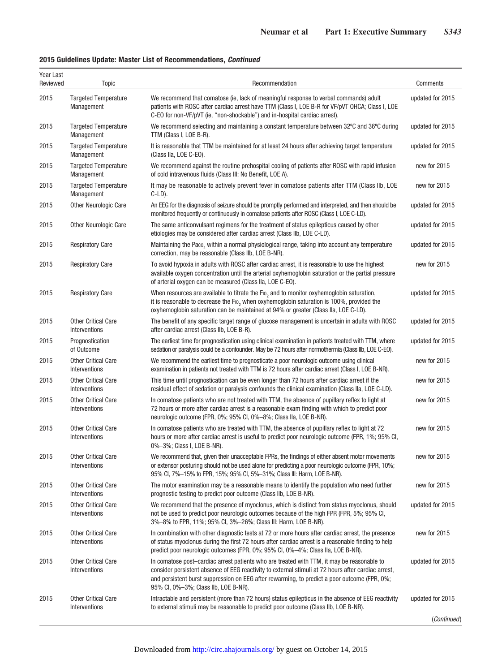| Year Last<br>Reviewed | <b>Topic</b>                                | Recommendation                                                                                                                                                                                                                                                                                                                            | Comments         |
|-----------------------|---------------------------------------------|-------------------------------------------------------------------------------------------------------------------------------------------------------------------------------------------------------------------------------------------------------------------------------------------------------------------------------------------|------------------|
| 2015                  | <b>Targeted Temperature</b><br>Management   | We recommend that comatose (ie, lack of meaningful response to verbal commands) adult<br>patients with ROSC after cardiac arrest have TTM (Class I, LOE B-R for VF/pVT OHCA; Class I, LOE<br>C-EO for non-VF/pVT (ie, "non-shockable") and in-hospital cardiac arrest).                                                                   | updated for 2015 |
| 2015                  | <b>Targeted Temperature</b><br>Management   | We recommend selecting and maintaining a constant temperature between 32°C and 36°C during<br>TTM (Class I, LOE B-R).                                                                                                                                                                                                                     | updated for 2015 |
| 2015                  | <b>Targeted Temperature</b><br>Management   | It is reasonable that TTM be maintained for at least 24 hours after achieving target temperature<br>(Class IIa, LOE C-EO).                                                                                                                                                                                                                | updated for 2015 |
| 2015                  | <b>Targeted Temperature</b><br>Management   | We recommend against the routine prehospital cooling of patients after ROSC with rapid infusion<br>of cold intravenous fluids (Class III: No Benefit, LOE A).                                                                                                                                                                             | new for 2015     |
| 2015                  | <b>Targeted Temperature</b><br>Management   | It may be reasonable to actively prevent fever in comatose patients after TTM (Class IIb, LOE<br>$C-LD$ ).                                                                                                                                                                                                                                | new for 2015     |
| 2015                  | Other Neurologic Care                       | An EEG for the diagnosis of seizure should be promptly performed and interpreted, and then should be<br>monitored frequently or continuously in comatose patients after ROSC (Class I, LOE C-LD).                                                                                                                                         | updated for 2015 |
| 2015                  | Other Neurologic Care                       | The same anticonvulsant regimens for the treatment of status epilepticus caused by other<br>etiologies may be considered after cardiac arrest (Class IIb, LOE C-LD).                                                                                                                                                                      | updated for 2015 |
| 2015                  | <b>Respiratory Care</b>                     | Maintaining the Paco, within a normal physiological range, taking into account any temperature<br>correction, may be reasonable (Class IIb, LOE B-NR).                                                                                                                                                                                    | updated for 2015 |
| 2015                  | <b>Respiratory Care</b>                     | To avoid hypoxia in adults with ROSC after cardiac arrest, it is reasonable to use the highest<br>available oxygen concentration until the arterial oxyhemoglobin saturation or the partial pressure<br>of arterial oxygen can be measured (Class IIa, LOE C-EO).                                                                         | new for 2015     |
| 2015                  | <b>Respiratory Care</b>                     | When resources are available to titrate the F <sub>10</sub> , and to monitor oxyhemoglobin saturation,<br>it is reasonable to decrease the Fio <sub>2</sub> when oxyhemoglobin saturation is 100%, provided the<br>oxyhemoglobin saturation can be maintained at 94% or greater (Class IIa, LOE C-LD).                                    | updated for 2015 |
| 2015                  | <b>Other Critical Care</b><br>Interventions | The benefit of any specific target range of glucose management is uncertain in adults with ROSC<br>after cardiac arrest (Class IIb, LOE B-R).                                                                                                                                                                                             | updated for 2015 |
| 2015                  | Prognostication<br>of Outcome               | The earliest time for prognostication using clinical examination in patients treated with TTM, where<br>sedation or paralysis could be a confounder. May be 72 hours after normothermia (Class IIb, LOE C-EO).                                                                                                                            | updated for 2015 |
| 2015                  | <b>Other Critical Care</b><br>Interventions | We recommend the earliest time to prognosticate a poor neurologic outcome using clinical<br>examination in patients not treated with TTM is 72 hours after cardiac arrest (Class I, LOE B-NR).                                                                                                                                            | new for 2015     |
| 2015                  | <b>Other Critical Care</b><br>Interventions | This time until prognostication can be even longer than 72 hours after cardiac arrest if the<br>residual effect of sedation or paralysis confounds the clinical examination (Class IIa, LOE C-LD).                                                                                                                                        | new for 2015     |
| 2015                  | <b>Other Critical Care</b><br>Interventions | In comatose patients who are not treated with TTM, the absence of pupillary reflex to light at<br>72 hours or more after cardiac arrest is a reasonable exam finding with which to predict poor<br>neurologic outcome (FPR, 0%; 95% CI, 0%-8%; Class IIa, LOE B-NR).                                                                      | new for 2015     |
| 2015                  | <b>Other Critical Care</b><br>Interventions | In comatose patients who are treated with TTM, the absence of pupillary reflex to light at 72<br>hours or more after cardiac arrest is useful to predict poor neurologic outcome (FPR, 1%; 95% CI,<br>0%-3%; Class I, LOE B-NR).                                                                                                          | new for 2015     |
| 2015                  | <b>Other Critical Care</b><br>Interventions | We recommend that, given their unacceptable FPRs, the findings of either absent motor movements<br>or extensor posturing should not be used alone for predicting a poor neurologic outcome (FPR, 10%;<br>95% CI, 7%–15% to FPR, 15%; 95% CI, 5%–31%; Class III: Harm, LOE B-NR).                                                          | new for 2015     |
| 2015                  | <b>Other Critical Care</b><br>Interventions | The motor examination may be a reasonable means to identify the population who need further<br>prognostic testing to predict poor outcome (Class IIb, LOE B-NR).                                                                                                                                                                          | new for 2015     |
| 2015                  | <b>Other Critical Care</b><br>Interventions | We recommend that the presence of myoclonus, which is distinct from status myoclonus, should<br>not be used to predict poor neurologic outcomes because of the high FPR (FPR, 5%; 95% CI,<br>3%-8% to FPR, 11%; 95% Cl, 3%-26%; Class III: Harm, LOE B-NR).                                                                               | updated for 2015 |
| 2015                  | <b>Other Critical Care</b><br>Interventions | In combination with other diagnostic tests at 72 or more hours after cardiac arrest, the presence<br>of status myoclonus during the first 72 hours after cardiac arrest is a reasonable finding to help<br>predict poor neurologic outcomes (FPR, 0%; 95% CI, 0%-4%; Class IIa, LOE B-NR).                                                | new for 2015     |
| 2015                  | <b>Other Critical Care</b><br>Interventions | In comatose post-cardiac arrest patients who are treated with TTM, it may be reasonable to<br>consider persistent absence of EEG reactivity to external stimuli at 72 hours after cardiac arrest,<br>and persistent burst suppression on EEG after rewarming, to predict a poor outcome (FPR, 0%;<br>95% CI, 0%-3%; Class IIb, LOE B-NR). | updated for 2015 |
| 2015                  | <b>Other Critical Care</b><br>Interventions | Intractable and persistent (more than 72 hours) status epilepticus in the absence of EEG reactivity<br>to external stimuli may be reasonable to predict poor outcome (Class IIb, LOE B-NR).                                                                                                                                               | updated for 2015 |
|                       |                                             |                                                                                                                                                                                                                                                                                                                                           | (Continued)      |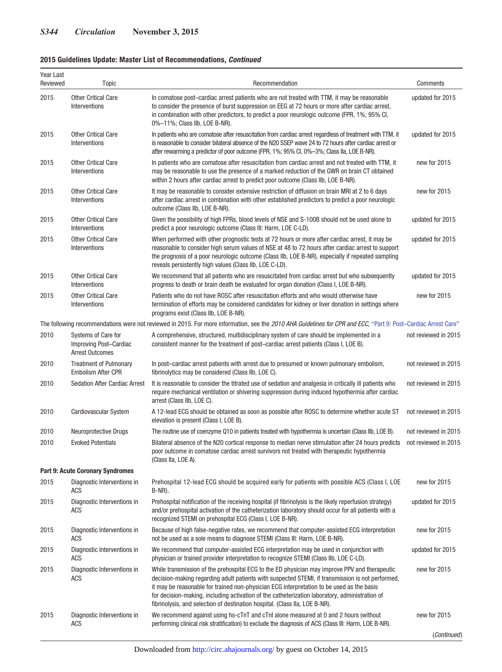| Year Last<br>Reviewed | <b>Topic</b>                                                            | Recommendation                                                                                                                                                                                                                                                                                                                                                                                                                                                                  | Comments             |
|-----------------------|-------------------------------------------------------------------------|---------------------------------------------------------------------------------------------------------------------------------------------------------------------------------------------------------------------------------------------------------------------------------------------------------------------------------------------------------------------------------------------------------------------------------------------------------------------------------|----------------------|
| 2015                  | <b>Other Critical Care</b><br>Interventions                             | In comatose post-cardiac arrest patients who are not treated with TTM, it may be reasonable<br>to consider the presence of burst suppression on EEG at 72 hours or more after cardiac arrest,<br>in combination with other predictors, to predict a poor neurologic outcome (FPR, 1%; 95% CI,<br>0%-11%; Class IIb, LOE B-NR).                                                                                                                                                  | updated for 2015     |
| 2015                  | <b>Other Critical Care</b><br>Interventions                             | In patients who are comatose after resuscitation from cardiac arrest regardless of treatment with TTM, it<br>is reasonable to consider bilateral absence of the N20 SSEP wave 24 to 72 hours after cardiac arrest or<br>after rewarming a predictor of poor outcome (FPR, 1%; 95% CI, 0%-3%; Class IIa, LOE B-NR).                                                                                                                                                              | updated for 2015     |
| 2015                  | <b>Other Critical Care</b><br>Interventions                             | In patients who are comatose after resuscitation from cardiac arrest and not treated with TTM, it<br>may be reasonable to use the presence of a marked reduction of the GWR on brain CT obtained<br>within 2 hours after cardiac arrest to predict poor outcome (Class IIb, LOE B-NR).                                                                                                                                                                                          | new for 2015         |
| 2015                  | <b>Other Critical Care</b><br>Interventions                             | It may be reasonable to consider extensive restriction of diffusion on brain MRI at 2 to 6 days<br>after cardiac arrest in combination with other established predictors to predict a poor neurologic<br>outcome (Class IIb, LOE B-NR).                                                                                                                                                                                                                                         | new for 2015         |
| 2015                  | <b>Other Critical Care</b><br>Interventions                             | Given the possibility of high FPRs, blood levels of NSE and S-100B should not be used alone to<br>predict a poor neurologic outcome (Class III: Harm, LOE C-LD).                                                                                                                                                                                                                                                                                                                | updated for 2015     |
| 2015                  | <b>Other Critical Care</b><br>Interventions                             | When performed with other prognostic tests at 72 hours or more after cardiac arrest, it may be<br>reasonable to consider high serum values of NSE at 48 to 72 hours after cardiac arrest to support<br>the prognosis of a poor neurologic outcome (Class IIb, LOE B-NR), especially if repeated sampling<br>reveals persistently high values (Class IIb, LOE C-LD).                                                                                                             | updated for 2015     |
| 2015                  | <b>Other Critical Care</b><br>Interventions                             | We recommend that all patients who are resuscitated from cardiac arrest but who subsequently<br>progress to death or brain death be evaluated for organ donation (Class I, LOE B-NR).                                                                                                                                                                                                                                                                                           | updated for 2015     |
| 2015                  | <b>Other Critical Care</b><br>Interventions                             | Patients who do not have ROSC after resuscitation efforts and who would otherwise have<br>termination of efforts may be considered candidates for kidney or liver donation in settings where<br>programs exist (Class IIb, LOE B-NR).                                                                                                                                                                                                                                           | new for 2015         |
|                       |                                                                         | The following recommendations were not reviewed in 2015. For more information, see the 2010 AHA Guidelines for CPR and ECC, "Part 9: Post-Cardiac Arrest Care"                                                                                                                                                                                                                                                                                                                  |                      |
| 2010                  | Systems of Care for<br>Improving Post-Cardiac<br><b>Arrest Outcomes</b> | A comprehensive, structured, multidisciplinary system of care should be implemented in a<br>consistent manner for the treatment of post-cardiac arrest patients (Class I, LOE B).                                                                                                                                                                                                                                                                                               | not reviewed in 2015 |
| 2010                  | <b>Treatment of Pulmonary</b><br><b>Embolism After CPR</b>              | In post-cardiac arrest patients with arrest due to presumed or known pulmonary embolism,<br>fibrinolytics may be considered (Class IIb, LOE C).                                                                                                                                                                                                                                                                                                                                 | not reviewed in 2015 |
| 2010                  | <b>Sedation After Cardiac Arrest</b>                                    | It is reasonable to consider the titrated use of sedation and analgesia in critically ill patients who<br>require mechanical ventilation or shivering suppression during induced hypothermia after cardiac<br>arrest (Class IIb, LOE C).                                                                                                                                                                                                                                        | not reviewed in 2015 |
| 2010                  | Cardiovascular System                                                   | A 12-lead ECG should be obtained as soon as possible after ROSC to determine whether acute ST<br>elevation is present (Class I, LOE B).                                                                                                                                                                                                                                                                                                                                         | not reviewed in 2015 |
| 2010                  | <b>Neuroprotective Drugs</b>                                            | The routine use of coenzyme Q10 in patients treated with hypothermia is uncertain (Class IIb, LOE B).                                                                                                                                                                                                                                                                                                                                                                           | not reviewed in 2015 |
| 2010                  | <b>Evoked Potentials</b>                                                | Bilateral absence of the N20 cortical response to median nerve stimulation after 24 hours predicts<br>poor outcome in comatose cardiac arrest survivors not treated with therapeutic hypothermia<br>(Class IIa, LOE A).                                                                                                                                                                                                                                                         | not reviewed in 2015 |
|                       | <b>Part 9: Acute Coronary Syndromes</b>                                 |                                                                                                                                                                                                                                                                                                                                                                                                                                                                                 |                      |
| 2015                  | Diagnostic Interventions in<br>ACS                                      | Prehospital 12-lead ECG should be acquired early for patients with possible ACS (Class I, LOE<br>B-NR).                                                                                                                                                                                                                                                                                                                                                                         | new for 2015         |
| 2015                  | Diagnostic Interventions in<br>ACS                                      | Prehospital notification of the receiving hospital (if fibrinolysis is the likely reperfusion strategy)<br>and/or prehospital activation of the catheterization laboratory should occur for all patients with a<br>recognized STEMI on prehospital ECG (Class I, LOE B-NR).                                                                                                                                                                                                     | updated for 2015     |
| 2015                  | Diagnostic Interventions in<br>ACS                                      | Because of high false-negative rates, we recommend that computer-assisted ECG interpretation<br>not be used as a sole means to diagnose STEMI (Class III: Harm, LOE B-NR).                                                                                                                                                                                                                                                                                                      | new for 2015         |
| 2015                  | Diagnostic Interventions in<br>ACS                                      | We recommend that computer-assisted ECG interpretation may be used in conjunction with<br>physician or trained provider interpretation to recognize STEMI (Class IIb, LOE C-LD).                                                                                                                                                                                                                                                                                                | updated for 2015     |
| 2015                  | Diagnostic Interventions in<br>ACS                                      | While transmission of the prehospital ECG to the ED physician may improve PPV and therapeutic<br>decision-making regarding adult patients with suspected STEMI, if transmission is not performed,<br>it may be reasonable for trained non-physician ECG interpretation to be used as the basis<br>for decision-making, including activation of the catheterization laboratory, administration of<br>fibrinolysis, and selection of destination hospital. (Class IIa, LOE B-NR). | new for 2015         |
| 2015                  | Diagnostic Interventions in<br>ACS                                      | We recommend against using hs-cTnT and cTnI alone measured at 0 and 2 hours (without<br>performing clinical risk stratification) to exclude the diagnosis of ACS (Class III: Harm, LOE B-NR).                                                                                                                                                                                                                                                                                   | new for 2015         |
|                       |                                                                         |                                                                                                                                                                                                                                                                                                                                                                                                                                                                                 | (Continued)          |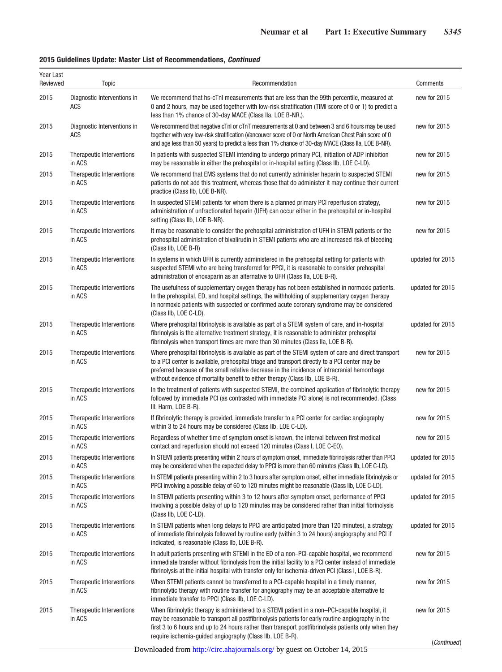| 2015 Guidelines Update: Master List of Recommendations, Continued |  |
|-------------------------------------------------------------------|--|
|-------------------------------------------------------------------|--|

| Year Last<br>Reviewed | Topic                               | Recommendation                                                                                                                                                                                                                                                                                                                                                                          | Comments         |
|-----------------------|-------------------------------------|-----------------------------------------------------------------------------------------------------------------------------------------------------------------------------------------------------------------------------------------------------------------------------------------------------------------------------------------------------------------------------------------|------------------|
| 2015                  | Diagnostic Interventions in<br>ACS  | We recommend that hs-cTnI measurements that are less than the 99th percentile, measured at<br>0 and 2 hours, may be used together with low-risk stratification (TIMI score of 0 or 1) to predict a<br>less than 1% chance of 30-day MACE (Class IIa, LOE B-NR,).                                                                                                                        | new for 2015     |
| 2015                  | Diagnostic Interventions in<br>ACS  | We recommend that negative cTnI or cTnT measurements at 0 and between 3 and 6 hours may be used<br>together with very low-risk stratification (Vancouver score of 0 or North American Chest Pain score of 0<br>and age less than 50 years) to predict a less than 1% chance of 30-day MACE (Class IIa, LOE B-NR).                                                                       | new for 2015     |
| 2015                  | Therapeutic Interventions<br>in ACS | In patients with suspected STEMI intending to undergo primary PCI, initiation of ADP inhibition<br>may be reasonable in either the prehospital or in-hospital setting (Class IIb, LOE C-LD).                                                                                                                                                                                            | new for 2015     |
| 2015                  | Therapeutic Interventions<br>in ACS | We recommend that EMS systems that do not currently administer heparin to suspected STEMI<br>patients do not add this treatment, whereas those that do administer it may continue their current<br>practice (Class IIb, LOE B-NR).                                                                                                                                                      | new for 2015     |
| 2015                  | Therapeutic Interventions<br>in ACS | In suspected STEMI patients for whom there is a planned primary PCI reperfusion strategy,<br>administration of unfractionated heparin (UFH) can occur either in the prehospital or in-hospital<br>setting (Class IIb, LOE B-NR).                                                                                                                                                        | new for 2015     |
| 2015                  | Therapeutic Interventions<br>in ACS | It may be reasonable to consider the prehospital administration of UFH in STEMI patients or the<br>prehospital administration of bivalirudin in STEMI patients who are at increased risk of bleeding<br>(Class IIb, LOE B-R)                                                                                                                                                            | new for 2015     |
| 2015                  | Therapeutic Interventions<br>in ACS | In systems in which UFH is currently administered in the prehospital setting for patients with<br>suspected STEMI who are being transferred for PPCI, it is reasonable to consider prehospital<br>administration of enoxaparin as an alternative to UFH (Class IIa, LOE B-R).                                                                                                           | updated for 2015 |
| 2015                  | Therapeutic Interventions<br>in ACS | The usefulness of supplementary oxygen therapy has not been established in normoxic patients.<br>In the prehospital, ED, and hospital settings, the withholding of supplementary oxygen therapy<br>in normoxic patients with suspected or confirmed acute coronary syndrome may be considered<br>(Class IIb, LOE C-LD).                                                                 | updated for 2015 |
| 2015                  | Therapeutic Interventions<br>in ACS | Where prehospital fibrinolysis is available as part of a STEMI system of care, and in-hospital<br>fibrinolysis is the alternative treatment strategy, it is reasonable to administer prehospital<br>fibrinolysis when transport times are more than 30 minutes (Class IIa, LOE B-R).                                                                                                    | updated for 2015 |
| 2015                  | Therapeutic Interventions<br>in ACS | Where prehospital fibrinolysis is available as part of the STEMI system of care and direct transport<br>to a PCI center is available, prehospital triage and transport directly to a PCI center may be<br>preferred because of the small relative decrease in the incidence of intracranial hemorrhage<br>without evidence of mortality benefit to either therapy (Class IIb, LOE B-R). | new for 2015     |
| 2015                  | Therapeutic Interventions<br>in ACS | In the treatment of patients with suspected STEMI, the combined application of fibrinolytic therapy<br>followed by immediate PCI (as contrasted with immediate PCI alone) is not recommended. (Class<br>III: Harm, LOE B-R).                                                                                                                                                            | new for 2015     |
| 2015                  | Therapeutic Interventions<br>in ACS | If fibrinolytic therapy is provided, immediate transfer to a PCI center for cardiac angiography<br>within 3 to 24 hours may be considered (Class IIb, LOE C-LD).                                                                                                                                                                                                                        | new for 2015     |
| 2015                  | Therapeutic Interventions<br>in ACS | Regardless of whether time of symptom onset is known, the interval between first medical<br>contact and reperfusion should not exceed 120 minutes (Class I, LOE C-EO).                                                                                                                                                                                                                  | new for 2015     |
| 2015                  | Therapeutic Interventions<br>in ACS | In STEMI patients presenting within 2 hours of symptom onset, immediate fibrinolysis rather than PPCI<br>may be considered when the expected delay to PPCI is more than 60 minutes (Class IIb, LOE C-LD).                                                                                                                                                                               | updated for 2015 |
| 2015                  | Therapeutic Interventions<br>in ACS | In STEMI patients presenting within 2 to 3 hours after symptom onset, either immediate fibrinolysis or<br>PPCI involving a possible delay of 60 to 120 minutes might be reasonable (Class IIb, LOE C-LD).                                                                                                                                                                               | updated for 2015 |
| 2015                  | Therapeutic Interventions<br>in ACS | In STEMI patients presenting within 3 to 12 hours after symptom onset, performance of PPCI<br>involving a possible delay of up to 120 minutes may be considered rather than initial fibrinolysis<br>(Class IIb, LOE C-LD).                                                                                                                                                              | updated for 2015 |
| 2015                  | Therapeutic Interventions<br>in ACS | In STEMI patients when long delays to PPCI are anticipated (more than 120 minutes), a strategy<br>of immediate fibrinolysis followed by routine early (within 3 to 24 hours) angiography and PCI if<br>indicated, is reasonable (Class IIb, LOE B-R).                                                                                                                                   | updated for 2015 |
| 2015                  | Therapeutic Interventions<br>in ACS | In adult patients presenting with STEMI in the ED of a non-PCI-capable hospital, we recommend<br>immediate transfer without fibrinolysis from the initial facility to a PCI center instead of immediate<br>fibrinolysis at the initial hospital with transfer only for ischemia-driven PCI (Class I, LOE B-R).                                                                          | new for 2015     |
| 2015                  | Therapeutic Interventions<br>in ACS | When STEMI patients cannot be transferred to a PCI-capable hospital in a timely manner,<br>fibrinolytic therapy with routine transfer for angiography may be an acceptable alternative to<br>immediate transfer to PPCI (Class IIb, LOE C-LD).                                                                                                                                          | new for 2015     |
| 2015                  | Therapeutic Interventions<br>in ACS | When fibrinolytic therapy is administered to a STEMI patient in a non-PCI-capable hospital, it<br>may be reasonable to transport all postfibrinolysis patients for early routine angiography in the<br>first 3 to 6 hours and up to 24 hours rather than transport postfibrinolysis patients only when they<br>require ischemia-guided angiography (Class IIb, LOE B-R).                | new for 2015     |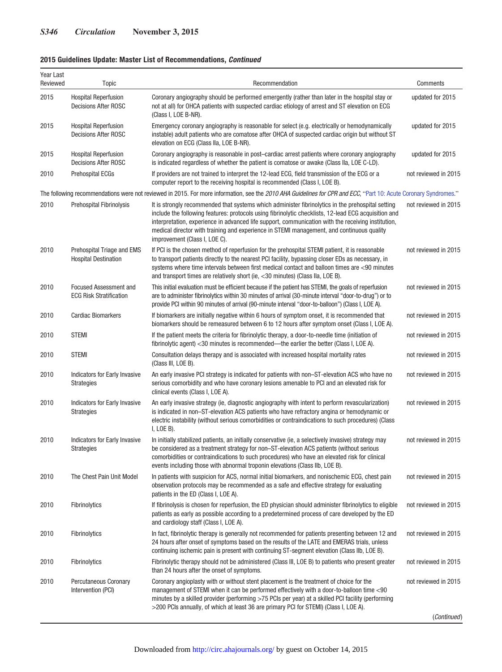| Year Last<br>Reviewed | Topic                                                           | Recommendation                                                                                                                                                                                                                                                                                                                                                                                                                                | Comments             |
|-----------------------|-----------------------------------------------------------------|-----------------------------------------------------------------------------------------------------------------------------------------------------------------------------------------------------------------------------------------------------------------------------------------------------------------------------------------------------------------------------------------------------------------------------------------------|----------------------|
| 2015                  | <b>Hospital Reperfusion</b><br><b>Decisions After ROSC</b>      | Coronary angiography should be performed emergently (rather than later in the hospital stay or<br>not at all) for OHCA patients with suspected cardiac etiology of arrest and ST elevation on ECG<br>(Class I, LOE B-NR).                                                                                                                                                                                                                     | updated for 2015     |
| 2015                  | <b>Hospital Reperfusion</b><br><b>Decisions After ROSC</b>      | Emergency coronary angiography is reasonable for select (e.g. electrically or hemodynamically<br>instable) adult patients who are comatose after OHCA of suspected cardiac origin but without ST<br>elevation on ECG (Class IIa, LOE B-NR).                                                                                                                                                                                                   | updated for 2015     |
| 2015                  | <b>Hospital Reperfusion</b><br><b>Decisions After ROSC</b>      | Coronary angiography is reasonable in post-cardiac arrest patients where coronary angiography<br>is indicated regardless of whether the patient is comatose or awake (Class IIa, LOE C-LD).                                                                                                                                                                                                                                                   | updated for 2015     |
| 2010                  | Prehospital ECGs                                                | If providers are not trained to interpret the 12-lead ECG, field transmission of the ECG or a<br>computer report to the receiving hospital is recommended (Class I, LOE B).                                                                                                                                                                                                                                                                   | not reviewed in 2015 |
|                       |                                                                 | The following recommendations were not reviewed in 2015. For more information, see the 2010 AHA Guidelines for CPR and ECC, "Part 10: Acute Coronary Syndromes."                                                                                                                                                                                                                                                                              |                      |
| 2010                  | <b>Prehospital Fibrinolysis</b>                                 | It is strongly recommended that systems which administer fibrinolytics in the prehospital setting<br>include the following features: protocols using fibrinolytic checklists, 12-lead ECG acquisition and<br>interpretation, experience in advanced life support, communication with the receiving institution,<br>medical director with training and experience in STEMI management, and continuous quality<br>improvement (Class I, LOE C). | not reviewed in 2015 |
| 2010                  | Prehospital Triage and EMS<br><b>Hospital Destination</b>       | If PCI is the chosen method of reperfusion for the prehospital STEMI patient, it is reasonable<br>to transport patients directly to the nearest PCI facility, bypassing closer EDs as necessary, in<br>systems where time intervals between first medical contact and balloon times are <90 minutes<br>and transport times are relatively short (ie, $<$ 30 minutes) (Class IIa, LOE B).                                                      | not reviewed in 2015 |
| 2010                  | <b>Focused Assessment and</b><br><b>ECG Risk Stratification</b> | This initial evaluation must be efficient because if the patient has STEMI, the goals of reperfusion<br>are to administer fibrinolytics within 30 minutes of arrival (30-minute interval "door-to-drug") or to<br>provide PCI within 90 minutes of arrival (90-minute interval "door-to-balloon") (Class I, LOE A).                                                                                                                           | not reviewed in 2015 |
| 2010                  | <b>Cardiac Biomarkers</b>                                       | If biomarkers are initially negative within 6 hours of symptom onset, it is recommended that<br>biomarkers should be remeasured between 6 to 12 hours after symptom onset (Class I, LOE A).                                                                                                                                                                                                                                                   | not reviewed in 2015 |
| 2010                  | <b>STEMI</b>                                                    | If the patient meets the criteria for fibrinolytic therapy, a door-to-needle time (initiation of<br>fibrinolytic agent) <30 minutes is recommended—the earlier the better (Class I, LOE A).                                                                                                                                                                                                                                                   | not reviewed in 2015 |
| 2010                  | <b>STEMI</b>                                                    | Consultation delays therapy and is associated with increased hospital mortality rates<br>(Class III, LOE B).                                                                                                                                                                                                                                                                                                                                  | not reviewed in 2015 |
| 2010                  | Indicators for Early Invasive<br><b>Strategies</b>              | An early invasive PCI strategy is indicated for patients with non–ST-elevation ACS who have no<br>serious comorbidity and who have coronary lesions amenable to PCI and an elevated risk for<br>clinical events (Class I, LOE A).                                                                                                                                                                                                             | not reviewed in 2015 |
| 2010                  | Indicators for Early Invasive<br><b>Strategies</b>              | An early invasive strategy (ie, diagnostic angiography with intent to perform revascularization)<br>is indicated in non–ST-elevation ACS patients who have refractory angina or hemodynamic or<br>electric instability (without serious comorbidities or contraindications to such procedures) (Class<br>$I, LOE B$ ).                                                                                                                        | not reviewed in 2015 |
| 2010                  | Indicators for Early Invasive<br><b>Strategies</b>              | In initially stabilized patients, an initially conservative (ie, a selectively invasive) strategy may<br>be considered as a treatment strategy for non-ST-elevation ACS patients (without serious<br>comorbidities or contraindications to such procedures) who have an elevated risk for clinical<br>events including those with abnormal troponin elevations (Class IIb, LOE B).                                                            | not reviewed in 2015 |
| 2010                  | The Chest Pain Unit Model                                       | In patients with suspicion for ACS, normal initial biomarkers, and nonischemic ECG, chest pain<br>observation protocols may be recommended as a safe and effective strategy for evaluating<br>patients in the ED (Class I, LOE A).                                                                                                                                                                                                            | not reviewed in 2015 |
| 2010                  | Fibrinolytics                                                   | If fibrinolysis is chosen for reperfusion, the ED physician should administer fibrinolytics to eligible<br>patients as early as possible according to a predetermined process of care developed by the ED<br>and cardiology staff (Class I, LOE A).                                                                                                                                                                                           | not reviewed in 2015 |
| 2010                  | Fibrinolytics                                                   | In fact, fibrinolytic therapy is generally not recommended for patients presenting between 12 and<br>24 hours after onset of symptoms based on the results of the LATE and EMERAS trials, unless<br>continuing ischemic pain is present with continuing ST-segment elevation (Class IIb, LOE B).                                                                                                                                              | not reviewed in 2015 |
| 2010                  | Fibrinolytics                                                   | Fibrinolytic therapy should not be administered (Class III, LOE B) to patients who present greater<br>than 24 hours after the onset of symptoms.                                                                                                                                                                                                                                                                                              | not reviewed in 2015 |
| 2010                  | Percutaneous Coronary<br>Intervention (PCI)                     | Coronary angioplasty with or without stent placement is the treatment of choice for the<br>management of STEMI when it can be performed effectively with a door-to-balloon time <90<br>minutes by a skilled provider (performing $>75$ PCIs per year) at a skilled PCI facility (performing<br>>200 PCIs annually, of which at least 36 are primary PCI for STEMI) (Class I, LOE A).                                                          | not reviewed in 2015 |
|                       |                                                                 |                                                                                                                                                                                                                                                                                                                                                                                                                                               | (Continued)          |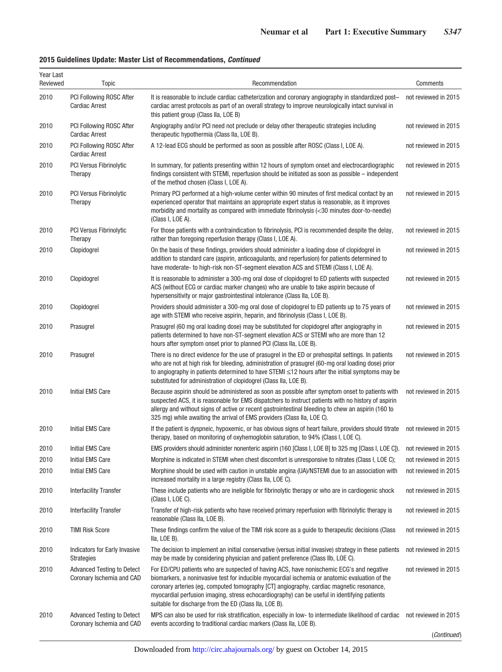|  |  | 2015 Guidelines Update: Master List of Recommendations, <i>Continued</i> |  |
|--|--|--------------------------------------------------------------------------|--|
|--|--|--------------------------------------------------------------------------|--|

| Year Last<br>Reviewed | <b>Topic</b>                                                   | Recommendation                                                                                                                                                                                                                                                                                                                                                                                                                                   | Comments             |
|-----------------------|----------------------------------------------------------------|--------------------------------------------------------------------------------------------------------------------------------------------------------------------------------------------------------------------------------------------------------------------------------------------------------------------------------------------------------------------------------------------------------------------------------------------------|----------------------|
| 2010                  | PCI Following ROSC After<br><b>Cardiac Arrest</b>              | It is reasonable to include cardiac catheterization and coronary angiography in standardized post-<br>cardiac arrest protocols as part of an overall strategy to improve neurologically intact survival in<br>this patient group (Class IIa, LOE B)                                                                                                                                                                                              | not reviewed in 2015 |
| 2010                  | <b>PCI Following ROSC After</b><br><b>Cardiac Arrest</b>       | Angiography and/or PCI need not preclude or delay other therapeutic strategies including<br>therapeutic hypothermia (Class IIa, LOE B).                                                                                                                                                                                                                                                                                                          | not reviewed in 2015 |
| 2010                  | <b>PCI Following ROSC After</b><br><b>Cardiac Arrest</b>       | A 12-lead ECG should be performed as soon as possible after ROSC (Class I, LOE A).                                                                                                                                                                                                                                                                                                                                                               | not reviewed in 2015 |
| 2010                  | PCI Versus Fibrinolytic<br>Therapy                             | In summary, for patients presenting within 12 hours of symptom onset and electrocardiographic<br>findings consistent with STEMI, reperfusion should be initiated as soon as possible – independent<br>of the method chosen (Class I, LOE A).                                                                                                                                                                                                     | not reviewed in 2015 |
| 2010                  | <b>PCI Versus Fibrinolytic</b><br>Therapy                      | Primary PCI performed at a high-volume center within 90 minutes of first medical contact by an<br>experienced operator that maintains an appropriate expert status is reasonable, as it improves<br>morbidity and mortality as compared with immediate fibrinolysis (<30 minutes door-to-needle)<br>(Class I, LOE A).                                                                                                                            | not reviewed in 2015 |
| 2010                  | <b>PCI Versus Fibrinolytic</b><br>Therapy                      | For those patients with a contraindication to fibrinolysis, PCI is recommended despite the delay,<br>rather than foregoing reperfusion therapy (Class I, LOE A).                                                                                                                                                                                                                                                                                 | not reviewed in 2015 |
| 2010                  | Clopidogrel                                                    | On the basis of these findings, providers should administer a loading dose of clopidogrel in<br>addition to standard care (aspirin, anticoagulants, and reperfusion) for patients determined to<br>have moderate- to high-risk non-ST-segment elevation ACS and STEMI (Class I, LOE A).                                                                                                                                                          | not reviewed in 2015 |
| 2010                  | Clopidogrel                                                    | It is reasonable to administer a 300-mg oral dose of clopidogrel to ED patients with suspected<br>ACS (without ECG or cardiac marker changes) who are unable to take aspirin because of<br>hypersensitivity or major gastrointestinal intolerance (Class IIa, LOE B).                                                                                                                                                                            | not reviewed in 2015 |
| 2010                  | Clopidogrel                                                    | Providers should administer a 300-mg oral dose of clopidogrel to ED patients up to 75 years of<br>age with STEMI who receive aspirin, heparin, and fibrinolysis (Class I, LOE B).                                                                                                                                                                                                                                                                | not reviewed in 2015 |
| 2010                  | Prasugrel                                                      | Prasugrel (60 mg oral loading dose) may be substituted for clopidogrel after angiography in<br>patients determined to have non-ST-segment elevation ACS or STEMI who are more than 12<br>hours after symptom onset prior to planned PCI (Class IIa, LOE B).                                                                                                                                                                                      | not reviewed in 2015 |
| 2010                  | Prasugrel                                                      | There is no direct evidence for the use of prasugrel in the ED or prehospital settings. In patients<br>who are not at high risk for bleeding, administration of prasugrel (60-mg oral loading dose) prior<br>to angiography in patients determined to have STEMI $\leq$ 12 hours after the initial symptoms may be<br>substituted for administration of clopidogrel (Class IIa, LOE B).                                                          | not reviewed in 2015 |
| 2010                  | <b>Initial EMS Care</b>                                        | Because aspirin should be administered as soon as possible after symptom onset to patients with<br>suspected ACS, it is reasonable for EMS dispatchers to instruct patients with no history of aspirin<br>allergy and without signs of active or recent gastrointestinal bleeding to chew an aspirin (160 to<br>325 mg) while awaiting the arrival of EMS providers (Class IIa, LOE C).                                                          | not reviewed in 2015 |
| 2010                  | <b>Initial EMS Care</b>                                        | If the patient is dyspneic, hypoxemic, or has obvious signs of heart failure, providers should titrate<br>therapy, based on monitoring of oxyhemoglobin saturation, to 94% (Class I, LOE C).                                                                                                                                                                                                                                                     | not reviewed in 2015 |
| 2010                  | <b>Initial EMS Care</b>                                        | EMS providers should administer nonenteric aspirin (160 [Class I, LOE B] to 325 mg [Class I, LOE C]).                                                                                                                                                                                                                                                                                                                                            | not reviewed in 2015 |
| 2010                  | Initial EMS Care                                               | Morphine is indicated in STEMI when chest discomfort is unresponsive to nitrates (Class I, LOE C);                                                                                                                                                                                                                                                                                                                                               | not reviewed in 2015 |
| 2010                  | <b>Initial EMS Care</b>                                        | Morphine should be used with caution in unstable angina (UA)/NSTEMI due to an association with<br>increased mortality in a large registry (Class IIa, LOE C).                                                                                                                                                                                                                                                                                    | not reviewed in 2015 |
| 2010                  | <b>Interfacility Transfer</b>                                  | These include patients who are ineligible for fibrinolytic therapy or who are in cardiogenic shock<br>(Class I, LOE C).                                                                                                                                                                                                                                                                                                                          | not reviewed in 2015 |
| 2010                  | <b>Interfacility Transfer</b>                                  | Transfer of high-risk patients who have received primary reperfusion with fibrinolytic therapy is<br>reasonable (Class IIa, LOE B).                                                                                                                                                                                                                                                                                                              | not reviewed in 2015 |
| 2010                  | <b>TIMI Risk Score</b>                                         | These findings confirm the value of the TIMI risk score as a guide to therapeutic decisions (Class<br>Ila, LOE B).                                                                                                                                                                                                                                                                                                                               | not reviewed in 2015 |
| 2010                  | Indicators for Early Invasive<br><b>Strategies</b>             | The decision to implement an initial conservative (versus initial invasive) strategy in these patients<br>may be made by considering physician and patient preference (Class IIb, LOE C).                                                                                                                                                                                                                                                        | not reviewed in 2015 |
| 2010                  | <b>Advanced Testing to Detect</b><br>Coronary Ischemia and CAD | For ED/CPU patients who are suspected of having ACS, have nonischemic ECG's and negative<br>biomarkers, a noninvasive test for inducible myocardial ischemia or anatomic evaluation of the<br>coronary arteries (eg, computed tomography [CT] angiography, cardiac magnetic resonance,<br>myocardial perfusion imaging, stress echocardiography) can be useful in identifying patients<br>suitable for discharge from the ED (Class IIa, LOE B). | not reviewed in 2015 |
| 2010                  | <b>Advanced Testing to Detect</b><br>Coronary Ischemia and CAD | MPS can also be used for risk stratification, especially in low- to intermediate likelihood of cardiac<br>events according to traditional cardiac markers (Class IIa, LOE B).                                                                                                                                                                                                                                                                    | not reviewed in 2015 |
|                       |                                                                |                                                                                                                                                                                                                                                                                                                                                                                                                                                  | (Continued)          |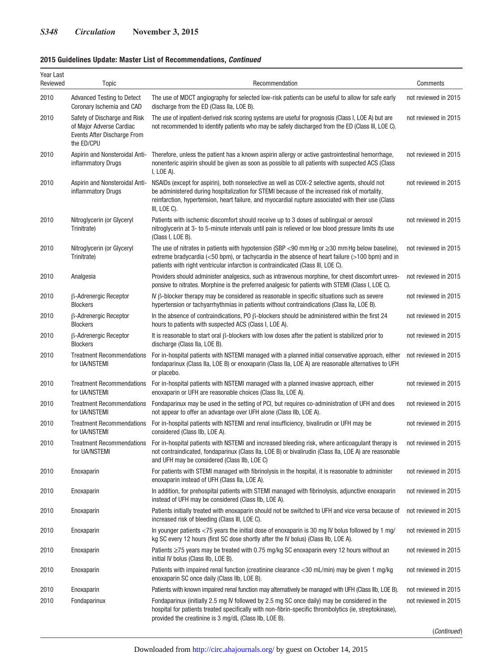| Year Last<br>Reviewed | Topic                                                                                                 | Recommendation                                                                                                                                                                                                                                                                                                     | Comments             |
|-----------------------|-------------------------------------------------------------------------------------------------------|--------------------------------------------------------------------------------------------------------------------------------------------------------------------------------------------------------------------------------------------------------------------------------------------------------------------|----------------------|
| 2010                  | <b>Advanced Testing to Detect</b><br>Coronary Ischemia and CAD                                        | The use of MDCT angiography for selected low-risk patients can be useful to allow for safe early<br>discharge from the ED (Class IIa, LOE B).                                                                                                                                                                      | not reviewed in 2015 |
| 2010                  | Safety of Discharge and Risk<br>of Major Adverse Cardiac<br>Events After Discharge From<br>the ED/CPU | The use of inpatient-derived risk scoring systems are useful for prognosis (Class I, LOE A) but are<br>not recommended to identify patients who may be safely discharged from the ED (Class III, LOE C).                                                                                                           | not reviewed in 2015 |
| 2010                  | <b>Aspirin and Nonsteroidal Anti-</b><br>inflammatory Drugs                                           | Therefore, unless the patient has a known aspirin allergy or active gastrointestinal hemorrhage,<br>nonenteric aspirin should be given as soon as possible to all patients with suspected ACS (Class<br>I, LOE $A$ ).                                                                                              | not reviewed in 2015 |
| 2010                  | Aspirin and Nonsteroidal Anti-<br>inflammatory Drugs                                                  | NSAIDs (except for aspirin), both nonselective as well as COX-2 selective agents, should not<br>be administered during hospitalization for STEMI because of the increased risk of mortality,<br>reinfarction, hypertension, heart failure, and myocardial rupture associated with their use (Class<br>III, LOE C). | not reviewed in 2015 |
| 2010                  | Nitroglycerin (or Glyceryl<br>Trinitrate)                                                             | Patients with ischemic discomfort should receive up to 3 doses of sublingual or aerosol<br>nitroglycerin at 3- to 5-minute intervals until pain is relieved or low blood pressure limits its use<br>(Class I, LOE B).                                                                                              | not reviewed in 2015 |
| 2010                  | Nitroglycerin (or Glyceryl<br>Trinitrate)                                                             | The use of nitrates in patients with hypotension (SBP <90 mm Hg or $\geq$ 30 mm Hg below baseline),<br>extreme bradycardia ( $<$ 50 bpm), or tachycardia in the absence of heart failure ( $>$ 100 bpm) and in<br>patients with right ventricular infarction is contraindicated (Class III, LOE C).                | not reviewed in 2015 |
| 2010                  | Analgesia                                                                                             | Providers should administer analgesics, such as intravenous morphine, for chest discomfort unres-<br>ponsive to nitrates. Morphine is the preferred analgesic for patients with STEMI (Class I, LOE C).                                                                                                            | not reviewed in 2015 |
| 2010                  | <b>B-Adrenergic Receptor</b><br><b>Blockers</b>                                                       | $\mathsf{IV}$ $\beta$ -blocker therapy may be considered as reasonable in specific situations such as severe<br>hypertension or tachyarrhythmias in patients without contraindications (Class IIa, LOE B).                                                                                                         | not reviewed in 2015 |
| 2010                  | β-Adrenergic Receptor<br><b>Blockers</b>                                                              | In the absence of contraindications, PO $\beta$ -blockers should be administered within the first 24<br>hours to patients with suspected ACS (Class I, LOE A).                                                                                                                                                     | not reviewed in 2015 |
| 2010                  | β-Adrenergic Receptor<br><b>Blockers</b>                                                              | It is reasonable to start oral $\beta$ -blockers with low doses after the patient is stabilized prior to<br>discharge (Class IIa, LOE B).                                                                                                                                                                          | not reviewed in 2015 |
| 2010                  | <b>Treatment Recommendations</b><br>for UA/NSTEMI                                                     | For in-hospital patients with NSTEMI managed with a planned initial conservative approach, either<br>fondaparinux (Class IIa, LOE B) or enoxaparin (Class IIa, LOE A) are reasonable alternatives to UFH<br>or placebo.                                                                                            | not reviewed in 2015 |
| 2010                  | <b>Treatment Recommendations</b><br>for UA/NSTEMI                                                     | For in-hospital patients with NSTEMI managed with a planned invasive approach, either<br>enoxaparin or UFH are reasonable choices (Class IIa, LOE A).                                                                                                                                                              | not reviewed in 2015 |
| 2010                  | <b>Treatment Recommendations</b><br>for UA/NSTEMI                                                     | Fondaparinux may be used in the setting of PCI, but requires co-administration of UFH and does<br>not appear to offer an advantage over UFH alone (Class IIb, LOE A).                                                                                                                                              | not reviewed in 2015 |
| 2010                  | <b>Treatment Recommendations</b><br>for UA/NSTEMI                                                     | For in-hospital patients with NSTEMI and renal insufficiency, bivalirudin or UFH may be<br>considered (Class IIb, LOE A).                                                                                                                                                                                          | not reviewed in 2015 |
| 2010                  | <b>Treatment Recommendations</b><br>for UA/NSTEMI                                                     | For in-hospital patients with NSTEMI and increased bleeding risk, where anticoagulant therapy is<br>not contraindicated, fondaparinux (Class IIa, LOE B) or bivalirudin (Class IIa, LOE A) are reasonable<br>and UFH may be considered (Class IIb, LOE C)                                                          | not reviewed in 2015 |
| 2010                  | Enoxaparin                                                                                            | For patients with STEMI managed with fibrinolysis in the hospital, it is reasonable to administer<br>enoxaparin instead of UFH (Class IIa, LOE A).                                                                                                                                                                 | not reviewed in 2015 |
| 2010                  | Enoxaparin                                                                                            | In addition, for prehospital patients with STEMI managed with fibrinolysis, adjunctive enoxaparin<br>instead of UFH may be considered (Class IIb, LOE A).                                                                                                                                                          | not reviewed in 2015 |
| 2010                  | Enoxaparin                                                                                            | Patients initially treated with enoxaparin should not be switched to UFH and vice versa because of<br>increased risk of bleeding (Class III, LOE C).                                                                                                                                                               | not reviewed in 2015 |
| 2010                  | Enoxaparin                                                                                            | In younger patients <75 years the initial dose of enoxaparin is 30 mg IV bolus followed by 1 mg/<br>kg SC every 12 hours (first SC dose shortly after the IV bolus) (Class IIb, LOE A).                                                                                                                            | not reviewed in 2015 |
| 2010                  | Enoxaparin                                                                                            | Patients ≥75 years may be treated with 0.75 mg/kg SC enoxaparin every 12 hours without an<br>initial IV bolus (Class IIb, LOE B).                                                                                                                                                                                  | not reviewed in 2015 |
| 2010                  | Enoxaparin                                                                                            | Patients with impaired renal function (creatinine clearance <30 mL/min) may be given 1 mg/kg<br>enoxaparin SC once daily (Class IIb, LOE B).                                                                                                                                                                       | not reviewed in 2015 |
| 2010                  | Enoxaparin                                                                                            | Patients with known impaired renal function may alternatively be managed with UFH (Class IIb, LOE B).                                                                                                                                                                                                              | not reviewed in 2015 |
| 2010                  | Fondaparinux                                                                                          | Fondaparinux (initially 2.5 mg IV followed by 2.5 mg SC once daily) may be considered in the<br>hospital for patients treated specifically with non-fibrin-specific thrombolytics (ie, streptokinase),<br>provided the creatinine is 3 mg/dL (Class IIb, LOE B).                                                   | not reviewed in 2015 |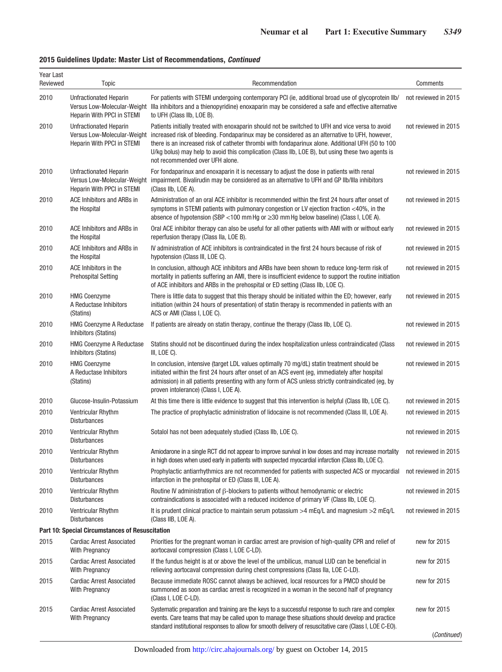|  |  |  | 2015 Guidelines Update: Master List of Recommendations, <i>Continued</i> |  |  |
|--|--|--|--------------------------------------------------------------------------|--|--|
|--|--|--|--------------------------------------------------------------------------|--|--|

| Year Last<br>Reviewed | <b>Topic</b>                                                                        | Recommendation                                                                                                                                                                                                                                                                                                                                                                                                                                 | Comments             |
|-----------------------|-------------------------------------------------------------------------------------|------------------------------------------------------------------------------------------------------------------------------------------------------------------------------------------------------------------------------------------------------------------------------------------------------------------------------------------------------------------------------------------------------------------------------------------------|----------------------|
| 2010                  | <b>Unfractionated Heparin</b><br>Heparin With PPCI in STEMI                         | For patients with STEMI undergoing contemporary PCI (ie, additional broad use of glycoprotein IIb/<br>Versus Low-Molecular-Weight Illa inhibitors and a thienopyridine) enoxaparin may be considered a safe and effective alternative<br>to UFH (Class IIb, LOE B).                                                                                                                                                                            | not reviewed in 2015 |
| 2010                  | Unfractionated Heparin<br>Versus Low-Molecular-Weight<br>Heparin With PPCI in STEMI | Patients initially treated with enoxaparin should not be switched to UFH and vice versa to avoid<br>increased risk of bleeding. Fondaparinux may be considered as an alternative to UFH, however,<br>there is an increased risk of catheter thrombi with fondaparinux alone. Additional UFH (50 to 100<br>U/kg bolus) may help to avoid this complication (Class IIb, LOE B), but using these two agents is<br>not recommended over UFH alone. | not reviewed in 2015 |
| 2010                  | Unfractionated Heparin<br>Versus Low-Molecular-Weight<br>Heparin With PPCI in STEMI | For fondaparinux and enoxaparin it is necessary to adjust the dose in patients with renal<br>impairment. Bivalirudin may be considered as an alternative to UFH and GP IIb/IIIa inhibitors<br>(Class IIb, LOE A).                                                                                                                                                                                                                              | not reviewed in 2015 |
| 2010                  | <b>ACE Inhibitors and ARBs in</b><br>the Hospital                                   | Administration of an oral ACE inhibitor is recommended within the first 24 hours after onset of<br>symptoms in STEMI patients with pulmonary congestion or LV ejection fraction <40%, in the<br>absence of hypotension (SBP <100 mm Hg or $\geq$ 30 mm Hg below baseline) (Class I, LOE A).                                                                                                                                                    | not reviewed in 2015 |
| 2010                  | <b>ACE Inhibitors and ARBs in</b><br>the Hospital                                   | Oral ACE inhibitor therapy can also be useful for all other patients with AMI with or without early<br>reperfusion therapy (Class IIa, LOE B).                                                                                                                                                                                                                                                                                                 | not reviewed in 2015 |
| 2010                  | <b>ACE Inhibitors and ARBs in</b><br>the Hospital                                   | IV administration of ACE inhibitors is contraindicated in the first 24 hours because of risk of<br>hypotension (Class III, LOE C).                                                                                                                                                                                                                                                                                                             | not reviewed in 2015 |
| 2010                  | ACE Inhibitors in the<br><b>Prehospital Setting</b>                                 | In conclusion, although ACE inhibitors and ARBs have been shown to reduce long-term risk of<br>mortality in patients suffering an AMI, there is insufficient evidence to support the routine initiation<br>of ACE inhibitors and ARBs in the prehospital or ED setting (Class IIb, LOE C).                                                                                                                                                     | not reviewed in 2015 |
| 2010                  | <b>HMG Coenzyme</b><br>A Reductase Inhibitors<br>(Statins)                          | There is little data to suggest that this therapy should be initiated within the ED; however, early<br>initiation (within 24 hours of presentation) of statin therapy is recommended in patients with an<br>ACS or AMI (Class I, LOE C).                                                                                                                                                                                                       | not reviewed in 2015 |
| 2010                  | <b>HMG Coenzyme A Reductase</b><br>Inhibitors (Statins)                             | If patients are already on statin therapy, continue the therapy (Class IIb, LOE C).                                                                                                                                                                                                                                                                                                                                                            | not reviewed in 2015 |
| 2010                  | <b>HMG Coenzyme A Reductase</b><br>Inhibitors (Statins)                             | Statins should not be discontinued during the index hospitalization unless contraindicated (Class<br>III, LOE C).                                                                                                                                                                                                                                                                                                                              | not reviewed in 2015 |
| 2010                  | <b>HMG Coenzyme</b><br>A Reductase Inhibitors<br>(Statins)                          | In conclusion, intensive (target LDL values optimally 70 mg/dL) statin treatment should be<br>initiated within the first 24 hours after onset of an ACS event (eg, immediately after hospital<br>admission) in all patients presenting with any form of ACS unless strictly contraindicated (eg, by<br>proven intolerance) (Class I, LOE A).                                                                                                   | not reviewed in 2015 |
| 2010                  | Glucose-Insulin-Potassium                                                           | At this time there is little evidence to suggest that this intervention is helpful (Class IIb, LOE C).                                                                                                                                                                                                                                                                                                                                         | not reviewed in 2015 |
| 2010                  | Ventricular Rhythm<br><b>Disturbances</b>                                           | The practice of prophylactic administration of lidocaine is not recommended (Class III, LOE A).                                                                                                                                                                                                                                                                                                                                                | not reviewed in 2015 |
| 2010                  | Ventricular Rhythm<br><b>Disturbances</b>                                           | Sotalol has not been adequately studied (Class IIb, LOE C).                                                                                                                                                                                                                                                                                                                                                                                    | not reviewed in 2015 |
| 2010                  | Ventricular Rhythm<br><b>Disturbances</b>                                           | Amiodarone in a single RCT did not appear to improve survival in low doses and may increase mortality<br>in high doses when used early in patients with suspected myocardial infarction (Class IIb, LOE C).                                                                                                                                                                                                                                    | not reviewed in 2015 |
| 2010                  | Ventricular Rhythm<br><b>Disturbances</b>                                           | Prophylactic antiarrhythmics are not recommended for patients with suspected ACS or myocardial<br>infarction in the prehospital or ED (Class III, LOE A).                                                                                                                                                                                                                                                                                      | not reviewed in 2015 |
| 2010                  | Ventricular Rhythm<br><b>Disturbances</b>                                           | Routine IV administration of $\beta$ -blockers to patients without hemodynamic or electric<br>contraindications is associated with a reduced incidence of primary VF (Class IIb, LOE C).                                                                                                                                                                                                                                                       | not reviewed in 2015 |
| 2010                  | Ventricular Rhythm<br><b>Disturbances</b>                                           | It is prudent clinical practice to maintain serum potassium $>4$ mEq/L and magnesium $>2$ mEq/L<br>(Class IIB, LOE A).                                                                                                                                                                                                                                                                                                                         | not reviewed in 2015 |
|                       | Part 10: Special Circumstances of Resuscitation                                     |                                                                                                                                                                                                                                                                                                                                                                                                                                                |                      |
| 2015                  | <b>Cardiac Arrest Associated</b><br>With Pregnancy                                  | Priorities for the pregnant woman in cardiac arrest are provision of high-quality CPR and relief of<br>aortocaval compression (Class I, LOE C-LD).                                                                                                                                                                                                                                                                                             | new for 2015         |
| 2015                  | <b>Cardiac Arrest Associated</b><br><b>With Pregnancy</b>                           | If the fundus height is at or above the level of the umbilicus, manual LUD can be beneficial in<br>relieving aortocaval compression during chest compressions (Class IIa, LOE C-LD).                                                                                                                                                                                                                                                           | new for 2015         |
| 2015                  | <b>Cardiac Arrest Associated</b><br><b>With Pregnancy</b>                           | Because immediate ROSC cannot always be achieved, local resources for a PMCD should be<br>summoned as soon as cardiac arrest is recognized in a woman in the second half of pregnancy<br>(Class I, LOE C-LD).                                                                                                                                                                                                                                  | new for 2015         |
| 2015                  | <b>Cardiac Arrest Associated</b><br><b>With Pregnancy</b>                           | Systematic preparation and training are the keys to a successful response to such rare and complex<br>events. Care teams that may be called upon to manage these situations should develop and practice<br>standard institutional responses to allow for smooth delivery of resuscitative care (Class I, LOE C-EO).                                                                                                                            | new for 2015         |
|                       |                                                                                     |                                                                                                                                                                                                                                                                                                                                                                                                                                                | (Continued)          |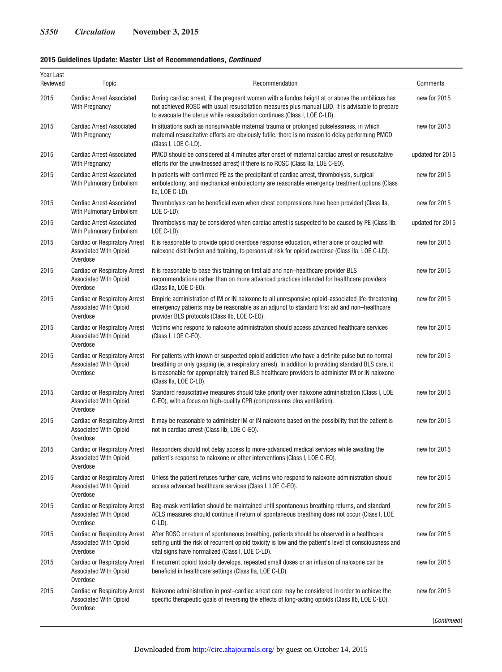| Year Last<br>Reviewed | Topic                                                                             | Recommendation                                                                                                                                                                                                                                                                                                                      | Comments         |
|-----------------------|-----------------------------------------------------------------------------------|-------------------------------------------------------------------------------------------------------------------------------------------------------------------------------------------------------------------------------------------------------------------------------------------------------------------------------------|------------------|
| 2015                  | <b>Cardiac Arrest Associated</b><br>With Pregnancy                                | During cardiac arrest, if the pregnant woman with a fundus height at or above the umbilicus has<br>not achieved ROSC with usual resuscitation measures plus manual LUD, it is advisable to prepare<br>to evacuate the uterus while resuscitation continues (Class I, LOE C-LD).                                                     | new for 2015     |
| 2015                  | <b>Cardiac Arrest Associated</b><br>With Pregnancy                                | In situations such as nonsurvivable maternal trauma or prolonged pulselessness, in which<br>maternal resuscitative efforts are obviously futile, there is no reason to delay performing PMCD<br>(Class I, LOE C-LD).                                                                                                                | new for 2015     |
| 2015                  | <b>Cardiac Arrest Associated</b><br>With Pregnancy                                | PMCD should be considered at 4 minutes after onset of maternal cardiac arrest or resuscitative<br>efforts (for the unwitnessed arrest) if there is no ROSC (Class IIa, LOE C-EO).                                                                                                                                                   | updated for 2015 |
| 2015                  | <b>Cardiac Arrest Associated</b><br>With Pulmonary Embolism                       | In patients with confirmed PE as the precipitant of cardiac arrest, thrombolysis, surgical<br>embolectomy, and mechanical embolectomy are reasonable emergency treatment options (Class<br>Ila, LOE C-LD).                                                                                                                          | new for 2015     |
| 2015                  | <b>Cardiac Arrest Associated</b><br>With Pulmonary Embolism                       | Thrombolysis can be beneficial even when chest compressions have been provided (Class IIa,<br>LOE C-LD).                                                                                                                                                                                                                            | new for 2015     |
| 2015                  | <b>Cardiac Arrest Associated</b><br>With Pulmonary Embolism                       | Thrombolysis may be considered when cardiac arrest is suspected to be caused by PE (Class IIb,<br>LOE C-LD).                                                                                                                                                                                                                        | updated for 2015 |
| 2015                  | <b>Cardiac or Respiratory Arrest</b><br><b>Associated With Opioid</b><br>Overdose | It is reasonable to provide opioid overdose response education, either alone or coupled with<br>naloxone distribution and training, to persons at risk for opioid overdose (Class IIa, LOE C-LD).                                                                                                                                   | new for 2015     |
| 2015                  | <b>Cardiac or Respiratory Arrest</b><br><b>Associated With Opioid</b><br>Overdose | It is reasonable to base this training on first aid and non-healthcare provider BLS<br>recommendations rather than on more advanced practices intended for healthcare providers<br>(Class IIa, LOE C-EO).                                                                                                                           | new for 2015     |
| 2015                  | <b>Cardiac or Respiratory Arrest</b><br><b>Associated With Opioid</b><br>Overdose | Empiric administration of IM or IN naloxone to all unresponsive opioid-associated life-threatening<br>emergency patients may be reasonable as an adjunct to standard first aid and non-healthcare<br>provider BLS protocols (Class IIb, LOE C-EO).                                                                                  | new for 2015     |
| 2015                  | Cardiac or Respiratory Arrest<br>Associated With Opioid<br>Overdose               | Victims who respond to naloxone administration should access advanced healthcare services<br>(Class I, LOE C-EO).                                                                                                                                                                                                                   | new for 2015     |
| 2015                  | <b>Cardiac or Respiratory Arrest</b><br>Associated With Opioid<br>Overdose        | For patients with known or suspected opioid addiction who have a definite pulse but no normal<br>breathing or only gasping (ie, a respiratory arrest), in addition to providing standard BLS care, it<br>is reasonable for appropriately trained BLS healthcare providers to administer IM or IN naloxone<br>(Class IIa, LOE C-LD). | new for 2015     |
| 2015                  | <b>Cardiac or Respiratory Arrest</b><br><b>Associated With Opioid</b><br>Overdose | Standard resuscitative measures should take priority over naloxone administration (Class I, LOE<br>C-EO), with a focus on high-quality CPR (compressions plus ventilation).                                                                                                                                                         | new for 2015     |
| 2015                  | Cardiac or Respiratory Arrest<br><b>Associated With Opioid</b><br>Overdose        | It may be reasonable to administer IM or IN naloxone based on the possibility that the patient is<br>not in cardiac arrest (Class IIb, LOE C-EO).                                                                                                                                                                                   | new for 2015     |
| 2015                  | <b>Cardiac or Respiratory Arrest</b><br>Associated With Opioid<br>Overdose        | Responders should not delay access to more-advanced medical services while awaiting the<br>patient's response to naloxone or other interventions (Class I, LOE C-EO).                                                                                                                                                               | new for 2015     |
| 2015                  | <b>Cardiac or Respiratory Arrest</b><br>Associated With Opioid<br>Overdose        | Unless the patient refuses further care, victims who respond to naloxone administration should<br>access advanced healthcare services (Class I, LOE C-EO).                                                                                                                                                                          | new for 2015     |
| 2015                  | <b>Cardiac or Respiratory Arrest</b><br>Associated With Opioid<br>Overdose        | Bag-mask ventilation should be maintained until spontaneous breathing returns, and standard<br>ACLS measures should continue if return of spontaneous breathing does not occur (Class I, LOE<br>$C-LD$ ).                                                                                                                           | new for 2015     |
| 2015                  | <b>Cardiac or Respiratory Arrest</b><br>Associated With Opioid<br>Overdose        | After ROSC or return of spontaneous breathing, patients should be observed in a healthcare<br>setting until the risk of recurrent opioid toxicity is low and the patient's level of consciousness and<br>vital signs have normalized (Class I, LOE C-LD).                                                                           | new for 2015     |
| 2015                  | <b>Cardiac or Respiratory Arrest</b><br>Associated With Opioid<br>Overdose        | If recurrent opioid toxicity develops, repeated small doses or an infusion of naloxone can be<br>beneficial in healthcare settings (Class IIa, LOE C-LD).                                                                                                                                                                           | new for 2015     |
| 2015                  | <b>Cardiac or Respiratory Arrest</b><br>Associated With Opioid<br>Overdose        | Naloxone administration in post–cardiac arrest care may be considered in order to achieve the<br>specific therapeutic goals of reversing the effects of long-acting opioids (Class IIb, LOE C-EO).                                                                                                                                  | new for 2015     |
|                       |                                                                                   |                                                                                                                                                                                                                                                                                                                                     | (Continued)      |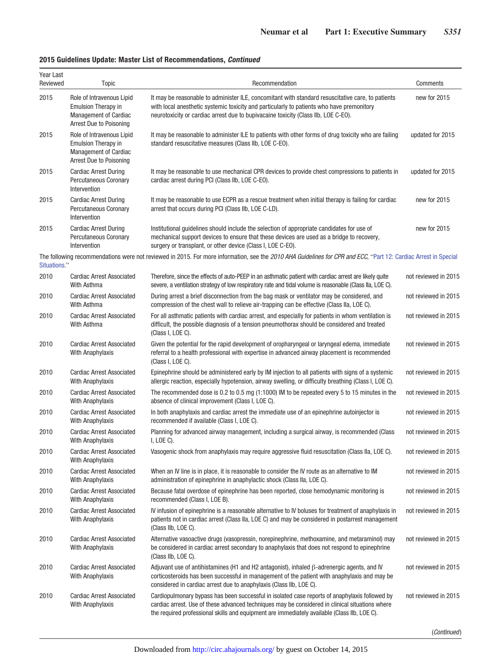|  |  |  | 2015 Guidelines Update: Master List of Recommendations, <i>Continued</i> |  |
|--|--|--|--------------------------------------------------------------------------|--|
|--|--|--|--------------------------------------------------------------------------|--|

| Year Last<br>Reviewed | <b>Topic</b>                                                                                                       | Recommendation                                                                                                                                                                                                                                                                                    | Comments             |
|-----------------------|--------------------------------------------------------------------------------------------------------------------|---------------------------------------------------------------------------------------------------------------------------------------------------------------------------------------------------------------------------------------------------------------------------------------------------|----------------------|
| 2015                  | Role of Intravenous Lipid<br><b>Emulsion Therapy in</b><br><b>Management of Cardiac</b><br>Arrest Due to Poisoning | It may be reasonable to administer ILE, concomitant with standard resuscitative care, to patients<br>with local anesthetic systemic toxicity and particularly to patients who have premonitory<br>neurotoxicity or cardiac arrest due to bupivacaine toxicity (Class IIb, LOE C-EO).              | new for 2015         |
| 2015                  | Role of Intravenous Lipid<br><b>Emulsion Therapy in</b><br><b>Management of Cardiac</b><br>Arrest Due to Poisoning | It may be reasonable to administer ILE to patients with other forms of drug toxicity who are failing<br>standard resuscitative measures (Class IIb, LOE C-EO).                                                                                                                                    | updated for 2015     |
| 2015                  | <b>Cardiac Arrest During</b><br>Percutaneous Coronary<br>Intervention                                              | It may be reasonable to use mechanical CPR devices to provide chest compressions to patients in<br>cardiac arrest during PCI (Class IIb, LOE C-EO).                                                                                                                                               | updated for 2015     |
| 2015                  | <b>Cardiac Arrest During</b><br>Percutaneous Coronary<br>Intervention                                              | It may be reasonable to use ECPR as a rescue treatment when initial therapy is failing for cardiac<br>arrest that occurs during PCI (Class IIb, LOE C-LD).                                                                                                                                        | new for 2015         |
| 2015                  | <b>Cardiac Arrest During</b><br>Percutaneous Coronary<br>Intervention                                              | Institutional guidelines should include the selection of appropriate candidates for use of<br>mechanical support devices to ensure that these devices are used as a bridge to recovery,<br>surgery or transplant, or other device (Class I, LOE C-EO).                                            | new for 2015         |
| Situations."          |                                                                                                                    | The following recommendations were not reviewed in 2015. For more information, see the 2010 AHA Guidelines for CPR and ECC, "Part 12: Cardiac Arrest in Special                                                                                                                                   |                      |
| 2010                  | <b>Cardiac Arrest Associated</b><br>With Asthma                                                                    | Therefore, since the effects of auto-PEEP in an asthmatic patient with cardiac arrest are likely quite<br>severe, a ventilation strategy of low respiratory rate and tidal volume is reasonable (Class IIa, LOE C).                                                                               | not reviewed in 2015 |
| 2010                  | <b>Cardiac Arrest Associated</b><br>With Asthma                                                                    | During arrest a brief disconnection from the bag mask or ventilator may be considered, and<br>compression of the chest wall to relieve air-trapping can be effective (Class IIa, LOE C).                                                                                                          | not reviewed in 2015 |
| 2010                  | <b>Cardiac Arrest Associated</b><br>With Asthma                                                                    | For all asthmatic patients with cardiac arrest, and especially for patients in whom ventilation is<br>difficult, the possible diagnosis of a tension pneumothorax should be considered and treated<br>(Class I, LOE C).                                                                           | not reviewed in 2015 |
| 2010                  | <b>Cardiac Arrest Associated</b><br>With Anaphylaxis                                                               | Given the potential for the rapid development of oropharyngeal or laryngeal edema, immediate<br>referral to a health professional with expertise in advanced airway placement is recommended<br>(Class I, LOE C).                                                                                 | not reviewed in 2015 |
| 2010                  | <b>Cardiac Arrest Associated</b><br>With Anaphylaxis                                                               | Epinephrine should be administered early by IM injection to all patients with signs of a systemic<br>allergic reaction, especially hypotension, airway swelling, or difficulty breathing (Class I, LOE C).                                                                                        | not reviewed in 2015 |
| 2010                  | <b>Cardiac Arrest Associated</b><br>With Anaphylaxis                                                               | The recommended dose is 0.2 to 0.5 mg (1:1000) IM to be repeated every 5 to 15 minutes in the<br>absence of clinical improvement (Class I, LOE C).                                                                                                                                                | not reviewed in 2015 |
| 2010                  | <b>Cardiac Arrest Associated</b><br>With Anaphylaxis                                                               | In both anaphylaxis and cardiac arrest the immediate use of an epinephrine autoinjector is<br>recommended if available (Class I, LOE C).                                                                                                                                                          | not reviewed in 2015 |
| 2010                  | <b>Cardiac Arrest Associated</b><br>With Anaphylaxis                                                               | Planning for advanced airway management, including a surgical airway, is recommended (Class<br>$I, LOE C$ ).                                                                                                                                                                                      | not reviewed in 2015 |
| 2010                  | <b>Cardiac Arrest Associated</b><br>With Anaphylaxis                                                               | Vasogenic shock from anaphylaxis may require aggressive fluid resuscitation (Class IIa, LOE C).                                                                                                                                                                                                   | not reviewed in 2015 |
| 2010                  | <b>Cardiac Arrest Associated</b><br>With Anaphylaxis                                                               | When an IV line is in place, it is reasonable to consider the IV route as an alternative to IM<br>administration of epinephrine in anaphylactic shock (Class IIa, LOE C).                                                                                                                         | not reviewed in 2015 |
| 2010                  | <b>Cardiac Arrest Associated</b><br>With Anaphylaxis                                                               | Because fatal overdose of epinephrine has been reported, close hemodynamic monitoring is<br>recommended (Class I, LOE B).                                                                                                                                                                         | not reviewed in 2015 |
| 2010                  | <b>Cardiac Arrest Associated</b><br>With Anaphylaxis                                                               | IV infusion of epinephrine is a reasonable alternative to IV boluses for treatment of anaphylaxis in<br>patients not in cardiac arrest (Class IIa, LOE C) and may be considered in postarrest management<br>(Class IIb, LOE C).                                                                   | not reviewed in 2015 |
| 2010                  | <b>Cardiac Arrest Associated</b><br>With Anaphylaxis                                                               | Alternative vasoactive drugs (vasopressin, norepinephrine, methoxamine, and metaraminol) may<br>be considered in cardiac arrest secondary to anaphylaxis that does not respond to epinephrine<br>(Class IIb, LOE C).                                                                              | not reviewed in 2015 |
| 2010                  | <b>Cardiac Arrest Associated</b><br>With Anaphylaxis                                                               | Adjuvant use of antihistamines (H1 and H2 antagonist), inhaled $\beta$ -adrenergic agents, and IV<br>corticosteroids has been successful in management of the patient with anaphylaxis and may be<br>considered in cardiac arrest due to anaphylaxis (Class IIb, LOE C).                          | not reviewed in 2015 |
| 2010                  | <b>Cardiac Arrest Associated</b><br>With Anaphylaxis                                                               | Cardiopulmonary bypass has been successful in isolated case reports of anaphylaxis followed by<br>cardiac arrest. Use of these advanced techniques may be considered in clinical situations where<br>the required professional skills and equipment are immediately available (Class IIb, LOE C). | not reviewed in 2015 |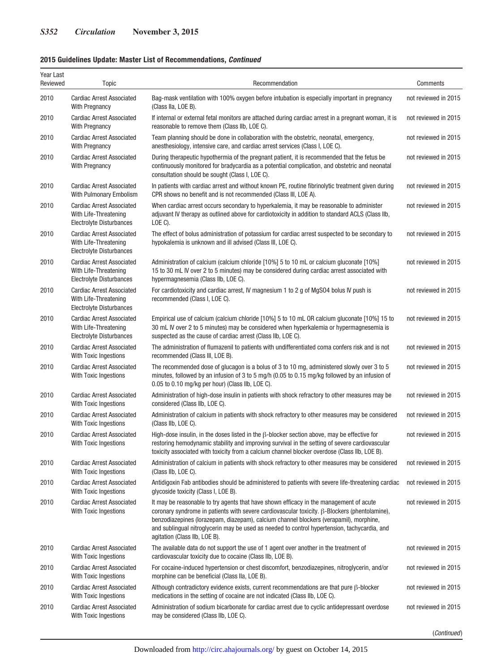| Year Last<br>Reviewed | Topic                                                                                        | Recommendation                                                                                                                                                                                                                                                                                                                                                                                                            | Comments             |
|-----------------------|----------------------------------------------------------------------------------------------|---------------------------------------------------------------------------------------------------------------------------------------------------------------------------------------------------------------------------------------------------------------------------------------------------------------------------------------------------------------------------------------------------------------------------|----------------------|
| 2010                  | <b>Cardiac Arrest Associated</b><br>With Pregnancy                                           | Bag-mask ventilation with 100% oxygen before intubation is especially important in pregnancy<br>(Class IIa, LOE B).                                                                                                                                                                                                                                                                                                       | not reviewed in 2015 |
| 2010                  | <b>Cardiac Arrest Associated</b><br><b>With Pregnancy</b>                                    | If internal or external fetal monitors are attached during cardiac arrest in a pregnant woman, it is<br>reasonable to remove them (Class IIb, LOE C).                                                                                                                                                                                                                                                                     | not reviewed in 2015 |
| 2010                  | Cardiac Arrest Associated<br><b>With Pregnancy</b>                                           | Team planning should be done in collaboration with the obstetric, neonatal, emergency,<br>anesthesiology, intensive care, and cardiac arrest services (Class I, LOE C).                                                                                                                                                                                                                                                   | not reviewed in 2015 |
| 2010                  | <b>Cardiac Arrest Associated</b><br><b>With Pregnancy</b>                                    | During therapeutic hypothermia of the pregnant patient, it is recommended that the fetus be<br>continuously monitored for bradycardia as a potential complication, and obstetric and neonatal<br>consultation should be sought (Class I, LOE C).                                                                                                                                                                          | not reviewed in 2015 |
| 2010                  | <b>Cardiac Arrest Associated</b><br>With Pulmonary Embolism                                  | In patients with cardiac arrest and without known PE, routine fibrinolytic treatment given during<br>CPR shows no benefit and is not recommended (Class III, LOE A).                                                                                                                                                                                                                                                      | not reviewed in 2015 |
| 2010                  | <b>Cardiac Arrest Associated</b><br>With Life-Threatening<br><b>Electrolyte Disturbances</b> | When cardiac arrest occurs secondary to hyperkalemia, it may be reasonable to administer<br>adjuvant IV therapy as outlined above for cardiotoxicity in addition to standard ACLS (Class IIb,<br>LOE C).                                                                                                                                                                                                                  | not reviewed in 2015 |
| 2010                  | <b>Cardiac Arrest Associated</b><br>With Life-Threatening<br><b>Electrolyte Disturbances</b> | The effect of bolus administration of potassium for cardiac arrest suspected to be secondary to<br>hypokalemia is unknown and ill advised (Class III, LOE C).                                                                                                                                                                                                                                                             | not reviewed in 2015 |
| 2010                  | <b>Cardiac Arrest Associated</b><br>With Life-Threatening<br>Electrolyte Disturbances        | Administration of calcium (calcium chloride [10%] 5 to 10 mL or calcium gluconate [10%]<br>15 to 30 mL IV over 2 to 5 minutes) may be considered during cardiac arrest associated with<br>hypermagnesemia (Class IIb, LOE C).                                                                                                                                                                                             | not reviewed in 2015 |
| 2010                  | <b>Cardiac Arrest Associated</b><br>With Life-Threatening<br><b>Electrolyte Disturbances</b> | For cardiotoxicity and cardiac arrest, IV magnesium 1 to 2 g of MgSO4 bolus IV push is<br>recommended (Class I, LOE C).                                                                                                                                                                                                                                                                                                   | not reviewed in 2015 |
| 2010                  | <b>Cardiac Arrest Associated</b><br>With Life-Threatening<br>Electrolyte Disturbances        | Empirical use of calcium (calcium chloride [10%] 5 to 10 mL OR calcium gluconate [10%] 15 to<br>30 mL IV over 2 to 5 minutes) may be considered when hyperkalemia or hypermagnesemia is<br>suspected as the cause of cardiac arrest (Class IIb, LOE C).                                                                                                                                                                   | not reviewed in 2015 |
| 2010                  | <b>Cardiac Arrest Associated</b><br>With Toxic Ingestions                                    | The administration of flumazenil to patients with undifferentiated coma confers risk and is not<br>recommended (Class III, LOE B).                                                                                                                                                                                                                                                                                        | not reviewed in 2015 |
| 2010                  | <b>Cardiac Arrest Associated</b><br>With Toxic Ingestions                                    | The recommended dose of glucagon is a bolus of 3 to 10 mg, administered slowly over 3 to 5<br>minutes, followed by an infusion of 3 to 5 mg/h (0.05 to 0.15 mg/kg followed by an infusion of<br>0.05 to 0.10 mg/kg per hour) (Class IIb, LOE C).                                                                                                                                                                          | not reviewed in 2015 |
| 2010                  | Cardiac Arrest Associated<br><b>With Toxic Ingestions</b>                                    | Administration of high-dose insulin in patients with shock refractory to other measures may be<br>considered (Class IIb, LOE C).                                                                                                                                                                                                                                                                                          | not reviewed in 2015 |
| 2010                  | <b>Cardiac Arrest Associated</b><br>With Toxic Ingestions                                    | Administration of calcium in patients with shock refractory to other measures may be considered<br>(Class IIb, LOE C).                                                                                                                                                                                                                                                                                                    | not reviewed in 2015 |
| 2010                  | <b>Cardiac Arrest Associated</b><br><b>With Toxic Ingestions</b>                             | High-dose insulin, in the doses listed in the $\beta$ -blocker section above, may be effective for<br>restoring hemodynamic stability and improving survival in the setting of severe cardiovascular<br>toxicity associated with toxicity from a calcium channel blocker overdose (Class IIb, LOE B).                                                                                                                     | not reviewed in 2015 |
| 2010                  | <b>Cardiac Arrest Associated</b><br>With Toxic Ingestions                                    | Administration of calcium in patients with shock refractory to other measures may be considered<br>(Class IIb, LOE C).                                                                                                                                                                                                                                                                                                    | not reviewed in 2015 |
| 2010                  | <b>Cardiac Arrest Associated</b><br>With Toxic Ingestions                                    | Antidigoxin Fab antibodies should be administered to patients with severe life-threatening cardiac<br>glycoside toxicity (Class I, LOE B).                                                                                                                                                                                                                                                                                | not reviewed in 2015 |
| 2010                  | <b>Cardiac Arrest Associated</b><br>With Toxic Ingestions                                    | It may be reasonable to try agents that have shown efficacy in the management of acute<br>coronary syndrome in patients with severe cardiovascular toxicity. $\beta$ -Blockers (phentolamine),<br>benzodiazepines (lorazepam, diazepam), calcium channel blockers (verapamil), morphine,<br>and sublingual nitroglycerin may be used as needed to control hypertension, tachycardia, and<br>agitation (Class IIb, LOE B). | not reviewed in 2015 |
| 2010                  | <b>Cardiac Arrest Associated</b><br><b>With Toxic Ingestions</b>                             | The available data do not support the use of 1 agent over another in the treatment of<br>cardiovascular toxicity due to cocaine (Class IIb, LOE B).                                                                                                                                                                                                                                                                       | not reviewed in 2015 |
| 2010                  | <b>Cardiac Arrest Associated</b><br>With Toxic Ingestions                                    | For cocaine-induced hypertension or chest discomfort, benzodiazepines, nitroglycerin, and/or<br>morphine can be beneficial (Class IIa, LOE B).                                                                                                                                                                                                                                                                            | not reviewed in 2015 |
| 2010                  | <b>Cardiac Arrest Associated</b><br>With Toxic Ingestions                                    | Although contradictory evidence exists, current recommendations are that pure $\beta$ -blocker<br>medications in the setting of cocaine are not indicated (Class IIb, LOE C).                                                                                                                                                                                                                                             | not reviewed in 2015 |
| 2010                  | <b>Cardiac Arrest Associated</b><br>With Toxic Ingestions                                    | Administration of sodium bicarbonate for cardiac arrest due to cyclic antidepressant overdose<br>may be considered (Class IIb, LOE C).                                                                                                                                                                                                                                                                                    | not reviewed in 2015 |
|                       |                                                                                              |                                                                                                                                                                                                                                                                                                                                                                                                                           | (Continued)          |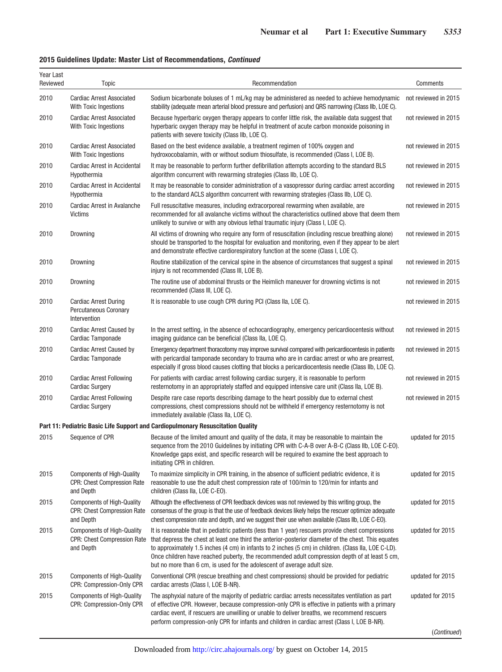| Year Last<br>Reviewed | <b>Topic</b>                                                                         | Recommendation                                                                                                                                                                                                                                                                                                                                                                                                                                                                                  | Comments             |
|-----------------------|--------------------------------------------------------------------------------------|-------------------------------------------------------------------------------------------------------------------------------------------------------------------------------------------------------------------------------------------------------------------------------------------------------------------------------------------------------------------------------------------------------------------------------------------------------------------------------------------------|----------------------|
| 2010                  | <b>Cardiac Arrest Associated</b><br>With Toxic Ingestions                            | Sodium bicarbonate boluses of 1 mL/kg may be administered as needed to achieve hemodynamic<br>stability (adequate mean arterial blood pressure and perfusion) and QRS narrowing (Class IIb, LOE C).                                                                                                                                                                                                                                                                                             | not reviewed in 2015 |
| 2010                  | <b>Cardiac Arrest Associated</b><br>With Toxic Ingestions                            | Because hyperbaric oxygen therapy appears to confer little risk, the available data suggest that<br>hyperbaric oxygen therapy may be helpful in treatment of acute carbon monoxide poisoning in<br>patients with severe toxicity (Class IIb, LOE C).                                                                                                                                                                                                                                            | not reviewed in 2015 |
| 2010                  | <b>Cardiac Arrest Associated</b><br>With Toxic Ingestions                            | Based on the best evidence available, a treatment regimen of 100% oxygen and<br>hydroxocobalamin, with or without sodium thiosulfate, is recommended (Class I, LOE B).                                                                                                                                                                                                                                                                                                                          | not reviewed in 2015 |
| 2010                  | Cardiac Arrest in Accidental<br>Hypothermia                                          | It may be reasonable to perform further defibrillation attempts according to the standard BLS<br>algorithm concurrent with rewarming strategies (Class IIb, LOE C).                                                                                                                                                                                                                                                                                                                             | not reviewed in 2015 |
| 2010                  | Cardiac Arrest in Accidental<br>Hypothermia                                          | It may be reasonable to consider administration of a vasopressor during cardiac arrest according<br>to the standard ACLS algorithm concurrent with rewarming strategies (Class IIb, LOE C).                                                                                                                                                                                                                                                                                                     | not reviewed in 2015 |
| 2010                  | Cardiac Arrest in Avalanche<br>Victims                                               | Full resuscitative measures, including extracorporeal rewarming when available, are<br>recommended for all avalanche victims without the characteristics outlined above that deem them<br>unlikely to survive or with any obvious lethal traumatic injury (Class I, LOE C).                                                                                                                                                                                                                     | not reviewed in 2015 |
| 2010                  | Drowning                                                                             | All victims of drowning who require any form of resuscitation (including rescue breathing alone)<br>should be transported to the hospital for evaluation and monitoring, even if they appear to be alert<br>and demonstrate effective cardiorespiratory function at the scene (Class I, LOE C).                                                                                                                                                                                                 | not reviewed in 2015 |
| 2010                  | Drowning                                                                             | Routine stabilization of the cervical spine in the absence of circumstances that suggest a spinal<br>injury is not recommended (Class III, LOE B).                                                                                                                                                                                                                                                                                                                                              | not reviewed in 2015 |
| 2010                  | Drowning                                                                             | The routine use of abdominal thrusts or the Heimlich maneuver for drowning victims is not<br>recommended (Class III, LOE C).                                                                                                                                                                                                                                                                                                                                                                    | not reviewed in 2015 |
| 2010                  | <b>Cardiac Arrest During</b><br>Percutaneous Coronary<br>Intervention                | It is reasonable to use cough CPR during PCI (Class IIa, LOE C).                                                                                                                                                                                                                                                                                                                                                                                                                                | not reviewed in 2015 |
| 2010                  | Cardiac Arrest Caused by<br>Cardiac Tamponade                                        | In the arrest setting, in the absence of echocardiography, emergency pericardiocentesis without<br>imaging guidance can be beneficial (Class IIa, LOE C).                                                                                                                                                                                                                                                                                                                                       | not reviewed in 2015 |
| 2010                  | Cardiac Arrest Caused by<br>Cardiac Tamponade                                        | Emergency department thoracotomy may improve survival compared with pericardiocentesis in patients<br>with pericardial tamponade secondary to trauma who are in cardiac arrest or who are prearrest,<br>especially if gross blood causes clotting that blocks a pericardiocentesis needle (Class IIb, LOE C).                                                                                                                                                                                   | not reviewed in 2015 |
| 2010                  | <b>Cardiac Arrest Following</b><br><b>Cardiac Surgery</b>                            | For patients with cardiac arrest following cardiac surgery, it is reasonable to perform<br>resternotomy in an appropriately staffed and equipped intensive care unit (Class IIa, LOE B).                                                                                                                                                                                                                                                                                                        | not reviewed in 2015 |
| 2010                  | <b>Cardiac Arrest Following</b><br><b>Cardiac Surgery</b>                            | Despite rare case reports describing damage to the heart possibly due to external chest<br>compressions, chest compressions should not be withheld if emergency resternotomy is not<br>immediately available (Class IIa, LOE C).                                                                                                                                                                                                                                                                | not reviewed in 2015 |
|                       |                                                                                      | Part 11: Pediatric Basic Life Support and Cardiopulmonary Resuscitation Quality                                                                                                                                                                                                                                                                                                                                                                                                                 |                      |
| 2015                  | Sequence of CPR                                                                      | Because of the limited amount and quality of the data, it may be reasonable to maintain the<br>sequence from the 2010 Guidelines by initiating CPR with C-A-B over A-B-C (Class IIb, LOE C-EO).<br>Knowledge gaps exist, and specific research will be required to examine the best approach to<br>initiating CPR in children.                                                                                                                                                                  | updated for 2015     |
| 2015                  | <b>Components of High-Quality</b><br><b>CPR: Chest Compression Rate</b><br>and Depth | To maximize simplicity in CPR training, in the absence of sufficient pediatric evidence, it is<br>reasonable to use the adult chest compression rate of 100/min to 120/min for infants and<br>children (Class IIa, LOE C-EO).                                                                                                                                                                                                                                                                   | updated for 2015     |
| 2015                  | <b>Components of High-Quality</b><br><b>CPR: Chest Compression Rate</b><br>and Depth | Although the effectiveness of CPR feedback devices was not reviewed by this writing group, the<br>consensus of the group is that the use of feedback devices likely helps the rescuer optimize adequate<br>chest compression rate and depth, and we suggest their use when available (Class IIb, LOE C-EO).                                                                                                                                                                                     | updated for 2015     |
| 2015                  | <b>Components of High-Quality</b><br><b>CPR: Chest Compression Rate</b><br>and Depth | It is reasonable that in pediatric patients (less than 1 year) rescuers provide chest compressions<br>that depress the chest at least one third the anterior-posterior diameter of the chest. This equates<br>to approximately 1.5 inches (4 cm) in infants to 2 inches (5 cm) in children. (Class IIa, LOE C-LD).<br>Once children have reached puberty, the recommended adult compression depth of at least 5 cm,<br>but no more than 6 cm, is used for the adolescent of average adult size. | updated for 2015     |
| 2015                  | <b>Components of High-Quality</b><br>CPR: Compression-Only CPR                       | Conventional CPR (rescue breathing and chest compressions) should be provided for pediatric<br>cardiac arrests (Class I, LOE B-NR).                                                                                                                                                                                                                                                                                                                                                             | updated for 2015     |
| 2015                  | <b>Components of High-Quality</b><br>CPR: Compression-Only CPR                       | The asphyxial nature of the majority of pediatric cardiac arrests necessitates ventilation as part<br>of effective CPR. However, because compression-only CPR is effective in patients with a primary<br>cardiac event, if rescuers are unwilling or unable to deliver breaths, we recommend rescuers<br>perform compression-only CPR for infants and children in cardiac arrest (Class I, LOE B-NR).                                                                                           | updated for 2015     |

(Continued)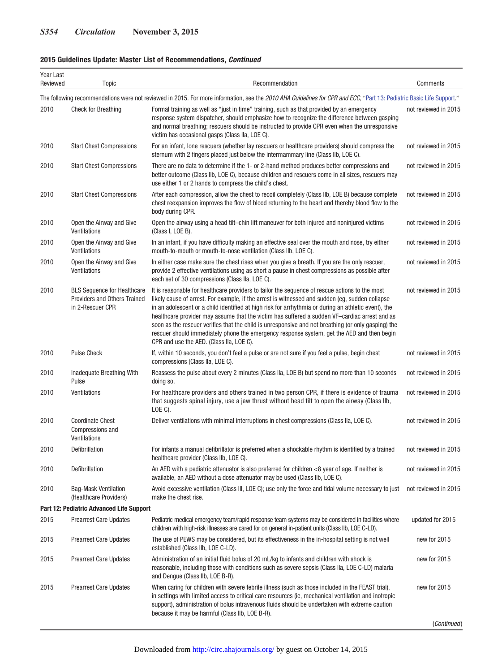| Year Last<br>Reviewed | <b>Topic</b>                                                                                  | Recommendation                                                                                                                                                                                                                                                                                                                                                                                                                                                                                                                                                                                                                                              | Comments             |
|-----------------------|-----------------------------------------------------------------------------------------------|-------------------------------------------------------------------------------------------------------------------------------------------------------------------------------------------------------------------------------------------------------------------------------------------------------------------------------------------------------------------------------------------------------------------------------------------------------------------------------------------------------------------------------------------------------------------------------------------------------------------------------------------------------------|----------------------|
|                       |                                                                                               | The following recommendations were not reviewed in 2015. For more information, see the 2010 AHA Guidelines for CPR and ECC, "Part 13: Pediatric Basic Life Support."                                                                                                                                                                                                                                                                                                                                                                                                                                                                                        |                      |
| 2010                  | <b>Check for Breathing</b>                                                                    | Formal training as well as "just in time" training, such as that provided by an emergency<br>response system dispatcher, should emphasize how to recognize the difference between gasping<br>and normal breathing; rescuers should be instructed to provide CPR even when the unresponsive<br>victim has occasional gasps (Class IIa, LOE C).                                                                                                                                                                                                                                                                                                               | not reviewed in 2015 |
| 2010                  | <b>Start Chest Compressions</b>                                                               | For an infant, lone rescuers (whether lay rescuers or healthcare providers) should compress the<br>sternum with 2 fingers placed just below the intermammary line (Class IIb, LOE C).                                                                                                                                                                                                                                                                                                                                                                                                                                                                       | not reviewed in 2015 |
| 2010                  | <b>Start Chest Compressions</b>                                                               | There are no data to determine if the 1- or 2-hand method produces better compressions and<br>better outcome (Class IIb, LOE C), because children and rescuers come in all sizes, rescuers may<br>use either 1 or 2 hands to compress the child's chest.                                                                                                                                                                                                                                                                                                                                                                                                    | not reviewed in 2015 |
| 2010                  | <b>Start Chest Compressions</b>                                                               | After each compression, allow the chest to recoil completely (Class IIb, LOE B) because complete<br>chest reexpansion improves the flow of blood returning to the heart and thereby blood flow to the<br>body during CPR.                                                                                                                                                                                                                                                                                                                                                                                                                                   | not reviewed in 2015 |
| 2010                  | Open the Airway and Give<br>Ventilations                                                      | Open the airway using a head tilt–chin lift maneuver for both injured and noninjured victims<br>(Class I, LOE B).                                                                                                                                                                                                                                                                                                                                                                                                                                                                                                                                           | not reviewed in 2015 |
| 2010                  | Open the Airway and Give<br>Ventilations                                                      | In an infant, if you have difficulty making an effective seal over the mouth and nose, try either<br>mouth-to-mouth or mouth-to-nose ventilation (Class IIb, LOE C).                                                                                                                                                                                                                                                                                                                                                                                                                                                                                        | not reviewed in 2015 |
| 2010                  | Open the Airway and Give<br>Ventilations                                                      | In either case make sure the chest rises when you give a breath. If you are the only rescuer,<br>provide 2 effective ventilations using as short a pause in chest compressions as possible after<br>each set of 30 compressions (Class IIa, LOE C).                                                                                                                                                                                                                                                                                                                                                                                                         | not reviewed in 2015 |
| 2010                  | <b>BLS Sequence for Healthcare</b><br><b>Providers and Others Trained</b><br>in 2-Rescuer CPR | It is reasonable for healthcare providers to tailor the sequence of rescue actions to the most<br>likely cause of arrest. For example, if the arrest is witnessed and sudden (eg, sudden collapse<br>in an adolescent or a child identified at high risk for arrhythmia or during an athletic event), the<br>healthcare provider may assume that the victim has suffered a sudden VF-cardiac arrest and as<br>soon as the rescuer verifies that the child is unresponsive and not breathing (or only gasping) the<br>rescuer should immediately phone the emergency response system, get the AED and then begin<br>CPR and use the AED. (Class IIa, LOE C). | not reviewed in 2015 |
| 2010                  | <b>Pulse Check</b>                                                                            | If, within 10 seconds, you don't feel a pulse or are not sure if you feel a pulse, begin chest<br>compressions (Class IIa, LOE C).                                                                                                                                                                                                                                                                                                                                                                                                                                                                                                                          | not reviewed in 2015 |
| 2010                  | Inadequate Breathing With<br>Pulse                                                            | Reassess the pulse about every 2 minutes (Class IIa, LOE B) but spend no more than 10 seconds<br>doing so.                                                                                                                                                                                                                                                                                                                                                                                                                                                                                                                                                  | not reviewed in 2015 |
| 2010                  | Ventilations                                                                                  | For healthcare providers and others trained in two person CPR, if there is evidence of trauma<br>that suggests spinal injury, use a jaw thrust without head tilt to open the airway (Class IIb,<br>LOE C).                                                                                                                                                                                                                                                                                                                                                                                                                                                  | not reviewed in 2015 |
| 2010                  | <b>Coordinate Chest</b><br><b>Compressions and</b><br>Ventilations                            | Deliver ventilations with minimal interruptions in chest compressions (Class IIa, LOE C).                                                                                                                                                                                                                                                                                                                                                                                                                                                                                                                                                                   | not reviewed in 2015 |
| 2010                  | Defibrillation                                                                                | For infants a manual defibrillator is preferred when a shockable rhythm is identified by a trained<br>healthcare provider (Class IIb, LOE C).                                                                                                                                                                                                                                                                                                                                                                                                                                                                                                               | not reviewed in 2015 |
| 2010                  | Defibrillation                                                                                | An AED with a pediatric attenuator is also preferred for children <8 year of age. If neither is<br>available, an AED without a dose attenuator may be used (Class IIb, LOE C).                                                                                                                                                                                                                                                                                                                                                                                                                                                                              | not reviewed in 2015 |
| 2010                  | <b>Bag-Mask Ventilation</b><br>(Healthcare Providers)                                         | Avoid excessive ventilation (Class III, LOE C); use only the force and tidal volume necessary to just<br>make the chest rise.                                                                                                                                                                                                                                                                                                                                                                                                                                                                                                                               | not reviewed in 2015 |
|                       | Part 12: Pediatric Advanced Life Support                                                      |                                                                                                                                                                                                                                                                                                                                                                                                                                                                                                                                                                                                                                                             |                      |
| 2015                  | <b>Prearrest Care Updates</b>                                                                 | Pediatric medical emergency team/rapid response team systems may be considered in facilities where<br>children with high-risk illnesses are cared for on general in-patient units (Class IIb, LOE C-LD).                                                                                                                                                                                                                                                                                                                                                                                                                                                    | updated for 2015     |
| 2015                  | <b>Prearrest Care Updates</b>                                                                 | The use of PEWS may be considered, but its effectiveness in the in-hospital setting is not well<br>established (Class IIb, LOE C-LD).                                                                                                                                                                                                                                                                                                                                                                                                                                                                                                                       | new for 2015         |
| 2015                  | <b>Prearrest Care Updates</b>                                                                 | Administration of an initial fluid bolus of 20 mL/kg to infants and children with shock is<br>reasonable, including those with conditions such as severe sepsis (Class IIa, LOE C-LD) malaria<br>and Dengue (Class IIb, LOE B-R).                                                                                                                                                                                                                                                                                                                                                                                                                           | new for 2015         |
| 2015                  | <b>Prearrest Care Updates</b>                                                                 | When caring for children with severe febrile illness (such as those included in the FEAST trial),<br>in settings with limited access to critical care resources (ie, mechanical ventilation and inotropic<br>support), administration of bolus intravenous fluids should be undertaken with extreme caution<br>because it may be harmful (Class IIb, LOE B-R).                                                                                                                                                                                                                                                                                              | new for 2015         |
|                       |                                                                                               |                                                                                                                                                                                                                                                                                                                                                                                                                                                                                                                                                                                                                                                             | (Continued)          |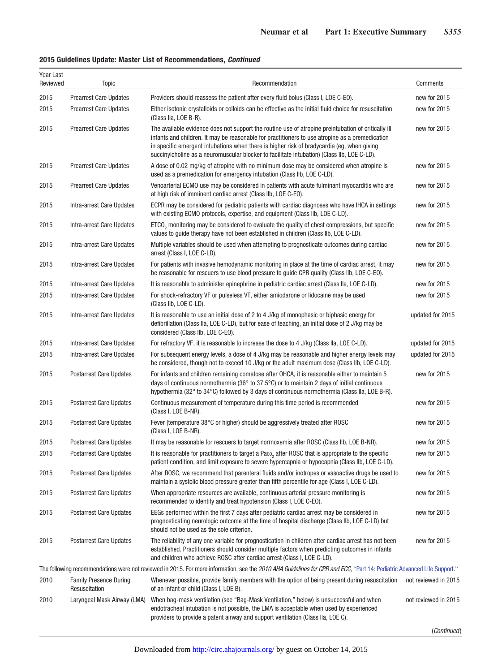|  |  |  | 2015 Guidelines Update: Master List of Recommendations, <i>Continued</i> |  |  |
|--|--|--|--------------------------------------------------------------------------|--|--|
|--|--|--|--------------------------------------------------------------------------|--|--|

| Year Last<br>Reviewed | <b>Topic</b>                                   | Recommendation                                                                                                                                                                                                                                                                                                                                                                                      | Comments             |
|-----------------------|------------------------------------------------|-----------------------------------------------------------------------------------------------------------------------------------------------------------------------------------------------------------------------------------------------------------------------------------------------------------------------------------------------------------------------------------------------------|----------------------|
| 2015                  | <b>Prearrest Care Updates</b>                  | Providers should reassess the patient after every fluid bolus (Class I, LOE C-EO).                                                                                                                                                                                                                                                                                                                  | new for 2015         |
| 2015                  | <b>Prearrest Care Updates</b>                  | Either isotonic crystalloids or colloids can be effective as the initial fluid choice for resuscitation<br>(Class IIa, LOE B-R).                                                                                                                                                                                                                                                                    | new for 2015         |
| 2015                  | <b>Prearrest Care Updates</b>                  | The available evidence does not support the routine use of atropine preintubation of critically ill<br>infants and children. It may be reasonable for practitioners to use atropine as a premedication<br>in specific emergent intubations when there is higher risk of bradycardia (eg, when giving<br>succinylcholine as a neuromuscular blocker to facilitate intubation) (Class IIb, LOE C-LD). | new for 2015         |
| 2015                  | <b>Prearrest Care Updates</b>                  | A dose of 0.02 mg/kg of atropine with no minimum dose may be considered when atropine is<br>used as a premedication for emergency intubation (Class IIb, LOE C-LD).                                                                                                                                                                                                                                 | new for 2015         |
| 2015                  | <b>Prearrest Care Updates</b>                  | Venoarterial ECMO use may be considered in patients with acute fulminant myocarditis who are<br>at high risk of imminent cardiac arrest (Class IIb, LOE C-EO).                                                                                                                                                                                                                                      | new for 2015         |
| 2015                  | Intra-arrest Care Updates                      | ECPR may be considered for pediatric patients with cardiac diagnoses who have IHCA in settings<br>with existing ECMO protocols, expertise, and equipment (Class IIb, LOE C-LD).                                                                                                                                                                                                                     | new for 2015         |
| 2015                  | Intra-arrest Care Updates                      | ETCO <sub>2</sub> monitoring may be considered to evaluate the quality of chest compressions, but specific<br>values to guide therapy have not been established in children (Class IIb, LOE C-LD).                                                                                                                                                                                                  | new for 2015         |
| 2015                  | Intra-arrest Care Updates                      | Multiple variables should be used when attempting to prognosticate outcomes during cardiac<br>arrest (Class I, LOE C-LD).                                                                                                                                                                                                                                                                           | new for 2015         |
| 2015                  | Intra-arrest Care Updates                      | For patients with invasive hemodynamic monitoring in place at the time of cardiac arrest, it may<br>be reasonable for rescuers to use blood pressure to guide CPR quality (Class IIb, LOE C-EO).                                                                                                                                                                                                    | new for 2015         |
| 2015                  | Intra-arrest Care Updates                      | It is reasonable to administer epinephrine in pediatric cardiac arrest (Class IIa, LOE C-LD).                                                                                                                                                                                                                                                                                                       | new for 2015         |
| 2015                  | Intra-arrest Care Updates                      | For shock-refractory VF or pulseless VT, either amiodarone or lidocaine may be used<br>(Class IIb, LOE C-LD).                                                                                                                                                                                                                                                                                       | new for 2015         |
| 2015                  | Intra-arrest Care Updates                      | It is reasonable to use an initial dose of 2 to 4 J/kg of monophasic or biphasic energy for<br>defibrillation (Class IIa, LOE C-LD), but for ease of teaching, an initial dose of 2 J/kg may be<br>considered (Class IIb, LOE C-EO).                                                                                                                                                                | updated for 2015     |
| 2015                  | Intra-arrest Care Updates                      | For refractory VF, it is reasonable to increase the dose to 4 J/kg (Class IIa, LOE C-LD).                                                                                                                                                                                                                                                                                                           | updated for 2015     |
| 2015                  | Intra-arrest Care Updates                      | For subsequent energy levels, a dose of 4 J/kg may be reasonable and higher energy levels may<br>be considered, though not to exceed 10 J/kg or the adult maximum dose (Class IIb, LOE C-LD).                                                                                                                                                                                                       | updated for 2015     |
| 2015                  | <b>Postarrest Care Updates</b>                 | For infants and children remaining comatose after OHCA, it is reasonable either to maintain 5<br>days of continuous normothermia (36° to 37.5°C) or to maintain 2 days of initial continuous<br>hypothermia (32° to 34°C) followed by 3 days of continuous normothermia (Class IIa, LOE B-R).                                                                                                       | new for 2015         |
| 2015                  | <b>Postarrest Care Updates</b>                 | Continuous measurement of temperature during this time period is recommended<br>(Class I, LOE B-NR).                                                                                                                                                                                                                                                                                                | new for 2015         |
| 2015                  | <b>Postarrest Care Updates</b>                 | Fever (temperature 38°C or higher) should be aggressively treated after ROSC<br>(Class I, LOE B-NR).                                                                                                                                                                                                                                                                                                | new for 2015         |
| 2015                  | <b>Postarrest Care Updates</b>                 | It may be reasonable for rescuers to target normoxemia after ROSC (Class IIb, LOE B-NR).                                                                                                                                                                                                                                                                                                            | new for 2015         |
| 2015                  | <b>Postarrest Care Updates</b>                 | It is reasonable for practitioners to target a Paco, after ROSC that is appropriate to the specific<br>patient condition, and limit exposure to severe hypercapnia or hypocapnia (Class IIb, LOE C-LD).                                                                                                                                                                                             | new for 2015         |
| 2015                  | <b>Postarrest Care Updates</b>                 | After ROSC, we recommend that parenteral fluids and/or inotropes or vasoactive drugs be used to<br>maintain a systolic blood pressure greater than fifth percentile for age (Class I, LOE C-LD).                                                                                                                                                                                                    | new for 2015         |
| 2015                  | <b>Postarrest Care Updates</b>                 | When appropriate resources are available, continuous arterial pressure monitoring is<br>recommended to identify and treat hypotension (Class I, LOE C-EO).                                                                                                                                                                                                                                          | new for 2015         |
| 2015                  | <b>Postarrest Care Updates</b>                 | EEGs performed within the first 7 days after pediatric cardiac arrest may be considered in<br>prognosticating neurologic outcome at the time of hospital discharge (Class IIb, LOE C-LD) but<br>should not be used as the sole criterion.                                                                                                                                                           | new for 2015         |
| 2015                  | <b>Postarrest Care Updates</b>                 | The reliability of any one variable for prognostication in children after cardiac arrest has not been<br>established. Practitioners should consider multiple factors when predicting outcomes in infants<br>and children who achieve ROSC after cardiac arrest (Class I, LOE C-LD).                                                                                                                 | new for 2015         |
|                       |                                                | The following recommendations were not reviewed in 2015. For more information, see the 2010 AHA Guidelines for CPR and ECC, "Part 14: Pediatric Advanced Life Support."                                                                                                                                                                                                                             |                      |
| 2010                  | <b>Family Presence During</b><br>Resuscitation | Whenever possible, provide family members with the option of being present during resuscitation<br>of an infant or child (Class I, LOE B).                                                                                                                                                                                                                                                          | not reviewed in 2015 |
| 2010                  | Laryngeal Mask Airway (LMA)                    | When bag-mask ventilation (see "Bag-Mask Ventilation," below) is unsuccessful and when<br>endotracheal intubation is not possible, the LMA is acceptable when used by experienced<br>providers to provide a patent airway and support ventilation (Class IIa, LOE C).                                                                                                                               | not reviewed in 2015 |
|                       |                                                |                                                                                                                                                                                                                                                                                                                                                                                                     | (Continued)          |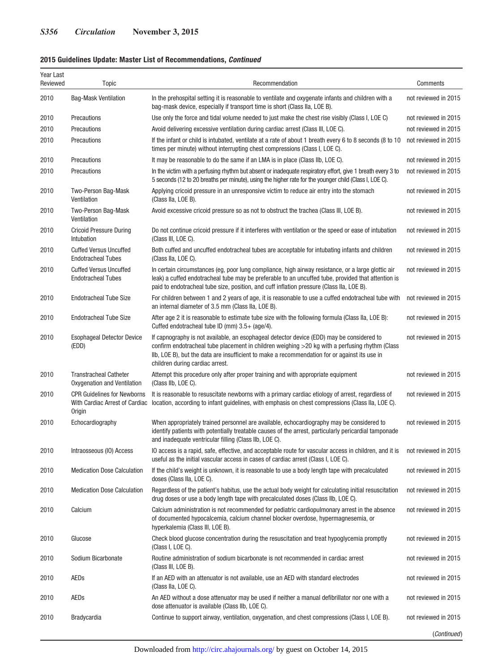| Year Last<br>Reviewed | <b>Topic</b>                                                                   | Recommendation                                                                                                                                                                                                                                                                                                                  | Comments             |
|-----------------------|--------------------------------------------------------------------------------|---------------------------------------------------------------------------------------------------------------------------------------------------------------------------------------------------------------------------------------------------------------------------------------------------------------------------------|----------------------|
| 2010                  | <b>Bag-Mask Ventilation</b>                                                    | In the prehospital setting it is reasonable to ventilate and oxygenate infants and children with a<br>bag-mask device, especially if transport time is short (Class IIa, LOE B).                                                                                                                                                | not reviewed in 2015 |
| 2010                  | Precautions                                                                    | Use only the force and tidal volume needed to just make the chest rise visibly (Class I, LOE C)                                                                                                                                                                                                                                 | not reviewed in 2015 |
| 2010                  | Precautions                                                                    | Avoid delivering excessive ventilation during cardiac arrest (Class III, LOE C).                                                                                                                                                                                                                                                | not reviewed in 2015 |
| 2010                  | Precautions                                                                    | If the infant or child is intubated, ventilate at a rate of about 1 breath every 6 to 8 seconds (8 to 10<br>times per minute) without interrupting chest compressions (Class I, LOE C).                                                                                                                                         | not reviewed in 2015 |
| 2010                  | Precautions                                                                    | It may be reasonable to do the same if an LMA is in place (Class IIb, LOE C).                                                                                                                                                                                                                                                   | not reviewed in 2015 |
| 2010                  | Precautions                                                                    | In the victim with a perfusing rhythm but absent or inadequate respiratory effort, give 1 breath every 3 to<br>5 seconds (12 to 20 breaths per minute), using the higher rate for the younger child (Class I, LOE C).                                                                                                           | not reviewed in 2015 |
| 2010                  | Two-Person Bag-Mask<br>Ventilation                                             | Applying cricoid pressure in an unresponsive victim to reduce air entry into the stomach<br>(Class IIa, LOE B).                                                                                                                                                                                                                 | not reviewed in 2015 |
| 2010                  | Two-Person Bag-Mask<br>Ventilation                                             | Avoid excessive cricoid pressure so as not to obstruct the trachea (Class III, LOE B).                                                                                                                                                                                                                                          | not reviewed in 2015 |
| 2010                  | <b>Cricoid Pressure During</b><br>Intubation                                   | Do not continue cricoid pressure if it interferes with ventilation or the speed or ease of intubation<br>(Class III, LOE C).                                                                                                                                                                                                    | not reviewed in 2015 |
| 2010                  | <b>Cuffed Versus Uncuffed</b><br><b>Endotracheal Tubes</b>                     | Both cuffed and uncuffed endotracheal tubes are acceptable for intubating infants and children<br>(Class IIa, LOE C).                                                                                                                                                                                                           | not reviewed in 2015 |
| 2010                  | <b>Cuffed Versus Uncuffed</b><br><b>Endotracheal Tubes</b>                     | In certain circumstances (eq. poor lung compliance, high airway resistance, or a large glottic air<br>leak) a cuffed endotracheal tube may be preferable to an uncuffed tube, provided that attention is<br>paid to endotracheal tube size, position, and cuff inflation pressure (Class IIa, LOE B).                           | not reviewed in 2015 |
| 2010                  | <b>Endotracheal Tube Size</b>                                                  | For children between 1 and 2 years of age, it is reasonable to use a cuffed endotracheal tube with<br>an internal diameter of 3.5 mm (Class IIa, LOE B).                                                                                                                                                                        | not reviewed in 2015 |
| 2010                  | <b>Endotracheal Tube Size</b>                                                  | After age 2 it is reasonable to estimate tube size with the following formula (Class IIa, LOE B):<br>Cuffed endotracheal tube ID (mm) 3.5+ (age/4).                                                                                                                                                                             | not reviewed in 2015 |
| 2010                  | <b>Esophageal Detector Device</b><br>(EDD)                                     | If capnography is not available, an esophageal detector device (EDD) may be considered to<br>confirm endotracheal tube placement in children weighing >20 kg with a perfusing rhythm (Class<br>IIb, LOE B), but the data are insufficient to make a recommendation for or against its use in<br>children during cardiac arrest. | not reviewed in 2015 |
| 2010                  | <b>Transtracheal Catheter</b><br>Oxygenation and Ventilation                   | Attempt this procedure only after proper training and with appropriate equipment<br>(Class IIb, LOE C).                                                                                                                                                                                                                         | not reviewed in 2015 |
| 2010                  | <b>CPR Guidelines for Newborns</b><br>With Cardiac Arrest of Cardiac<br>Origin | It is reasonable to resuscitate newborns with a primary cardiac etiology of arrest, regardless of<br>location, according to infant guidelines, with emphasis on chest compressions (Class IIa, LOE C).                                                                                                                          | not reviewed in 2015 |
| 2010                  | Echocardiography                                                               | When appropriately trained personnel are available, echocardiography may be considered to<br>identify patients with potentially treatable causes of the arrest, particularly pericardial tamponade<br>and inadequate ventricular filling (Class IIb, LOE C).                                                                    | not reviewed in 2015 |
| 2010                  | Intraosseous (IO) Access                                                       | 10 access is a rapid, safe, effective, and acceptable route for vascular access in children, and it is<br>useful as the initial vascular access in cases of cardiac arrest (Class I, LOE C).                                                                                                                                    | not reviewed in 2015 |
| 2010                  | <b>Medication Dose Calculation</b>                                             | If the child's weight is unknown, it is reasonable to use a body length tape with precalculated<br>doses (Class IIa, LOE C).                                                                                                                                                                                                    | not reviewed in 2015 |
| 2010                  | <b>Medication Dose Calculation</b>                                             | Regardless of the patient's habitus, use the actual body weight for calculating initial resuscitation<br>drug doses or use a body length tape with precalculated doses (Class IIb, LOE C).                                                                                                                                      | not reviewed in 2015 |
| 2010                  | Calcium                                                                        | Calcium administration is not recommended for pediatric cardiopulmonary arrest in the absence<br>of documented hypocalcemia, calcium channel blocker overdose, hypermagnesemia, or<br>hyperkalemia (Class III, LOE B).                                                                                                          | not reviewed in 2015 |
| 2010                  | Glucose                                                                        | Check blood glucose concentration during the resuscitation and treat hypoglycemia promptly<br>(Class I, LOE C).                                                                                                                                                                                                                 | not reviewed in 2015 |
| 2010                  | Sodium Bicarbonate                                                             | Routine administration of sodium bicarbonate is not recommended in cardiac arrest<br>(Class III, LOE B).                                                                                                                                                                                                                        | not reviewed in 2015 |
| 2010                  | AEDs                                                                           | If an AED with an attenuator is not available, use an AED with standard electrodes<br>(Class IIa, LOE C).                                                                                                                                                                                                                       | not reviewed in 2015 |
| 2010                  | AEDs                                                                           | An AED without a dose attenuator may be used if neither a manual defibrillator nor one with a<br>dose attenuator is available (Class IIb, LOE C).                                                                                                                                                                               | not reviewed in 2015 |
| 2010                  | Bradycardia                                                                    | Continue to support airway, ventilation, oxygenation, and chest compressions (Class I, LOE B).                                                                                                                                                                                                                                  | not reviewed in 2015 |
|                       |                                                                                |                                                                                                                                                                                                                                                                                                                                 | (Continued)          |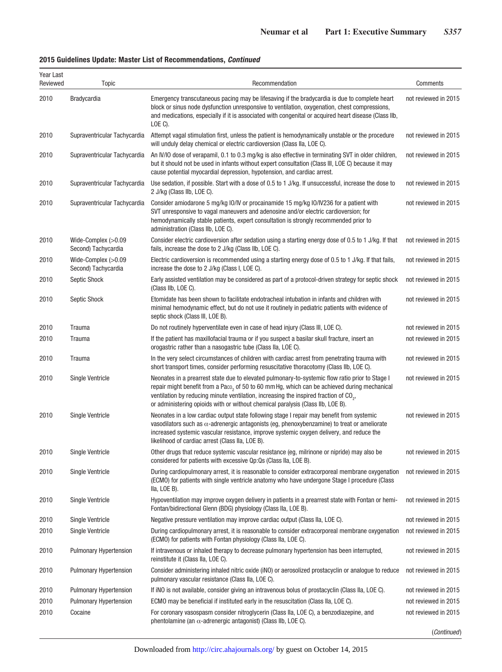| Year Last<br>Reviewed | <b>Topic</b>                                 | Recommendation                                                                                                                                                                                                                                                                                                                                                                                      | Comments             |
|-----------------------|----------------------------------------------|-----------------------------------------------------------------------------------------------------------------------------------------------------------------------------------------------------------------------------------------------------------------------------------------------------------------------------------------------------------------------------------------------------|----------------------|
| 2010                  | <b>Bradycardia</b>                           | Emergency transcutaneous pacing may be lifesaving if the bradycardia is due to complete heart<br>block or sinus node dysfunction unresponsive to ventilation, oxygenation, chest compressions,<br>and medications, especially if it is associated with congenital or acquired heart disease (Class IIb,<br>LOE C).                                                                                  | not reviewed in 2015 |
| 2010                  | Supraventricular Tachycardia                 | Attempt vagal stimulation first, unless the patient is hemodynamically unstable or the procedure<br>will unduly delay chemical or electric cardioversion (Class IIa, LOE C).                                                                                                                                                                                                                        | not reviewed in 2015 |
| 2010                  | Supraventricular Tachycardia                 | An IV/IO dose of verapamil, 0.1 to 0.3 mg/kg is also effective in terminating SVT in older children,<br>but it should not be used in infants without expert consultation (Class III, LOE C) because it may<br>cause potential myocardial depression, hypotension, and cardiac arrest.                                                                                                               | not reviewed in 2015 |
| 2010                  | Supraventricular Tachycardia                 | Use sedation, if possible. Start with a dose of 0.5 to 1 J/kg. If unsuccessful, increase the dose to<br>2 J/kg (Class IIb, LOE C).                                                                                                                                                                                                                                                                  | not reviewed in 2015 |
| 2010                  | Supraventricular Tachycardia                 | Consider amiodarone 5 mg/kg IO/IV or procainamide 15 mg/kg IO/IV236 for a patient with<br>SVT unresponsive to vagal maneuvers and adenosine and/or electric cardioversion; for<br>hemodynamically stable patients, expert consultation is strongly recommended prior to<br>administration (Class IIb, LOE C).                                                                                       | not reviewed in 2015 |
| 2010                  | Wide-Complex $(>0.09$<br>Second) Tachycardia | Consider electric cardioversion after sedation using a starting energy dose of 0.5 to 1 J/kg. If that<br>fails, increase the dose to 2 J/kg (Class IIb, LOE C).                                                                                                                                                                                                                                     | not reviewed in 2015 |
| 2010                  | Wide-Complex $(>0.09$<br>Second) Tachycardia | Electric cardioversion is recommended using a starting energy dose of 0.5 to 1 J/kg. If that fails,<br>increase the dose to 2 J/kg (Class I, LOE C).                                                                                                                                                                                                                                                | not reviewed in 2015 |
| 2010                  | Septic Shock                                 | Early assisted ventilation may be considered as part of a protocol-driven strategy for septic shock<br>(Class IIb, LOE C).                                                                                                                                                                                                                                                                          | not reviewed in 2015 |
| 2010                  | Septic Shock                                 | Etomidate has been shown to facilitate endotracheal intubation in infants and children with<br>minimal hemodynamic effect, but do not use it routinely in pediatric patients with evidence of<br>septic shock (Class III, LOE B).                                                                                                                                                                   | not reviewed in 2015 |
| 2010                  | Trauma                                       | Do not routinely hyperventilate even in case of head injury (Class III, LOE C).                                                                                                                                                                                                                                                                                                                     | not reviewed in 2015 |
| 2010                  | Trauma                                       | If the patient has maxillofacial trauma or if you suspect a basilar skull fracture, insert an<br>orogastric rather than a nasogastric tube (Class IIa, LOE C).                                                                                                                                                                                                                                      | not reviewed in 2015 |
| 2010                  | Trauma                                       | In the very select circumstances of children with cardiac arrest from penetrating trauma with<br>short transport times, consider performing resuscitative thoracotomy (Class IIb, LOE C).                                                                                                                                                                                                           | not reviewed in 2015 |
| 2010                  | <b>Single Ventricle</b>                      | Neonates in a prearrest state due to elevated pulmonary-to-systemic flow ratio prior to Stage I<br>repair might benefit from a Paco <sub>2</sub> of 50 to 60 mm Hg, which can be achieved during mechanical<br>ventilation by reducing minute ventilation, increasing the inspired fraction of CO <sub>2</sub> ,<br>or administering opioids with or without chemical paralysis (Class IIb, LOE B). | not reviewed in 2015 |
| 2010                  | Single Ventricle                             | Neonates in a low cardiac output state following stage I repair may benefit from systemic<br>vasodilators such as $\alpha$ -adrenergic antagonists (eq. phenoxybenzamine) to treat or ameliorate<br>increased systemic vascular resistance, improve systemic oxygen delivery, and reduce the<br>likelihood of cardiac arrest (Class IIa, LOE B).                                                    | not reviewed in 2015 |
| 2010                  | <b>Single Ventricle</b>                      | Other drugs that reduce systemic vascular resistance (eg, milrinone or nipride) may also be<br>considered for patients with excessive Qp:Qs (Class IIa, LOE B).                                                                                                                                                                                                                                     | not reviewed in 2015 |
| 2010                  | Single Ventricle                             | During cardiopulmonary arrest, it is reasonable to consider extracorporeal membrane oxygenation<br>(ECMO) for patients with single ventricle anatomy who have undergone Stage I procedure (Class<br>Ila, LOE B).                                                                                                                                                                                    | not reviewed in 2015 |
| 2010                  | Single Ventricle                             | Hypoventilation may improve oxygen delivery in patients in a prearrest state with Fontan or hemi-<br>Fontan/bidirectional Glenn (BDG) physiology (Class IIa, LOE B).                                                                                                                                                                                                                                | not reviewed in 2015 |
| 2010                  | <b>Single Ventricle</b>                      | Negative pressure ventilation may improve cardiac output (Class IIa, LOE C).                                                                                                                                                                                                                                                                                                                        | not reviewed in 2015 |
| 2010                  | Single Ventricle                             | During cardiopulmonary arrest, it is reasonable to consider extracorporeal membrane oxygenation<br>(ECMO) for patients with Fontan physiology (Class IIa, LOE C).                                                                                                                                                                                                                                   | not reviewed in 2015 |
| 2010                  | Pulmonary Hypertension                       | If intravenous or inhaled therapy to decrease pulmonary hypertension has been interrupted,<br>reinstitute it (Class IIa, LOE C).                                                                                                                                                                                                                                                                    | not reviewed in 2015 |
| 2010                  | <b>Pulmonary Hypertension</b>                | Consider administering inhaled nitric oxide (iNO) or aerosolized prostacyclin or analogue to reduce<br>pulmonary vascular resistance (Class IIa, LOE C).                                                                                                                                                                                                                                            | not reviewed in 2015 |
| 2010                  | <b>Pulmonary Hypertension</b>                | If iNO is not available, consider giving an intravenous bolus of prostacyclin (Class IIa, LOE C).                                                                                                                                                                                                                                                                                                   | not reviewed in 2015 |
| 2010                  | <b>Pulmonary Hypertension</b>                | ECMO may be beneficial if instituted early in the resuscitation (Class IIa, LOE C).                                                                                                                                                                                                                                                                                                                 | not reviewed in 2015 |
| 2010                  | Cocaine                                      | For coronary vasospasm consider nitroglycerin (Class IIa, LOE C), a benzodiazepine, and<br>phentolamine (an $\alpha$ -adrenergic antagonist) (Class IIb, LOE C).                                                                                                                                                                                                                                    | not reviewed in 2015 |
|                       |                                              |                                                                                                                                                                                                                                                                                                                                                                                                     | (Continued)          |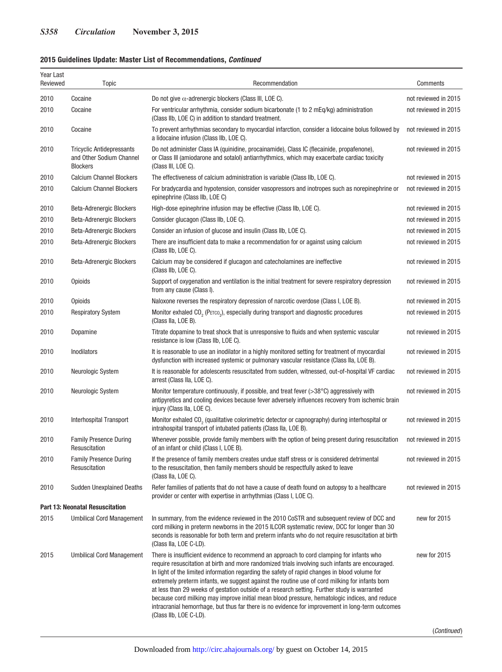| Year Last<br>Reviewed | Topic                                                                           | Recommendation                                                                                                                                                                                                                                                                                                                                                                                                                                                                                                                                                                                                                                                                                                                 | Comments             |
|-----------------------|---------------------------------------------------------------------------------|--------------------------------------------------------------------------------------------------------------------------------------------------------------------------------------------------------------------------------------------------------------------------------------------------------------------------------------------------------------------------------------------------------------------------------------------------------------------------------------------------------------------------------------------------------------------------------------------------------------------------------------------------------------------------------------------------------------------------------|----------------------|
| 2010                  | Cocaine                                                                         | Do not give $\alpha$ -adrenergic blockers (Class III, LOE C).                                                                                                                                                                                                                                                                                                                                                                                                                                                                                                                                                                                                                                                                  | not reviewed in 2015 |
| 2010                  | Cocaine                                                                         | For ventricular arrhythmia, consider sodium bicarbonate (1 to 2 mEq/kg) administration<br>(Class IIb, LOE C) in addition to standard treatment.                                                                                                                                                                                                                                                                                                                                                                                                                                                                                                                                                                                | not reviewed in 2015 |
| 2010                  | Cocaine                                                                         | To prevent arrhythmias secondary to myocardial infarction, consider a lidocaine bolus followed by<br>a lidocaine infusion (Class IIb, LOE C).                                                                                                                                                                                                                                                                                                                                                                                                                                                                                                                                                                                  | not reviewed in 2015 |
| 2010                  | <b>Tricyclic Antidepressants</b><br>and Other Sodium Channel<br><b>Blockers</b> | Do not administer Class IA (quinidine, procainamide), Class IC (flecainide, propafenone),<br>or Class III (amiodarone and sotalol) antiarrhythmics, which may exacerbate cardiac toxicity<br>(Class III, LOE C).                                                                                                                                                                                                                                                                                                                                                                                                                                                                                                               | not reviewed in 2015 |
| 2010                  | <b>Calcium Channel Blockers</b>                                                 | The effectiveness of calcium administration is variable (Class IIb, LOE C).                                                                                                                                                                                                                                                                                                                                                                                                                                                                                                                                                                                                                                                    | not reviewed in 2015 |
| 2010                  | <b>Calcium Channel Blockers</b>                                                 | For bradycardia and hypotension, consider vasopressors and inotropes such as norepinephrine or<br>epinephrine (Class IIb, LOE C)                                                                                                                                                                                                                                                                                                                                                                                                                                                                                                                                                                                               | not reviewed in 2015 |
| 2010                  | Beta-Adrenergic Blockers                                                        | High-dose epinephrine infusion may be effective (Class IIb, LOE C).                                                                                                                                                                                                                                                                                                                                                                                                                                                                                                                                                                                                                                                            | not reviewed in 2015 |
| 2010                  | <b>Beta-Adrenergic Blockers</b>                                                 | Consider glucagon (Class IIb, LOE C).                                                                                                                                                                                                                                                                                                                                                                                                                                                                                                                                                                                                                                                                                          | not reviewed in 2015 |
| 2010                  | <b>Beta-Adrenergic Blockers</b>                                                 | Consider an infusion of glucose and insulin (Class IIb, LOE C).                                                                                                                                                                                                                                                                                                                                                                                                                                                                                                                                                                                                                                                                | not reviewed in 2015 |
| 2010                  | <b>Beta-Adrenergic Blockers</b>                                                 | There are insufficient data to make a recommendation for or against using calcium<br>(Class IIb, LOE C).                                                                                                                                                                                                                                                                                                                                                                                                                                                                                                                                                                                                                       | not reviewed in 2015 |
| 2010                  | <b>Beta-Adrenergic Blockers</b>                                                 | Calcium may be considered if glucagon and catecholamines are ineffective<br>(Class IIb, LOE C).                                                                                                                                                                                                                                                                                                                                                                                                                                                                                                                                                                                                                                | not reviewed in 2015 |
| 2010                  | Opioids                                                                         | Support of oxygenation and ventilation is the initial treatment for severe respiratory depression<br>from any cause (Class I).                                                                                                                                                                                                                                                                                                                                                                                                                                                                                                                                                                                                 | not reviewed in 2015 |
| 2010                  | Opioids                                                                         | Naloxone reverses the respiratory depression of narcotic overdose (Class I, LOE B).                                                                                                                                                                                                                                                                                                                                                                                                                                                                                                                                                                                                                                            | not reviewed in 2015 |
| 2010                  | <b>Respiratory System</b>                                                       | Monitor exhaled CO <sub>2</sub> (PETCO <sub>2</sub> ), especially during transport and diagnostic procedures<br>(Class IIa, LOE B).                                                                                                                                                                                                                                                                                                                                                                                                                                                                                                                                                                                            | not reviewed in 2015 |
| 2010                  | Dopamine                                                                        | Titrate dopamine to treat shock that is unresponsive to fluids and when systemic vascular<br>resistance is low (Class IIb, LOE C).                                                                                                                                                                                                                                                                                                                                                                                                                                                                                                                                                                                             | not reviewed in 2015 |
| 2010                  | Inodilators                                                                     | It is reasonable to use an inodilator in a highly monitored setting for treatment of myocardial<br>dysfunction with increased systemic or pulmonary vascular resistance (Class IIa, LOE B).                                                                                                                                                                                                                                                                                                                                                                                                                                                                                                                                    | not reviewed in 2015 |
| 2010                  | Neurologic System                                                               | It is reasonable for adolescents resuscitated from sudden, witnessed, out-of-hospital VF cardiac<br>arrest (Class IIa, LOE C).                                                                                                                                                                                                                                                                                                                                                                                                                                                                                                                                                                                                 | not reviewed in 2015 |
| 2010                  | Neurologic System                                                               | Monitor temperature continuously, if possible, and treat fever (>38°C) aggressively with<br>antipyretics and cooling devices because fever adversely influences recovery from ischemic brain<br>injury (Class IIa, LOE C).                                                                                                                                                                                                                                                                                                                                                                                                                                                                                                     | not reviewed in 2015 |
| 2010                  | Interhospital Transport                                                         | Monitor exhaled CO <sub>2</sub> (qualitative colorimetric detector or capnography) during interhospital or<br>intrahospital transport of intubated patients (Class IIa, LOE B).                                                                                                                                                                                                                                                                                                                                                                                                                                                                                                                                                | not reviewed in 2015 |
| 2010                  | <b>Family Presence During</b><br>Resuscitation                                  | Whenever possible, provide family members with the option of being present during resuscitation<br>of an infant or child (Class I, LOE B).                                                                                                                                                                                                                                                                                                                                                                                                                                                                                                                                                                                     | not reviewed in 2015 |
| 2010                  | <b>Family Presence During</b><br>Resuscitation                                  | If the presence of family members creates undue staff stress or is considered detrimental<br>to the resuscitation, then family members should be respectfully asked to leave<br>(Class IIa, LOE C).                                                                                                                                                                                                                                                                                                                                                                                                                                                                                                                            | not reviewed in 2015 |
| 2010                  | <b>Sudden Unexplained Deaths</b>                                                | Refer families of patients that do not have a cause of death found on autopsy to a healthcare<br>provider or center with expertise in arrhythmias (Class I, LOE C).                                                                                                                                                                                                                                                                                                                                                                                                                                                                                                                                                            | not reviewed in 2015 |
|                       | <b>Part 13: Neonatal Resuscitation</b>                                          |                                                                                                                                                                                                                                                                                                                                                                                                                                                                                                                                                                                                                                                                                                                                |                      |
| 2015                  | <b>Umbilical Cord Management</b>                                                | In summary, from the evidence reviewed in the 2010 CoSTR and subsequent review of DCC and<br>cord milking in preterm newborns in the 2015 ILCOR systematic review, DCC for longer than 30<br>seconds is reasonable for both term and preterm infants who do not require resuscitation at birth<br>(Class IIa, LOE C-LD).                                                                                                                                                                                                                                                                                                                                                                                                       | new for 2015         |
| 2015                  | <b>Umbilical Cord Management</b>                                                | There is insufficient evidence to recommend an approach to cord clamping for infants who<br>require resuscitation at birth and more randomized trials involving such infants are encouraged.<br>In light of the limited information regarding the safety of rapid changes in blood volume for<br>extremely preterm infants, we suggest against the routine use of cord milking for infants born<br>at less than 29 weeks of gestation outside of a research setting. Further study is warranted<br>because cord milking may improve initial mean blood pressure, hematologic indices, and reduce<br>intracranial hemorrhage, but thus far there is no evidence for improvement in long-term outcomes<br>(Class IIb, LOE C-LD). | new for 2015         |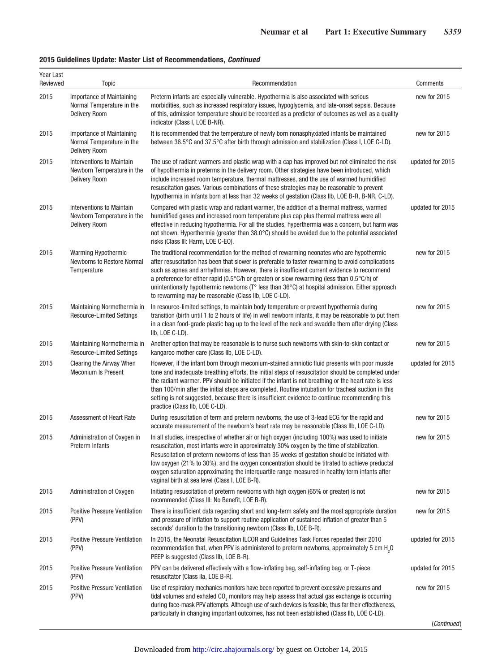|  |  | 2015 Guidelines Update: Master List of Recommendations, <i>Continued</i> |  |
|--|--|--------------------------------------------------------------------------|--|
|--|--|--------------------------------------------------------------------------|--|

| Year Last<br>Reviewed | <b>Topic</b>                                                                           | Recommendation                                                                                                                                                                                                                                                                                                                                                                                                                                                                                                                                                              | Comments         |
|-----------------------|----------------------------------------------------------------------------------------|-----------------------------------------------------------------------------------------------------------------------------------------------------------------------------------------------------------------------------------------------------------------------------------------------------------------------------------------------------------------------------------------------------------------------------------------------------------------------------------------------------------------------------------------------------------------------------|------------------|
| 2015                  | <b>Importance of Maintaining</b><br>Normal Temperature in the<br>Delivery Room         | Preterm infants are especially vulnerable. Hypothermia is also associated with serious<br>morbidities, such as increased respiratory issues, hypoglycemia, and late-onset sepsis. Because<br>of this, admission temperature should be recorded as a predictor of outcomes as well as a quality<br>indicator (Class I, LOE B-NR).                                                                                                                                                                                                                                            | new for 2015     |
| 2015                  | Importance of Maintaining<br>Normal Temperature in the<br><b>Delivery Room</b>         | It is recommended that the temperature of newly born nonasphyxiated infants be maintained<br>between 36.5°C and 37.5°C after birth through admission and stabilization (Class I, LOE C-LD).                                                                                                                                                                                                                                                                                                                                                                                 | new for 2015     |
| 2015                  | <b>Interventions to Maintain</b><br>Newborn Temperature in the<br><b>Delivery Room</b> | The use of radiant warmers and plastic wrap with a cap has improved but not eliminated the risk<br>of hypothermia in preterms in the delivery room. Other strategies have been introduced, which<br>include increased room temperature, thermal mattresses, and the use of warmed humidified<br>resuscitation gases. Various combinations of these strategies may be reasonable to prevent<br>hypothermia in infants born at less than 32 weeks of gestation (Class IIb, LOE B-R, B-NR, C-LD).                                                                              | updated for 2015 |
| 2015                  | <b>Interventions to Maintain</b><br>Newborn Temperature in the<br><b>Delivery Room</b> | Compared with plastic wrap and radiant warmer, the addition of a thermal mattress, warmed<br>humidified gases and increased room temperature plus cap plus thermal mattress were all<br>effective in reducing hypothermia. For all the studies, hyperthermia was a concern, but harm was<br>not shown. Hyperthermia (greater than $38.0^{\circ}$ C) should be avoided due to the potential associated<br>risks (Class III: Harm, LOE C-EO).                                                                                                                                 | updated for 2015 |
| 2015                  | <b>Warming Hypothermic</b><br><b>Newborns to Restore Normal</b><br>Temperature         | The traditional recommendation for the method of rewarming neonates who are hypothermic<br>after resuscitation has been that slower is preferable to faster rewarming to avoid complications<br>such as apnea and arrhythmias. However, there is insufficient current evidence to recommend<br>a preference for either rapid (0.5°C/h or greater) or slow rewarming (less than 0.5°C/h) of<br>unintentionally hypothermic newborns ( $T^{\circ}$ less than 36 $^{\circ}$ C) at hospital admission. Either approach<br>to rewarming may be reasonable (Class IIb, LOE C-LD). | new for 2015     |
| 2015                  | Maintaining Normothermia in<br><b>Resource-Limited Settings</b>                        | In resource-limited settings, to maintain body temperature or prevent hypothermia during<br>transition (birth until 1 to 2 hours of life) in well newborn infants, it may be reasonable to put them<br>in a clean food-grade plastic bag up to the level of the neck and swaddle them after drying (Class<br>IIb, LOE C-LD).                                                                                                                                                                                                                                                | new for 2015     |
| 2015                  | Maintaining Normothermia in<br><b>Resource-Limited Settings</b>                        | Another option that may be reasonable is to nurse such newborns with skin-to-skin contact or<br>kangaroo mother care (Class IIb, LOE C-LD).                                                                                                                                                                                                                                                                                                                                                                                                                                 | new for 2015     |
| 2015                  | Clearing the Airway When<br><b>Meconium Is Present</b>                                 | However, if the infant born through meconium-stained amniotic fluid presents with poor muscle<br>tone and inadequate breathing efforts, the initial steps of resuscitation should be completed under<br>the radiant warmer. PPV should be initiated if the infant is not breathing or the heart rate is less<br>than 100/min after the initial steps are completed. Routine intubation for tracheal suction in this<br>setting is not suggested, because there is insufficient evidence to continue recommending this<br>practice (Class IIb, LOE C-LD).                    | updated for 2015 |
| 2015                  | <b>Assessment of Heart Rate</b>                                                        | During resuscitation of term and preterm newborns, the use of 3-lead ECG for the rapid and<br>accurate measurement of the newborn's heart rate may be reasonable (Class IIb, LOE C-LD).                                                                                                                                                                                                                                                                                                                                                                                     | new for 2015     |
| 2015                  | Administration of Oxygen in<br>Preterm Infants                                         | In all studies, irrespective of whether air or high oxygen (including 100%) was used to initiate<br>resuscitation, most infants were in approximately 30% oxygen by the time of stabilization.<br>Resuscitation of preterm newborns of less than 35 weeks of gestation should be initiated with<br>low oxygen (21% to 30%), and the oxygen concentration should be titrated to achieve preductal<br>oxygen saturation approximating the interquartile range measured in healthy term infants after<br>vaginal birth at sea level (Class I, LOE B-R).                        | new for 2015     |
| 2015                  | Administration of Oxygen                                                               | Initiating resuscitation of preterm newborns with high oxygen (65% or greater) is not<br>recommended (Class III: No Benefit, LOE B-R).                                                                                                                                                                                                                                                                                                                                                                                                                                      | new for 2015     |
| 2015                  | <b>Positive Pressure Ventilation</b><br>(PPV)                                          | There is insufficient data regarding short and long-term safety and the most appropriate duration<br>and pressure of inflation to support routine application of sustained inflation of greater than 5<br>seconds' duration to the transitioning newborn (Class IIb, LOE B-R).                                                                                                                                                                                                                                                                                              | new for 2015     |
| 2015                  | <b>Positive Pressure Ventilation</b><br>(PPV)                                          | In 2015, the Neonatal Resuscitation ILCOR and Guidelines Task Forces repeated their 2010<br>recommendation that, when PPV is administered to preterm newborns, approximately 5 cm H <sub>2</sub> O<br>PEEP is suggested (Class IIb, LOE B-R).                                                                                                                                                                                                                                                                                                                               | updated for 2015 |
| 2015                  | <b>Positive Pressure Ventilation</b><br>(PPV)                                          | PPV can be delivered effectively with a flow-inflating bag, self-inflating bag, or T-piece<br>resuscitator (Class IIa, LOE B-R).                                                                                                                                                                                                                                                                                                                                                                                                                                            | updated for 2015 |
| 2015                  | <b>Positive Pressure Ventilation</b><br>(PPV)                                          | Use of respiratory mechanics monitors have been reported to prevent excessive pressures and<br>tidal volumes and exhaled $CO2$ monitors may help assess that actual gas exchange is occurring<br>during face-mask PPV attempts. Although use of such devices is feasible, thus far their effectiveness,<br>particularly in changing important outcomes, has not been established (Class IIb, LOE C-LD).                                                                                                                                                                     | new for 2015     |
|                       |                                                                                        |                                                                                                                                                                                                                                                                                                                                                                                                                                                                                                                                                                             | (Continued)      |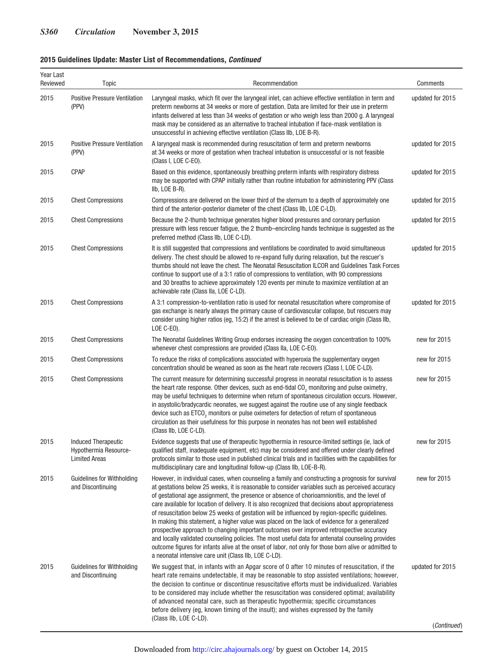| Year Last<br>Reviewed | <b>Topic</b>                                                  | Recommendation                                                                                                                                                                                                                                                                                                                                                                                                                                                                                                                                                                                                                                                                                                                                                                                                                                                                                                                                                                   | Comments         |
|-----------------------|---------------------------------------------------------------|----------------------------------------------------------------------------------------------------------------------------------------------------------------------------------------------------------------------------------------------------------------------------------------------------------------------------------------------------------------------------------------------------------------------------------------------------------------------------------------------------------------------------------------------------------------------------------------------------------------------------------------------------------------------------------------------------------------------------------------------------------------------------------------------------------------------------------------------------------------------------------------------------------------------------------------------------------------------------------|------------------|
| 2015                  | <b>Positive Pressure Ventilation</b><br>(PPV)                 | Laryngeal masks, which fit over the laryngeal inlet, can achieve effective ventilation in term and<br>preterm newborns at 34 weeks or more of gestation. Data are limited for their use in preterm<br>infants delivered at less than 34 weeks of gestation or who weigh less than 2000 g. A laryngeal<br>mask may be considered as an alternative to tracheal intubation if face-mask ventilation is<br>unsuccessful in achieving effective ventilation (Class IIb, LOE B-R).                                                                                                                                                                                                                                                                                                                                                                                                                                                                                                    | updated for 2015 |
| 2015                  | <b>Positive Pressure Ventilation</b><br>(PPV)                 | A laryngeal mask is recommended during resuscitation of term and preterm newborns<br>at 34 weeks or more of gestation when tracheal intubation is unsuccessful or is not feasible<br>(Class I, LOE C-EO).                                                                                                                                                                                                                                                                                                                                                                                                                                                                                                                                                                                                                                                                                                                                                                        | updated for 2015 |
| 2015                  | <b>CPAP</b>                                                   | Based on this evidence, spontaneously breathing preterm infants with respiratory distress<br>may be supported with CPAP initially rather than routine intubation for administering PPV (Class<br>IIb, LOE B-R).                                                                                                                                                                                                                                                                                                                                                                                                                                                                                                                                                                                                                                                                                                                                                                  | updated for 2015 |
| 2015                  | <b>Chest Compressions</b>                                     | Compressions are delivered on the lower third of the sternum to a depth of approximately one<br>third of the anterior-posterior diameter of the chest (Class IIb, LOE C-LD).                                                                                                                                                                                                                                                                                                                                                                                                                                                                                                                                                                                                                                                                                                                                                                                                     | updated for 2015 |
| 2015                  | <b>Chest Compressions</b>                                     | Because the 2-thumb technique generates higher blood pressures and coronary perfusion<br>pressure with less rescuer fatigue, the 2 thumb–encircling hands technique is suggested as the<br>preferred method (Class IIb, LOE C-LD).                                                                                                                                                                                                                                                                                                                                                                                                                                                                                                                                                                                                                                                                                                                                               | updated for 2015 |
| 2015                  | <b>Chest Compressions</b>                                     | It is still suggested that compressions and ventilations be coordinated to avoid simultaneous<br>delivery. The chest should be allowed to re-expand fully during relaxation, but the rescuer's<br>thumbs should not leave the chest. The Neonatal Resuscitation ILCOR and Guidelines Task Forces<br>continue to support use of a 3:1 ratio of compressions to ventilation, with 90 compressions<br>and 30 breaths to achieve approximately 120 events per minute to maximize ventilation at an<br>achievable rate (Class IIa, LOE C-LD).                                                                                                                                                                                                                                                                                                                                                                                                                                         | updated for 2015 |
| 2015                  | <b>Chest Compressions</b>                                     | A 3:1 compression-to-ventilation ratio is used for neonatal resuscitation where compromise of<br>gas exchange is nearly always the primary cause of cardiovascular collapse, but rescuers may<br>consider using higher ratios (eg. 15:2) if the arrest is believed to be of cardiac origin (Class IIb,<br>LOE C-EO).                                                                                                                                                                                                                                                                                                                                                                                                                                                                                                                                                                                                                                                             | updated for 2015 |
| 2015                  | <b>Chest Compressions</b>                                     | The Neonatal Guidelines Writing Group endorses increasing the oxygen concentration to 100%<br>whenever chest compressions are provided (Class IIa, LOE C-EO).                                                                                                                                                                                                                                                                                                                                                                                                                                                                                                                                                                                                                                                                                                                                                                                                                    | new for 2015     |
| 2015                  | <b>Chest Compressions</b>                                     | To reduce the risks of complications associated with hyperoxia the supplementary oxygen<br>concentration should be weaned as soon as the heart rate recovers (Class I, LOE C-LD).                                                                                                                                                                                                                                                                                                                                                                                                                                                                                                                                                                                                                                                                                                                                                                                                | new for 2015     |
| 2015                  | <b>Chest Compressions</b>                                     | The current measure for determining successful progress in neonatal resuscitation is to assess<br>the heart rate response. Other devices, such as end-tidal $CO2$ monitoring and pulse oximetry,<br>may be useful techniques to determine when return of spontaneous circulation occurs. However,<br>in asystolic/bradycardic neonates, we suggest against the routine use of any single feedback<br>device such as ETCO <sub>2</sub> monitors or pulse oximeters for detection of return of spontaneous<br>circulation as their usefulness for this purpose in neonates has not been well established<br>(Class IIb, LOE C-LD).                                                                                                                                                                                                                                                                                                                                                 | new for 2015     |
| 2015                  | Induced Therapeutic<br>Hypothermia Resource-<br>Limited Areas | Evidence suggests that use of therapeutic hypothermia in resource-limited settings (ie, lack of<br>qualified staff, inadequate equipment, etc) may be considered and offered under clearly defined<br>protocols similar to those used in published clinical trials and in facilities with the capabilities for<br>multidisciplinary care and longitudinal follow-up (Class IIb, LOE-B-R).                                                                                                                                                                                                                                                                                                                                                                                                                                                                                                                                                                                        | new for 2015     |
| 2015                  | Guidelines for Withholding<br>and Discontinuing               | However, in individual cases, when counseling a family and constructing a prognosis for survival<br>at gestations below 25 weeks, it is reasonable to consider variables such as perceived accuracy<br>of gestational age assignment, the presence or absence of chorioamnionitis, and the level of<br>care available for location of delivery. It is also recognized that decisions about appropriateness<br>of resuscitation below 25 weeks of gestation will be influenced by region-specific guidelines.<br>In making this statement, a higher value was placed on the lack of evidence for a generalized<br>prospective approach to changing important outcomes over improved retrospective accuracy<br>and locally validated counseling policies. The most useful data for antenatal counseling provides<br>outcome figures for infants alive at the onset of labor, not only for those born alive or admitted to<br>a neonatal intensive care unit (Class IIb, LOE C-LD). | new for 2015     |
| 2015                  | Guidelines for Withholding<br>and Discontinuing               | We suggest that, in infants with an Apgar score of 0 after 10 minutes of resuscitation, if the<br>heart rate remains undetectable, it may be reasonable to stop assisted ventilations; however,<br>the decision to continue or discontinue resuscitative efforts must be individualized. Variables<br>to be considered may include whether the resuscitation was considered optimal; availability<br>of advanced neonatal care, such as therapeutic hypothermia; specific circumstances<br>before delivery (eg, known timing of the insult); and wishes expressed by the family                                                                                                                                                                                                                                                                                                                                                                                                  | updated for 2015 |
|                       |                                                               | (Class IIb, LOE C-LD).                                                                                                                                                                                                                                                                                                                                                                                                                                                                                                                                                                                                                                                                                                                                                                                                                                                                                                                                                           | (Continued)      |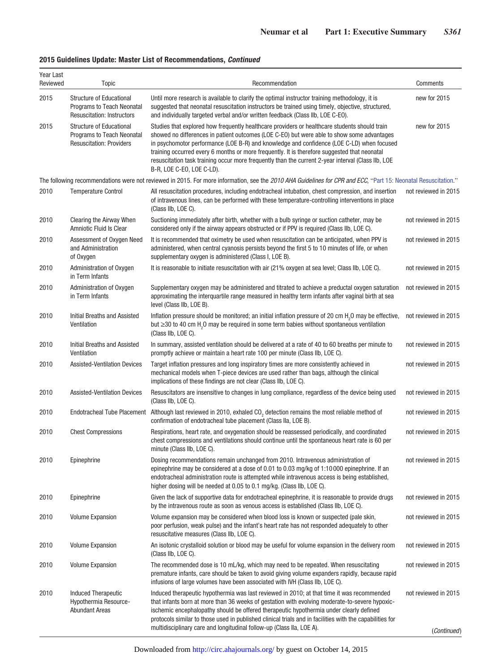| Year Last<br>Reviewed | <b>Topic</b>                                                                                              | Recommendation                                                                                                                                                                                                                                                                                                                                                                                                                                                                                                              | Comments             |
|-----------------------|-----------------------------------------------------------------------------------------------------------|-----------------------------------------------------------------------------------------------------------------------------------------------------------------------------------------------------------------------------------------------------------------------------------------------------------------------------------------------------------------------------------------------------------------------------------------------------------------------------------------------------------------------------|----------------------|
| 2015                  | <b>Structure of Educational</b><br><b>Programs to Teach Neonatal</b><br><b>Resuscitation: Instructors</b> | Until more research is available to clarify the optimal instructor training methodology, it is<br>suggested that neonatal resuscitation instructors be trained using timely, objective, structured,<br>and individually targeted verbal and/or written feedback (Class IIb, LOE C-EO).                                                                                                                                                                                                                                      | new for 2015         |
| 2015                  | <b>Structure of Educational</b><br>Programs to Teach Neonatal<br><b>Resuscitation: Providers</b>          | Studies that explored how frequently healthcare providers or healthcare students should train<br>showed no differences in patient outcomes (LOE C-EO) but were able to show some advantages<br>in psychomotor performance (LOE B-R) and knowledge and confidence (LOE C-LD) when focused<br>training occurred every 6 months or more frequently. It is therefore suggested that neonatal<br>resuscitation task training occur more frequently than the current 2-year interval (Class IIb, LOE<br>B-R, LOE C-EO, LOE C-LD). | new for 2015         |
|                       |                                                                                                           | The following recommendations were not reviewed in 2015. For more information, see the 2010 AHA Guidelines for CPR and ECC, "Part 15: Neonatal Resuscitation."                                                                                                                                                                                                                                                                                                                                                              |                      |
| 2010                  | <b>Temperature Control</b>                                                                                | All resuscitation procedures, including endotracheal intubation, chest compression, and insertion<br>of intravenous lines, can be performed with these temperature-controlling interventions in place<br>(Class IIb, LOE C).                                                                                                                                                                                                                                                                                                | not reviewed in 2015 |
| 2010                  | Clearing the Airway When<br>Amniotic Fluid Is Clear                                                       | Suctioning immediately after birth, whether with a bulb syringe or suction catheter, may be<br>considered only if the airway appears obstructed or if PPV is required (Class IIb, LOE C).                                                                                                                                                                                                                                                                                                                                   | not reviewed in 2015 |
| 2010                  | Assessment of Oxygen Need<br>and Administration<br>of Oxygen                                              | It is recommended that oximetry be used when resuscitation can be anticipated, when PPV is<br>administered, when central cyanosis persists beyond the first 5 to 10 minutes of life, or when<br>supplementary oxygen is administered (Class I, LOE B).                                                                                                                                                                                                                                                                      | not reviewed in 2015 |
| 2010                  | Administration of Oxygen<br>in Term Infants                                                               | It is reasonable to initiate resuscitation with air (21% oxygen at sea level; Class IIb, LOE C).                                                                                                                                                                                                                                                                                                                                                                                                                            | not reviewed in 2015 |
| 2010                  | Administration of Oxygen<br>in Term Infants                                                               | Supplementary oxygen may be administered and titrated to achieve a preductal oxygen saturation<br>approximating the interquartile range measured in healthy term infants after vaginal birth at sea<br>level (Class IIb, LOE B).                                                                                                                                                                                                                                                                                            | not reviewed in 2015 |
| 2010                  | Initial Breaths and Assisted<br>Ventilation                                                               | Inflation pressure should be monitored; an initial inflation pressure of 20 cm H <sub>2</sub> O may be effective,<br>but $\geq$ 30 to 40 cm H <sub>2</sub> 0 may be required in some term babies without spontaneous ventilation<br>(Class IIb, LOE C).                                                                                                                                                                                                                                                                     | not reviewed in 2015 |
| 2010                  | Initial Breaths and Assisted<br>Ventilation                                                               | In summary, assisted ventilation should be delivered at a rate of 40 to 60 breaths per minute to<br>promptly achieve or maintain a heart rate 100 per minute (Class IIb, LOE C).                                                                                                                                                                                                                                                                                                                                            | not reviewed in 2015 |
| 2010                  | <b>Assisted-Ventilation Devices</b>                                                                       | Target inflation pressures and long inspiratory times are more consistently achieved in<br>mechanical models when T-piece devices are used rather than bags, although the clinical<br>implications of these findings are not clear (Class IIb, LOE C).                                                                                                                                                                                                                                                                      | not reviewed in 2015 |
| 2010                  | <b>Assisted-Ventilation Devices</b>                                                                       | Resuscitators are insensitive to changes in lung compliance, regardless of the device being used<br>(Class IIb, LOE C).                                                                                                                                                                                                                                                                                                                                                                                                     | not reviewed in 2015 |
| 2010                  | <b>Endotracheal Tube Placement</b>                                                                        | Although last reviewed in 2010, exhaled CO <sub>2</sub> detection remains the most reliable method of<br>confirmation of endotracheal tube placement (Class IIa, LOE B).                                                                                                                                                                                                                                                                                                                                                    | not reviewed in 2015 |
| 2010                  | <b>Chest Compressions</b>                                                                                 | Respirations, heart rate, and oxygenation should be reassessed periodically, and coordinated<br>chest compressions and ventilations should continue until the spontaneous heart rate is 60 per<br>minute (Class IIb, LOE C).                                                                                                                                                                                                                                                                                                | not reviewed in 2015 |
| 2010                  | Epinephrine                                                                                               | Dosing recommendations remain unchanged from 2010. Intravenous administration of<br>epinephrine may be considered at a dose of 0.01 to 0.03 mg/kg of 1:10 000 epinephrine. If an<br>endotracheal administration route is attempted while intravenous access is being established,<br>higher dosing will be needed at 0.05 to 0.1 mg/kg. (Class IIb, LOE C).                                                                                                                                                                 | not reviewed in 2015 |
| 2010                  | Epinephrine                                                                                               | Given the lack of supportive data for endotracheal epinephrine, it is reasonable to provide drugs<br>by the intravenous route as soon as venous access is established (Class IIb, LOE C).                                                                                                                                                                                                                                                                                                                                   | not reviewed in 2015 |
| 2010                  | <b>Volume Expansion</b>                                                                                   | Volume expansion may be considered when blood loss is known or suspected (pale skin,<br>poor perfusion, weak pulse) and the infant's heart rate has not responded adequately to other<br>resuscitative measures (Class IIb, LOE C).                                                                                                                                                                                                                                                                                         | not reviewed in 2015 |
| 2010                  | <b>Volume Expansion</b>                                                                                   | An isotonic crystalloid solution or blood may be useful for volume expansion in the delivery room<br>(Class IIb, LOE C).                                                                                                                                                                                                                                                                                                                                                                                                    | not reviewed in 2015 |
| 2010                  | <b>Volume Expansion</b>                                                                                   | The recommended dose is 10 mL/kg, which may need to be repeated. When resuscitating<br>premature infants, care should be taken to avoid giving volume expanders rapidly, because rapid<br>infusions of large volumes have been associated with IVH (Class IIb, LOE C).                                                                                                                                                                                                                                                      | not reviewed in 2015 |
| 2010                  | <b>Induced Therapeutic</b><br>Hypothermia Resource-<br><b>Abundant Areas</b>                              | Induced therapeutic hypothermia was last reviewed in 2010; at that time it was recommended<br>that infants born at more than 36 weeks of gestation with evolving moderate-to-severe hypoxic-<br>ischemic encephalopathy should be offered therapeutic hypothermia under clearly defined<br>protocols similar to those used in published clinical trials and in facilities with the capabilities for                                                                                                                         | not reviewed in 2015 |
|                       |                                                                                                           | multidisciplinary care and longitudinal follow-up (Class IIa, LOE A).                                                                                                                                                                                                                                                                                                                                                                                                                                                       | (Continued)          |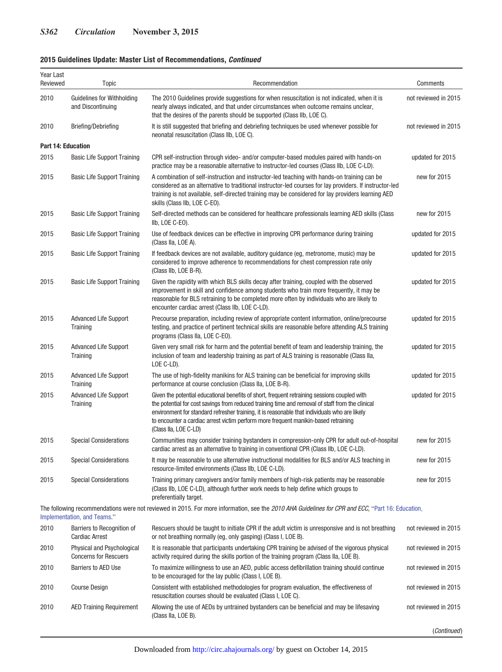| Year Last<br>Reviewed     | <b>Topic</b>                                               | Recommendation                                                                                                                                                                                                                                                                                                                                                                                                    | Comments             |
|---------------------------|------------------------------------------------------------|-------------------------------------------------------------------------------------------------------------------------------------------------------------------------------------------------------------------------------------------------------------------------------------------------------------------------------------------------------------------------------------------------------------------|----------------------|
| 2010                      | Guidelines for Withholding<br>and Discontinuing            | The 2010 Guidelines provide suggestions for when resuscitation is not indicated, when it is<br>nearly always indicated, and that under circumstances when outcome remains unclear,<br>that the desires of the parents should be supported (Class IIb, LOE C).                                                                                                                                                     | not reviewed in 2015 |
| 2010                      | Briefing/Debriefing                                        | It is still suggested that briefing and debriefing techniques be used whenever possible for<br>neonatal resuscitation (Class IIb, LOE C).                                                                                                                                                                                                                                                                         | not reviewed in 2015 |
| <b>Part 14: Education</b> |                                                            |                                                                                                                                                                                                                                                                                                                                                                                                                   |                      |
| 2015                      | <b>Basic Life Support Training</b>                         | CPR self-instruction through video- and/or computer-based modules paired with hands-on<br>practice may be a reasonable alternative to instructor-led courses (Class IIb, LOE C-LD).                                                                                                                                                                                                                               | updated for 2015     |
| 2015                      | <b>Basic Life Support Training</b>                         | A combination of self-instruction and instructor-led teaching with hands-on training can be<br>considered as an alternative to traditional instructor-led courses for lay providers. If instructor-led<br>training is not available, self-directed training may be considered for lay providers learning AED<br>skills (Class IIb, LOE C-EO).                                                                     | new for 2015         |
| 2015                      | <b>Basic Life Support Training</b>                         | Self-directed methods can be considered for healthcare professionals learning AED skills (Class<br>IIb, LOE C-EO).                                                                                                                                                                                                                                                                                                | new for 2015         |
| 2015                      | <b>Basic Life Support Training</b>                         | Use of feedback devices can be effective in improving CPR performance during training<br>(Class IIa, LOE A).                                                                                                                                                                                                                                                                                                      | updated for 2015     |
| 2015                      | <b>Basic Life Support Training</b>                         | If feedback devices are not available, auditory guidance (eg, metronome, music) may be<br>considered to improve adherence to recommendations for chest compression rate only<br>(Class IIb, LOE B-R).                                                                                                                                                                                                             | updated for 2015     |
| 2015                      | <b>Basic Life Support Training</b>                         | Given the rapidity with which BLS skills decay after training, coupled with the observed<br>improvement in skill and confidence among students who train more frequently, it may be<br>reasonable for BLS retraining to be completed more often by individuals who are likely to<br>encounter cardiac arrest (Class IIb, LOE C-LD).                                                                               | updated for 2015     |
| 2015                      | <b>Advanced Life Support</b><br>Training                   | Precourse preparation, including review of appropriate content information, online/precourse<br>testing, and practice of pertinent technical skills are reasonable before attending ALS training<br>programs (Class IIa, LOE C-EO).                                                                                                                                                                               | updated for 2015     |
| 2015                      | <b>Advanced Life Support</b><br>Training                   | Given very small risk for harm and the potential benefit of team and leadership training, the<br>inclusion of team and leadership training as part of ALS training is reasonable (Class IIa,<br>LOE C-LD).                                                                                                                                                                                                        | updated for 2015     |
| 2015                      | <b>Advanced Life Support</b><br>Training                   | The use of high-fidelity manikins for ALS training can be beneficial for improving skills<br>performance at course conclusion (Class IIa, LOE B-R).                                                                                                                                                                                                                                                               | updated for 2015     |
| 2015                      | <b>Advanced Life Support</b><br>Training                   | Given the potential educational benefits of short, frequent retraining sessions coupled with<br>the potential for cost savings from reduced training time and removal of staff from the clinical<br>environment for standard refresher training, it is reasonable that individuals who are likely<br>to encounter a cardiac arrest victim perform more frequent manikin-based retraining<br>(Class IIa, LOE C-LD) | updated for 2015     |
| 2015                      | <b>Special Considerations</b>                              | Communities may consider training bystanders in compression-only CPR for adult out-of-hospital<br>cardiac arrest as an alternative to training in conventional CPR (Class IIb, LOE C-LD).                                                                                                                                                                                                                         | new for 2015         |
| 2015                      | <b>Special Considerations</b>                              | It may be reasonable to use alternative instructional modalities for BLS and/or ALS teaching in<br>resource-limited environments (Class IIb, LOE C-LD).                                                                                                                                                                                                                                                           | new for 2015         |
| 2015                      | <b>Special Considerations</b>                              | Training primary caregivers and/or family members of high-risk patients may be reasonable<br>(Class IIb, LOE C-LD), although further work needs to help define which groups to<br>preferentially target.                                                                                                                                                                                                          | new for 2015         |
|                           | Implementation, and Teams."                                | The following recommendations were not reviewed in 2015. For more information, see the 2010 AHA Guidelines for CPR and ECC, "Part 16: Education,                                                                                                                                                                                                                                                                  |                      |
| 2010                      | Barriers to Recognition of<br><b>Cardiac Arrest</b>        | Rescuers should be taught to initiate CPR if the adult victim is unresponsive and is not breathing<br>or not breathing normally (eg, only gasping) (Class I, LOE B).                                                                                                                                                                                                                                              | not reviewed in 2015 |
| 2010                      | Physical and Psychological<br><b>Concerns for Rescuers</b> | It is reasonable that participants undertaking CPR training be advised of the vigorous physical<br>activity required during the skills portion of the training program (Class IIa, LOE B).                                                                                                                                                                                                                        | not reviewed in 2015 |
| 2010                      | Barriers to AED Use                                        | To maximize willingness to use an AED, public access defibrillation training should continue<br>to be encouraged for the lay public (Class I, LOE B).                                                                                                                                                                                                                                                             | not reviewed in 2015 |
| 2010                      | <b>Course Design</b>                                       | Consistent with established methodologies for program evaluation, the effectiveness of<br>resuscitation courses should be evaluated (Class I, LOE C).                                                                                                                                                                                                                                                             | not reviewed in 2015 |
| 2010                      | <b>AED Training Requirement</b>                            | Allowing the use of AEDs by untrained bystanders can be beneficial and may be lifesaving<br>(Class IIa, LOE B).                                                                                                                                                                                                                                                                                                   | not reviewed in 2015 |
|                           |                                                            |                                                                                                                                                                                                                                                                                                                                                                                                                   | (Continued)          |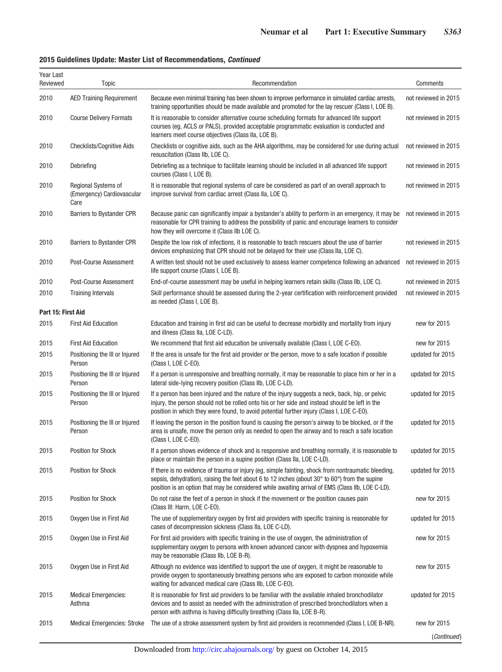|  |  |  | 2015 Guidelines Update: Master List of Recommendations, <i>Continued</i> |  |  |
|--|--|--|--------------------------------------------------------------------------|--|--|
|--|--|--|--------------------------------------------------------------------------|--|--|

| Year Last<br>Reviewed | Topic                                                            | Recommendation                                                                                                                                                                                                                                                                                                                  | Comments             |
|-----------------------|------------------------------------------------------------------|---------------------------------------------------------------------------------------------------------------------------------------------------------------------------------------------------------------------------------------------------------------------------------------------------------------------------------|----------------------|
| 2010                  | <b>AED Training Requirement</b>                                  | Because even minimal training has been shown to improve performance in simulated cardiac arrests,<br>training opportunities should be made available and promoted for the lay rescuer (Class I, LOE B).                                                                                                                         | not reviewed in 2015 |
| 2010                  | <b>Course Delivery Formats</b>                                   | It is reasonable to consider alternative course scheduling formats for advanced life support<br>courses (eg, ACLS or PALS), provided acceptable programmatic evaluation is conducted and<br>learners meet course objectives (Class IIa, LOE B).                                                                                 | not reviewed in 2015 |
| 2010                  | <b>Checklists/Cognitive Aids</b>                                 | Checklists or cognitive aids, such as the AHA algorithms, may be considered for use during actual<br>resuscitation (Class IIb, LOE C).                                                                                                                                                                                          | not reviewed in 2015 |
| 2010                  | Debriefing                                                       | Debriefing as a technique to facilitate learning should be included in all advanced life support<br>courses (Class I, LOE B).                                                                                                                                                                                                   | not reviewed in 2015 |
| 2010                  | <b>Regional Systems of</b><br>(Emergency) Cardiovascular<br>Care | It is reasonable that regional systems of care be considered as part of an overall approach to<br>improve survival from cardiac arrest (Class IIa, LOE C).                                                                                                                                                                      | not reviewed in 2015 |
| 2010                  | Barriers to Bystander CPR                                        | Because panic can significantly impair a bystander's ability to perform in an emergency, it may be<br>reasonable for CPR training to address the possibility of panic and encourage learners to consider<br>how they will overcome it (Class IIb LOE C).                                                                        | not reviewed in 2015 |
| 2010                  | <b>Barriers to Bystander CPR</b>                                 | Despite the low risk of infections, it is reasonable to teach rescuers about the use of barrier<br>devices emphasizing that CPR should not be delayed for their use (Class IIa, LOE C).                                                                                                                                         | not reviewed in 2015 |
| 2010                  | Post-Course Assessment                                           | A written test should not be used exclusively to assess learner competence following an advanced<br>life support course (Class I, LOE B).                                                                                                                                                                                       | not reviewed in 2015 |
| 2010                  | Post-Course Assessment                                           | End-of-course assessment may be useful in helping learners retain skills (Class IIb, LOE C).                                                                                                                                                                                                                                    | not reviewed in 2015 |
| 2010                  | <b>Training Intervals</b>                                        | Skill performance should be assessed during the 2-year certification with reinforcement provided<br>as needed (Class I, LOE B).                                                                                                                                                                                                 | not reviewed in 2015 |
| Part 15: First Aid    |                                                                  |                                                                                                                                                                                                                                                                                                                                 |                      |
| 2015                  | <b>First Aid Education</b>                                       | Education and training in first aid can be useful to decrease morbidity and mortality from injury<br>and illness (Class IIa, LOE C-LD).                                                                                                                                                                                         | new for 2015         |
| 2015                  | <b>First Aid Education</b>                                       | We recommend that first aid education be universally available (Class I, LOE C-EO).                                                                                                                                                                                                                                             | new for 2015         |
| 2015                  | Positioning the III or Injured<br>Person                         | If the area is unsafe for the first aid provider or the person, move to a safe location if possible<br>(Class I, LOE C-EO).                                                                                                                                                                                                     | updated for 2015     |
| 2015                  | Positioning the III or Injured<br>Person                         | If a person is unresponsive and breathing normally, it may be reasonable to place him or her in a<br>lateral side-lying recovery position (Class IIb, LOE C-LD).                                                                                                                                                                | updated for 2015     |
| 2015                  | Positioning the III or Injured<br>Person                         | If a person has been injured and the nature of the injury suggests a neck, back, hip, or pelvic<br>injury, the person should not be rolled onto his or her side and instead should be left in the<br>position in which they were found, to avoid potential further injury (Class I, LOE C-EO).                                  | updated for 2015     |
| 2015                  | Positioning the III or Injured<br>Person                         | If leaving the person in the position found is causing the person's airway to be blocked, or if the<br>area is unsafe, move the person only as needed to open the airway and to reach a safe location<br>(Class I, LOE C-EO).                                                                                                   | updated for 2015     |
| 2015                  | Position for Shock                                               | If a person shows evidence of shock and is responsive and breathing normally, it is reasonable to<br>place or maintain the person in a supine position (Class IIa, LOE C-LD).                                                                                                                                                   | updated for 2015     |
| 2015                  | Position for Shock                                               | If there is no evidence of trauma or injury (eg, simple fainting, shock from nontraumatic bleeding,<br>sepsis, dehydration), raising the feet about 6 to 12 inches (about 30 $^{\circ}$ to 60 $^{\circ}$ ) from the supine<br>position is an option that may be considered while awaiting arrival of EMS (Class IIb, LOE C-LD). | updated for 2015     |
| 2015                  | <b>Position for Shock</b>                                        | Do not raise the feet of a person in shock if the movement or the position causes pain<br>(Class III: Harm, LOE C-EO).                                                                                                                                                                                                          | new for 2015         |
| 2015                  | Oxygen Use in First Aid                                          | The use of supplementary oxygen by first aid providers with specific training is reasonable for<br>cases of decompression sickness (Class IIa, LOE C-LD).                                                                                                                                                                       | updated for 2015     |
| 2015                  | Oxygen Use in First Aid                                          | For first aid providers with specific training in the use of oxygen, the administration of<br>supplementary oxygen to persons with known advanced cancer with dyspnea and hypoxemia<br>may be reasonable (Class IIb, LOE B-R).                                                                                                  | new for 2015         |
| 2015                  | Oxygen Use in First Aid                                          | Although no evidence was identified to support the use of oxygen, it might be reasonable to<br>provide oxygen to spontaneously breathing persons who are exposed to carbon monoxide while<br>waiting for advanced medical care (Class IIb, LOE C-EO).                                                                           | new for 2015         |
| 2015                  | <b>Medical Emergencies:</b><br>Asthma                            | It is reasonable for first aid providers to be familiar with the available inhaled bronchodilator<br>devices and to assist as needed with the administration of prescribed bronchodilators when a<br>person with asthma is having difficulty breathing (Class IIa, LOE B-R).                                                    | updated for 2015     |
| 2015                  | <b>Medical Emergencies: Stroke</b>                               | The use of a stroke assessment system by first aid providers is recommended (Class I, LOE B-NR).                                                                                                                                                                                                                                | new for 2015         |
|                       |                                                                  |                                                                                                                                                                                                                                                                                                                                 | (Continued)          |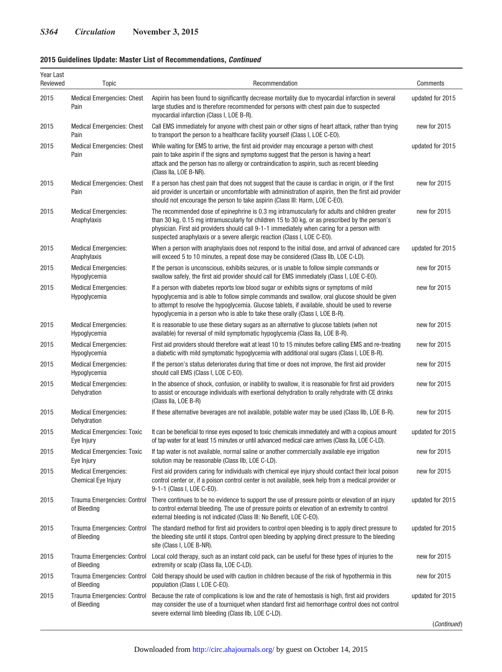| Year Last<br>Reviewed | Topic                                              | Recommendation                                                                                                                                                                                                                                                                                                                                                               | Comments         |
|-----------------------|----------------------------------------------------|------------------------------------------------------------------------------------------------------------------------------------------------------------------------------------------------------------------------------------------------------------------------------------------------------------------------------------------------------------------------------|------------------|
| 2015                  | <b>Medical Emergencies: Chest</b><br>Pain          | Aspirin has been found to significantly decrease mortality due to myocardial infarction in several<br>large studies and is therefore recommended for persons with chest pain due to suspected<br>myocardial infarction (Class I, LOE B-R).                                                                                                                                   | updated for 2015 |
| 2015                  | <b>Medical Emergencies: Chest</b><br>Pain          | Call EMS immediately for anyone with chest pain or other signs of heart attack, rather than trying<br>to transport the person to a healthcare facility yourself (Class I, LOE C-EO).                                                                                                                                                                                         | new for 2015     |
| 2015                  | <b>Medical Emergencies: Chest</b><br>Pain          | While waiting for EMS to arrive, the first aid provider may encourage a person with chest<br>pain to take aspirin if the signs and symptoms suggest that the person is having a heart<br>attack and the person has no allergy or contraindication to aspirin, such as recent bleeding<br>(Class IIa, LOE B-NR).                                                              | updated for 2015 |
| 2015                  | <b>Medical Emergencies: Chest</b><br>Pain          | If a person has chest pain that does not suggest that the cause is cardiac in origin, or if the first<br>aid provider is uncertain or uncomfortable with administration of aspirin, then the first aid provider<br>should not encourage the person to take aspirin (Class III: Harm, LOE C-EO).                                                                              | new for 2015     |
| 2015                  | <b>Medical Emergencies:</b><br>Anaphylaxis         | The recommended dose of epinephrine is 0.3 mg intramuscularly for adults and children greater<br>than 30 kg, 0.15 mg intramuscularly for children 15 to 30 kg, or as prescribed by the person's<br>physician. First aid providers should call 9-1-1 immediately when caring for a person with<br>suspected anaphylaxis or a severe allergic reaction (Class I, LOE C-EO).    | new for 2015     |
| 2015                  | <b>Medical Emergencies:</b><br>Anaphylaxis         | When a person with anaphylaxis does not respond to the initial dose, and arrival of advanced care<br>will exceed 5 to 10 minutes, a repeat dose may be considered (Class IIb, LOE C-LD).                                                                                                                                                                                     | updated for 2015 |
| 2015                  | <b>Medical Emergencies:</b><br>Hypoglycemia        | If the person is unconscious, exhibits seizures, or is unable to follow simple commands or<br>swallow safely, the first aid provider should call for EMS immediately (Class I, LOE C-EO).                                                                                                                                                                                    | new for 2015     |
| 2015                  | <b>Medical Emergencies:</b><br>Hypoglycemia        | If a person with diabetes reports low blood sugar or exhibits signs or symptoms of mild<br>hypoglycemia and is able to follow simple commands and swallow, oral glucose should be given<br>to attempt to resolve the hypoglycemia. Glucose tablets, if available, should be used to reverse<br>hypoglycemia in a person who is able to take these orally (Class I, LOE B-R). | new for 2015     |
| 2015                  | <b>Medical Emergencies:</b><br>Hypoglycemia        | It is reasonable to use these dietary sugars as an alternative to glucose tablets (when not<br>available) for reversal of mild symptomatic hypoglycemia (Class IIa, LOE B-R).                                                                                                                                                                                                | new for 2015     |
| 2015                  | <b>Medical Emergencies:</b><br>Hypoglycemia        | First aid providers should therefore wait at least 10 to 15 minutes before calling EMS and re-treating<br>a diabetic with mild symptomatic hypoglycemia with additional oral sugars (Class I, LOE B-R).                                                                                                                                                                      | new for 2015     |
| 2015                  | <b>Medical Emergencies:</b><br>Hypoglycemia        | If the person's status deteriorates during that time or does not improve, the first aid provider<br>should call EMS (Class I, LOE C-EO).                                                                                                                                                                                                                                     | new for 2015     |
| 2015                  | <b>Medical Emergencies:</b><br>Dehydration         | In the absence of shock, confusion, or inability to swallow, it is reasonable for first aid providers<br>to assist or encourage individuals with exertional dehydration to orally rehydrate with CE drinks<br>(Class IIa, LOE B-R)                                                                                                                                           | new for 2015     |
| 2015                  | <b>Medical Emergencies:</b><br>Dehydration         | If these alternative beverages are not available, potable water may be used (Class IIb, LOE B-R).                                                                                                                                                                                                                                                                            | new for 2015     |
| 2015                  | <b>Medical Emergencies: Toxic</b><br>Eye Injury    | It can be beneficial to rinse eyes exposed to toxic chemicals immediately and with a copious amount<br>of tap water for at least 15 minutes or until advanced medical care arrives (Class IIa, LOE C-LD).                                                                                                                                                                    | updated for 2015 |
| 2015                  | <b>Medical Emergencies: Toxic</b><br>Eye Injury    | If tap water is not available, normal saline or another commercially available eye irrigation<br>solution may be reasonable (Class IIb, LOE C-LD).                                                                                                                                                                                                                           | new for 2015     |
| 2015                  | <b>Medical Emergencies:</b><br>Chemical Eye Injury | First aid providers caring for individuals with chemical eye injury should contact their local poison<br>control center or, if a poison control center is not available, seek help from a medical provider or<br>9-1-1 (Class I, LOE C-EO).                                                                                                                                  | new for 2015     |
| 2015                  | Trauma Emergencies: Control<br>of Bleeding         | There continues to be no evidence to support the use of pressure points or elevation of an injury<br>to control external bleeding. The use of pressure points or elevation of an extremity to control<br>external bleeding is not indicated (Class III: No Benefit, LOE C-EO).                                                                                               | updated for 2015 |
| 2015                  | Trauma Emergencies: Control<br>of Bleeding         | The standard method for first aid providers to control open bleeding is to apply direct pressure to<br>the bleeding site until it stops. Control open bleeding by applying direct pressure to the bleeding<br>site (Class I, LOE B-NR).                                                                                                                                      | updated for 2015 |
| 2015                  | Trauma Emergencies: Control<br>of Bleeding         | Local cold therapy, such as an instant cold pack, can be useful for these types of injuries to the<br>extremity or scalp (Class IIa, LOE C-LD).                                                                                                                                                                                                                              | new for 2015     |
| 2015                  | Trauma Emergencies: Control<br>of Bleeding         | Cold therapy should be used with caution in children because of the risk of hypothermia in this<br>population (Class I, LOE C-EO).                                                                                                                                                                                                                                           | new for 2015     |
| 2015                  | Trauma Emergencies: Control<br>of Bleeding         | Because the rate of complications is low and the rate of hemostasis is high, first aid providers<br>may consider the use of a tourniquet when standard first aid hemorrhage control does not control<br>severe external limb bleeding (Class IIb, LOE C-LD).                                                                                                                 | updated for 2015 |
|                       |                                                    |                                                                                                                                                                                                                                                                                                                                                                              | (Continued)      |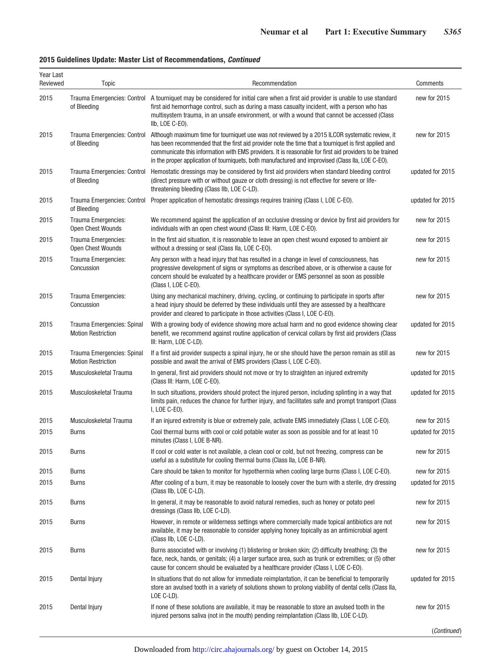|  |  | 2015 Guidelines Update: Master List of Recommendations, <i>Continued</i> |  |
|--|--|--------------------------------------------------------------------------|--|
|--|--|--------------------------------------------------------------------------|--|

| Year Last<br>Reviewed | Topic                                                   | Recommendation                                                                                                                                                                                                                                                                                                                                                                                                           | Comments         |
|-----------------------|---------------------------------------------------------|--------------------------------------------------------------------------------------------------------------------------------------------------------------------------------------------------------------------------------------------------------------------------------------------------------------------------------------------------------------------------------------------------------------------------|------------------|
| 2015                  | of Bleeding                                             | Trauma Emergencies: Control A tourniquet may be considered for initial care when a first aid provider is unable to use standard<br>first aid hemorrhage control, such as during a mass casualty incident, with a person who has<br>multisystem trauma, in an unsafe environment, or with a wound that cannot be accessed (Class<br>IIb, LOE C-EO).                                                                       | new for 2015     |
| 2015                  | Trauma Emergencies: Control<br>of Bleeding              | Although maximum time for tourniquet use was not reviewed by a 2015 ILCOR systematic review, it<br>has been recommended that the first aid provider note the time that a tourniquet is first applied and<br>communicate this information with EMS providers. It is reasonable for first aid providers to be trained<br>in the proper application of tourniquets, both manufactured and improvised (Class IIa, LOE C-EO). | new for 2015     |
| 2015                  | Trauma Emergencies: Control<br>of Bleeding              | Hemostatic dressings may be considered by first aid providers when standard bleeding control<br>(direct pressure with or without gauze or cloth dressing) is not effective for severe or life-<br>threatening bleeding (Class IIb, LOE C-LD).                                                                                                                                                                            | updated for 2015 |
| 2015                  | Trauma Emergencies: Control<br>of Bleeding              | Proper application of hemostatic dressings requires training (Class I, LOE C-EO).                                                                                                                                                                                                                                                                                                                                        | updated for 2015 |
| 2015                  | Trauma Emergencies:<br>Open Chest Wounds                | We recommend against the application of an occlusive dressing or device by first aid providers for<br>individuals with an open chest wound (Class III: Harm, LOE C-EO).                                                                                                                                                                                                                                                  | new for 2015     |
| 2015                  | Trauma Emergencies:<br>Open Chest Wounds                | In the first aid situation, it is reasonable to leave an open chest wound exposed to ambient air<br>without a dressing or seal (Class IIa, LOE C-EO).                                                                                                                                                                                                                                                                    | new for 2015     |
| 2015                  | Trauma Emergencies:<br>Concussion                       | Any person with a head injury that has resulted in a change in level of consciousness, has<br>progressive development of signs or symptoms as described above, or is otherwise a cause for<br>concern should be evaluated by a healthcare provider or EMS personnel as soon as possible<br>(Class I, LOE C-EO).                                                                                                          | new for 2015     |
| 2015                  | Trauma Emergencies:<br>Concussion                       | Using any mechanical machinery, driving, cycling, or continuing to participate in sports after<br>a head injury should be deferred by these individuals until they are assessed by a healthcare<br>provider and cleared to participate in those activities (Class I, LOE C-EO).                                                                                                                                          | new for 2015     |
| 2015                  | Trauma Emergencies: Spinal<br><b>Motion Restriction</b> | With a growing body of evidence showing more actual harm and no good evidence showing clear<br>benefit, we recommend against routine application of cervical collars by first aid providers (Class<br>III: Harm, LOE C-LD).                                                                                                                                                                                              | updated for 2015 |
| 2015                  | Trauma Emergencies: Spinal<br><b>Motion Restriction</b> | If a first aid provider suspects a spinal injury, he or she should have the person remain as still as<br>possible and await the arrival of EMS providers (Class I, LOE C-EO).                                                                                                                                                                                                                                            | new for 2015     |
| 2015                  | Musculoskeletal Trauma                                  | In general, first aid providers should not move or try to straighten an injured extremity<br>(Class III: Harm, LOE C-EO).                                                                                                                                                                                                                                                                                                | updated for 2015 |
| 2015                  | Musculoskeletal Trauma                                  | In such situations, providers should protect the injured person, including splinting in a way that<br>limits pain, reduces the chance for further injury, and facilitates safe and prompt transport (Class<br>I, LOE $C$ -EO).                                                                                                                                                                                           | updated for 2015 |
| 2015                  | Musculoskeletal Trauma                                  | If an injured extremity is blue or extremely pale, activate EMS immediately (Class I, LOE C-EO).                                                                                                                                                                                                                                                                                                                         | new for 2015     |
| 2015                  | <b>Burns</b>                                            | Cool thermal burns with cool or cold potable water as soon as possible and for at least 10<br>minutes (Class I, LOE B-NR).                                                                                                                                                                                                                                                                                               | updated for 2015 |
| 2015                  | Burns                                                   | If cool or cold water is not available, a clean cool or cold, but not freezing, compress can be<br>useful as a substitute for cooling thermal burns (Class IIa, LOE B-NR).                                                                                                                                                                                                                                               | new for 2015     |
| 2015                  | <b>Burns</b>                                            | Care should be taken to monitor for hypothermia when cooling large burns (Class I, LOE C-EO).                                                                                                                                                                                                                                                                                                                            | new for 2015     |
| 2015                  | <b>Burns</b>                                            | After cooling of a burn, it may be reasonable to loosely cover the burn with a sterile, dry dressing<br>(Class IIb, LOE C-LD).                                                                                                                                                                                                                                                                                           | updated for 2015 |
| 2015                  | <b>Burns</b>                                            | In general, it may be reasonable to avoid natural remedies, such as honey or potato peel<br>dressings (Class IIb, LOE C-LD).                                                                                                                                                                                                                                                                                             | new for 2015     |
| 2015                  | <b>Burns</b>                                            | However, in remote or wilderness settings where commercially made topical antibiotics are not<br>available, it may be reasonable to consider applying honey topically as an antimicrobial agent<br>(Class IIb, LOE C-LD).                                                                                                                                                                                                | new for 2015     |
| 2015                  | <b>Burns</b>                                            | Burns associated with or involving (1) blistering or broken skin; (2) difficulty breathing; (3) the<br>face, neck, hands, or genitals; (4) a larger surface area, such as trunk or extremities; or (5) other<br>cause for concern should be evaluated by a healthcare provider (Class I, LOE C-EO).                                                                                                                      | new for 2015     |
| 2015                  | Dental Injury                                           | In situations that do not allow for immediate reimplantation, it can be beneficial to temporarily<br>store an avulsed tooth in a variety of solutions shown to prolong viability of dental cells (Class IIa,<br>LOE C-LD).                                                                                                                                                                                               | updated for 2015 |
| 2015                  | Dental Injury                                           | If none of these solutions are available, it may be reasonable to store an avulsed tooth in the<br>injured persons saliva (not in the mouth) pending reimplantation (Class IIb, LOE C-LD).                                                                                                                                                                                                                               | new for 2015     |
|                       |                                                         |                                                                                                                                                                                                                                                                                                                                                                                                                          | (Continued)      |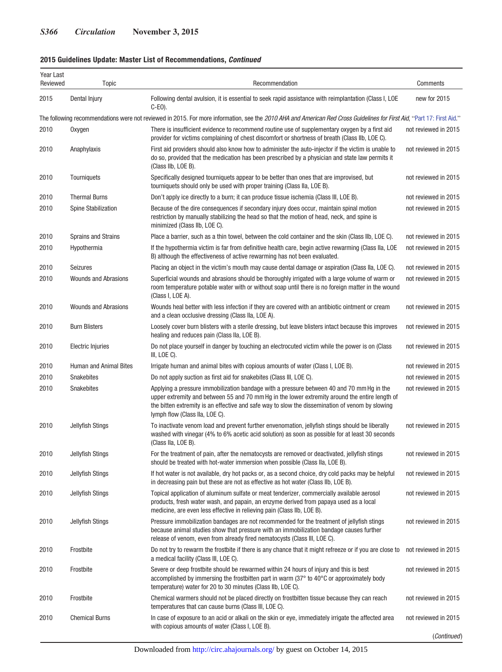| Year Last<br>Reviewed | Topic                       | Recommendation                                                                                                                                                                                                                                                                                                                   | Comments             |
|-----------------------|-----------------------------|----------------------------------------------------------------------------------------------------------------------------------------------------------------------------------------------------------------------------------------------------------------------------------------------------------------------------------|----------------------|
| 2015                  | Dental Injury               | Following dental avulsion, it is essential to seek rapid assistance with reimplantation (Class I, LOE<br>$C-EO$ ).                                                                                                                                                                                                               | new for 2015         |
|                       |                             | The following recommendations were not reviewed in 2015. For more information, see the 2010 AHA and American Red Cross Guidelines for First Aid, "Part 17: First Aid."                                                                                                                                                           |                      |
| 2010                  | Oxygen                      | There is insufficient evidence to recommend routine use of supplementary oxygen by a first aid<br>provider for victims complaining of chest discomfort or shortness of breath (Class IIb, LOE C).                                                                                                                                | not reviewed in 2015 |
| 2010                  | Anaphylaxis                 | First aid providers should also know how to administer the auto-injector if the victim is unable to<br>do so, provided that the medication has been prescribed by a physician and state law permits it<br>(Class IIb, LOE B).                                                                                                    | not reviewed in 2015 |
| 2010                  | Tourniquets                 | Specifically designed tourniquets appear to be better than ones that are improvised, but<br>tourniquets should only be used with proper training (Class IIa, LOE B).                                                                                                                                                             | not reviewed in 2015 |
| 2010                  | <b>Thermal Burns</b>        | Don't apply ice directly to a burn; it can produce tissue ischemia (Class III, LOE B).                                                                                                                                                                                                                                           | not reviewed in 2015 |
| 2010                  | <b>Spine Stabilization</b>  | Because of the dire consequences if secondary injury does occur, maintain spinal motion<br>restriction by manually stabilizing the head so that the motion of head, neck, and spine is<br>minimized (Class IIb, LOE C).                                                                                                          | not reviewed in 2015 |
| 2010                  | Sprains and Strains         | Place a barrier, such as a thin towel, between the cold container and the skin (Class IIb, LOE C).                                                                                                                                                                                                                               | not reviewed in 2015 |
| 2010                  | Hypothermia                 | If the hypothermia victim is far from definitive health care, begin active rewarming (Class IIa, LOE<br>B) although the effectiveness of active rewarming has not been evaluated.                                                                                                                                                | not reviewed in 2015 |
| 2010                  | <b>Seizures</b>             | Placing an object in the victim's mouth may cause dental damage or aspiration (Class IIa, LOE C).                                                                                                                                                                                                                                | not reviewed in 2015 |
| 2010                  | <b>Wounds and Abrasions</b> | Superficial wounds and abrasions should be thoroughly irrigated with a large volume of warm or<br>room temperature potable water with or without soap until there is no foreign matter in the wound<br>(Class I, LOE A).                                                                                                         | not reviewed in 2015 |
| 2010                  | <b>Wounds and Abrasions</b> | Wounds heal better with less infection if they are covered with an antibiotic ointment or cream<br>and a clean occlusive dressing (Class IIa, LOE A).                                                                                                                                                                            | not reviewed in 2015 |
| 2010                  | <b>Burn Blisters</b>        | Loosely cover burn blisters with a sterile dressing, but leave blisters intact because this improves<br>healing and reduces pain (Class IIa, LOE B).                                                                                                                                                                             | not reviewed in 2015 |
| 2010                  | <b>Electric Injuries</b>    | Do not place yourself in danger by touching an electrocuted victim while the power is on (Class<br>III, LOE C).                                                                                                                                                                                                                  | not reviewed in 2015 |
| 2010                  | Human and Animal Bites      | Irrigate human and animal bites with copious amounts of water (Class I, LOE B).                                                                                                                                                                                                                                                  | not reviewed in 2015 |
| 2010                  | <b>Snakebites</b>           | Do not apply suction as first aid for snakebites (Class III, LOE C).                                                                                                                                                                                                                                                             | not reviewed in 2015 |
| 2010                  | <b>Snakebites</b>           | Applying a pressure immobilization bandage with a pressure between 40 and 70 mm Hg in the<br>upper extremity and between 55 and 70 mm Hg in the lower extremity around the entire length of<br>the bitten extremity is an effective and safe way to slow the dissemination of venom by slowing<br>lymph flow (Class IIa, LOE C). | not reviewed in 2015 |
| 2010                  | Jellyfish Stings            | To inactivate venom load and prevent further envenomation, jellyfish stings should be liberally<br>washed with vinegar (4% to 6% acetic acid solution) as soon as possible for at least 30 seconds<br>(Class IIa, LOE B).                                                                                                        | not reviewed in 2015 |
| 2010                  | <b>Jellyfish Stings</b>     | For the treatment of pain, after the nematocysts are removed or deactivated, jellyfish stings<br>should be treated with hot-water immersion when possible (Class IIa, LOE B).                                                                                                                                                    | not reviewed in 2015 |
| 2010                  | <b>Jellyfish Stings</b>     | If hot water is not available, dry hot packs or, as a second choice, dry cold packs may be helpful<br>in decreasing pain but these are not as effective as hot water (Class IIb, LOE B).                                                                                                                                         | not reviewed in 2015 |
| 2010                  | Jellyfish Stings            | Topical application of aluminum sulfate or meat tenderizer, commercially available aerosol<br>products, fresh water wash, and papain, an enzyme derived from papaya used as a local<br>medicine, are even less effective in relieving pain (Class IIb, LOE B).                                                                   | not reviewed in 2015 |
| 2010                  | Jellyfish Stings            | Pressure immobilization bandages are not recommended for the treatment of jellyfish stings<br>because animal studies show that pressure with an immobilization bandage causes further<br>release of venom, even from already fired nematocysts (Class III, LOE C).                                                               | not reviewed in 2015 |
| 2010                  | Frostbite                   | Do not try to rewarm the frostbite if there is any chance that it might refreeze or if you are close to<br>a medical facility (Class III, LOE C).                                                                                                                                                                                | not reviewed in 2015 |
| 2010                  | Frostbite                   | Severe or deep frostbite should be rewarmed within 24 hours of injury and this is best<br>accomplished by immersing the frostbitten part in warm (37 $\degree$ to 40 $\degree$ C or approximately body<br>temperature) water for 20 to 30 minutes (Class IIb, LOE C).                                                            | not reviewed in 2015 |
| 2010                  | Frostbite                   | Chemical warmers should not be placed directly on frostbitten tissue because they can reach<br>temperatures that can cause burns (Class III, LOE C).                                                                                                                                                                             | not reviewed in 2015 |
| 2010                  | <b>Chemical Burns</b>       | In case of exposure to an acid or alkali on the skin or eye, immediately irrigate the affected area<br>with copious amounts of water (Class I, LOE B).                                                                                                                                                                           | not reviewed in 2015 |
|                       |                             |                                                                                                                                                                                                                                                                                                                                  | (Continued)          |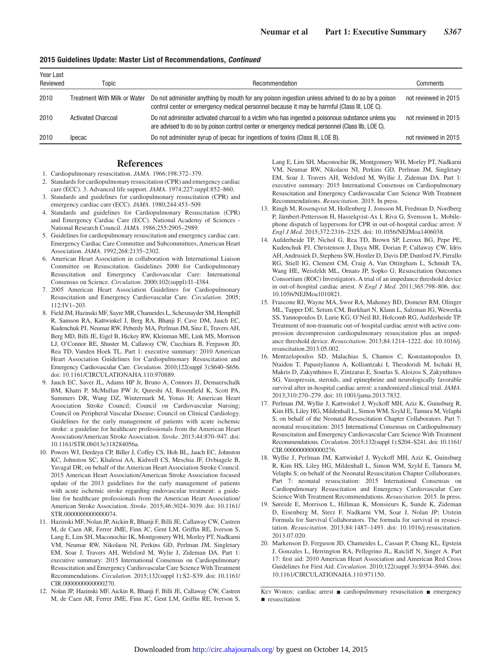| Year Last<br>Reviewed | Topic                               | Recommendation                                                                                                                                                                                         | Comments             |
|-----------------------|-------------------------------------|--------------------------------------------------------------------------------------------------------------------------------------------------------------------------------------------------------|----------------------|
| 2010                  | <b>Treatment With Milk or Water</b> | Do not administer anything by mouth for any poison ingestion unless advised to do so by a poison<br>control center or emergency medical personnel because it may be harmful (Class III, LOE C).        | not reviewed in 2015 |
| 2010                  | <b>Activated Charcoal</b>           | Do not administer activated charcoal to a victim who has ingested a poisonous substance unless you<br>are advised to do so by poison control center or emergency medical personnel (Class IIb, LOE C). | not reviewed in 2015 |
| 2010                  | Ipecac                              | Do not administer syrup of ipecac for ingestions of toxins (Class III, LOE B).                                                                                                                         | not reviewed in 2015 |

#### **References**

- 1. Cardiopulmonary resuscitation. *JAMA*. 1966;198:372–379.
- 2. Standards for cardiopulmonary resuscitation (CPR) and emergency cardiac care (ECC). 3. Advanced life support. *JAMA*. 1974;227:suppl:852–860.
- 3. Standards and guidelines for cardiopulmonary resuscitation (CPR) and emergency cardiac care (ECC). *JAMA*. 1980;244:453–509.
- 4. Standards and guidelines for Cardiopulmonary Resuscitation (CPR) and Emergency Cardiac Care (ECC). National Academy of Sciences - National Research Council. *JAMA*. 1986;255:2905–2989.
- 5. Guidelines for cardiopulmonary resuscitation and emergency cardiac care. Emergency Cardiac Care Committee and Subcommittees, American Heart Association. *JAMA*. 1992;268:2135–2302.
- 6. American Heart Association in collaboration with International Liaison Committee on Resuscitation. Guidelines 2000 for Cardiopulmonary Resuscitation and Emergency Cardiovascular Care: International Consensus on Science. *Circulation*. 2000;102(suppl):I1–I384.
- 7. 2005 American Heart Association Guidelines for Cardiopulmonary Resuscitation and Emergency Cardiovascular Care. *Circulation*. 2005; 112:IV1–203.
- 8. Field JM, Hazinski MF, Sayre MR, Chameides L, Schexnayder SM, Hemphill R, Samson RA, Kattwinkel J, Berg RA, Bhanji F, Cave DM, Jauch EC, Kudenchuk PJ, Neumar RW, Peberdy MA, Perlman JM, Sinz E, Travers AH, Berg MD, Billi JE, Eigel B, Hickey RW, Kleinman ME, Link MS, Morrison LJ, O'Connor RE, Shuster M, Callaway CW, Cucchiara B, Ferguson JD, Rea TD, Vanden Hoek TL. Part 1: executive summary: 2010 American Heart Association Guidelines for Cardiopulmonary Resuscitation and Emergency Cardiovascular Care. *Circulation*. 2010;122(suppl 3):S640–S656. doi: 10.1161/CIRCULATIONAHA.110.970889.
- 9. Jauch EC, Saver JL, Adams HP Jr, Bruno A, Connors JJ, Demaerschalk BM, Khatri P, McMullan PW Jr, Qureshi AI, Rosenfield K, Scott PA, Summers DR, Wang DZ, Wintermark M, Yonas H; American Heart Association Stroke Council; Council on Cardiovascular Nursing; Council on Peripheral Vascular Disease; Council on Clinical Cardiology. Guidelines for the early management of patients with acute ischemic stroke: a guideline for healthcare professionals from the American Heart Association/American Stroke Association. *Stroke*. 2013;44:870–947. doi: 10.1161/STR.0b013e318284056a.
- 10. Powers WJ, Derdeyn CP, Biller J, Coffey CS, Hoh BL, Jauch EC, Johnston KC, Johnston SC, Khalessi AA, Kidwell CS, Meschia JF, Ovbiagele B, Yavagal DR; on behalf of the American Heart Association Stroke Council. 2015 American Heart Association/American Stroke Association focused update of the 2013 guidelines for the early management of patients with acute ischemic stroke regarding endovascular treatment: a guideline for healthcare professionals from the American Heart Association/ American Stroke Association. *Stroke*. 2015;46:3024–3039. doi: 10.1161/ STR.0000000000000074.
- 11. Hazinski MF, Nolan JP, Aickin R, Bhanji F, Billi JE, Callaway CW, Castren M, de Caen AR, Ferrer JME, Finn JC, Gent LM, Griffin RE, Iverson S, Lang E, Lim SH, Maconochie IK, Montgomery WH, Morley PT, Nadkarni VM, Neumar RW, Nikolaou NI, Perkins GD, Perlman JM, Singletary EM, Soar J, Travers AH, Welsford M, Wylie J, Zideman DA. Part 1: executive summary: 2015 International Consensus on Cardiopulmonary Resuscitation and Emergency Cardiovascular Care Science With Treatment Recommendations. *Circulation*. 2015;132(suppl 1):S2–S39. doi: 10.1161/ CIR.0000000000000270.
- 12. Nolan JP, Hazinski MF, Aickin R, Bhanji F, Billi JE, Callaway CW, Castren M, de Caen AR, Ferrer JME, Finn JC, Gent LM, Griffin RE, Iverson S,

Lang E, Lim SH, Maconochie IK, Montgomery WH, Morley PT, Nadkarni VM, Neumar RW, Nikolaou NI, Perkins GD, Perlman JM, Singletary EM, Soar J, Travers AH, Welsford M, Wyllie J, Zideman DA. Part 1: executive summary: 2015 International Consensus on Cardiopulmonary Resuscitation and Emergency Cardiovascular Care Science With Treatment Recommendations. *Resuscitation*. 2015. In press.

- 13. Ringh M, Rosenqvist M, Hollenberg J, Jonsson M, Fredman D, Nordberg P, Järnbert-Pettersson H, Hasselqvist-Ax I, Riva G, Svensson L. Mobilephone dispatch of laypersons for CPR in out-of-hospital cardiac arrest. *N Engl J Med*. 2015;372:2316–2325. doi: 10.1056/NEJMoa1406038.
- 14. Aufderheide TP, Nichol G, Rea TD, Brown SP, Leroux BG, Pepe PE, Kudenchuk PJ, Christenson J, Daya MR, Dorian P, Callaway CW, Idris AH, Andrusiek D, Stephens SW, Hostler D, Davis DP, Dunford JV, Pirrallo RG, Stiell IG, Clement CM, Craig A, Van Ottingham L, Schmidt TA, Wang HE, Weisfeldt ML, Ornato JP, Sopko G; Resuscitation Outcomes Consortium (ROC) Investigators. A trial of an impedance threshold device in out-of-hospital cardiac arrest. *N Engl J Med*. 2011;365:798–806. doi: 10.1056/NEJMoa1010821.
- 15. Frascone RJ, Wayne MA, Swor RA, Mahoney BD, Domeier RM, Olinger ML, Tupper DE, Setum CM, Burkhart N, Klann L, Salzman JG, Wewerka SS, Yannopoulos D, Lurie KG, O'Neil BJ, Holcomb RG, Aufderheide TP. Treatment of non-traumatic out-of-hospital cardiac arrest with active compression decompression cardiopulmonary resuscitation plus an impedance threshold device. *Resuscitation*. 2013;84:1214–1222. doi: 10.1016/j. resuscitation.2013.05.002.
- 16. Mentzelopoulos SD, Malachias S, Chamos C, Konstantopoulos D, Ntaidou T, Papastylianou A, Kolliantzaki I, Theodoridi M, Ischaki H, Makris D, Zakynthinos E, Zintzaras E, Sourlas S, Aloizos S, Zakynthinos SG. Vasopressin, steroids, and epinephrine and neurologically favorable survival after in-hospital cardiac arrest: a randomized clinical trial. *JAMA*. 2013;310:270–279. doi: 10.1001/jama.2013.7832.
- 17. Perlman JM, Wyllie J, Kattwinkel J, Wyckoff MH, Aziz K, Guinsburg R, Kim HS, Liley HG, Mildenhall L, Simon WM, Szyld E, Tamura M, Velaphi S; on behalf of the Neonatal Resuscitation Chapter Collaborators. Part 7: neonatal resuscitation: 2015 International Consensus on Cardiopulmonary Resuscitation and Emergency Cardiovascular Care Science With Treatment Recommendations. *Circulation*. 2015;132(suppl 1):S204–S241. doi: 10.1161/ CIR.0000000000000276.
- 18. Wyllie J, Perlman JM, Kattwinkel J, Wyckoff MH, Aziz K, Guinsburg R, Kim HS, Liley HG, Mildenhall L, Simon WM, Szyld E, Tamura M, Velaphi S; on behalf of the Neonatal Resuscitation Chapter Collaborators. Part 7: neonatal resuscitation: 2015 International Consensus on Cardiopulmonary Resuscitation and Emergency Cardiovascular Care Science With Treatment Recommendations. *Resuscitation*. 2015. In press.
- 19. Søreide E, Morrison L, Hillman K, Monsieurs K, Sunde K, Zideman D, Eisenberg M, Sterz F, Nadkarni VM, Soar J, Nolan JP; Utstein Formula for Survival Collaborators. The formula for survival in resuscitation. *Resuscitation*. 2013;84:1487–1493. doi: 10.1016/j.resuscitation. 2013.07.020.
- 20. Markenson D, Ferguson JD, Chameides L, Cassan P, Chung KL, Epstein J, Gonzales L, Herrington RA, Pellegrino JL, Ratcliff N, Singer A. Part 17: first aid: 2010 American Heart Association and American Red Cross Guidelines for First Aid. *Circulation*. 2010;122(suppl 3):S934–S946. doi: 10.1161/CIRCULATIONAHA.110.971150.

KEY WORDS: cardiac arrest ■ cardiopulmonary resuscitation ■ emergency ■ resuscitation